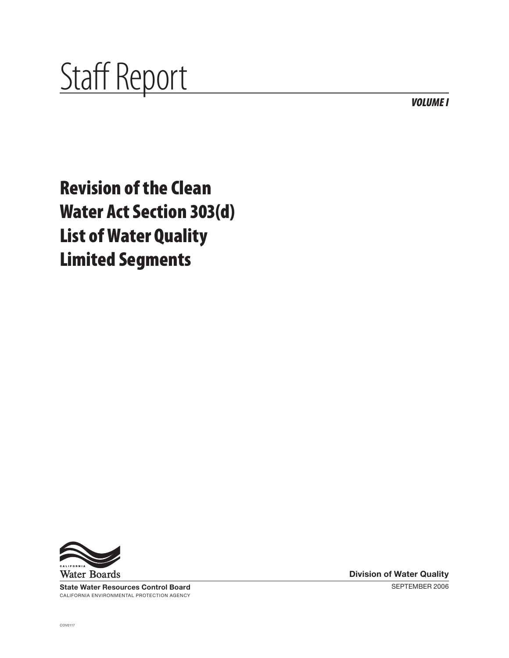# **Staff Report**

VOLUME I

Revision of the Clean Water Act Section 303(d) List of Water Quality Limited Segments



**State Water Resources Control Board** CALIFORNIA ENVIRONMENTAL PROTECTION AGENCY

**Division of Water Quality** SEPTEMBER 2006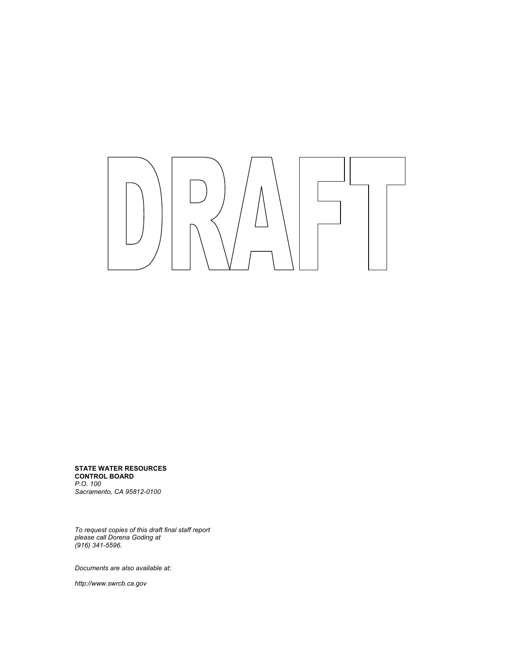

**STATE WATER RESOURCES CONTROL BOARD** *P.O. 100 Sacramento, CA 95812-0100* 

*To request copies of this draft final staff report please call Dorena Goding at (916) 341-5596.* 

*Documents are also available at:* 

*http://www.swrcb.ca.gov*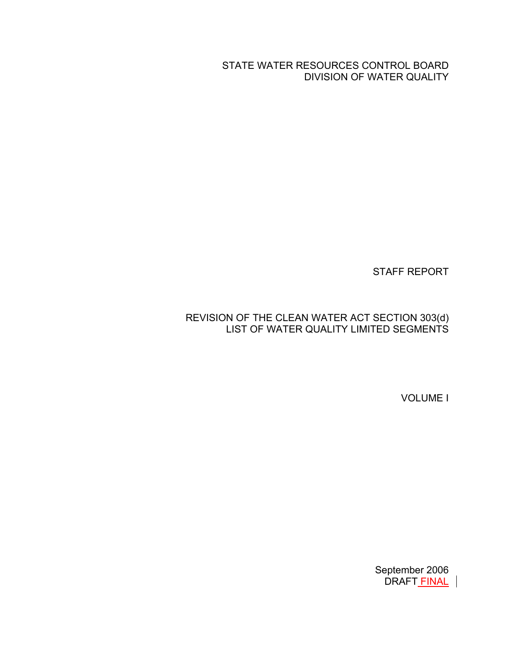STATE WATER RESOURCES CONTROL BOARD DIVISION OF WATER QUALITY

STAFF REPORT

#### REVISION OF THE CLEAN WATER ACT SECTION 303(d) LIST OF WATER QUALITY LIMITED SEGMENTS

VOLUME I

September 2006 DRAFT<u>FINAL</u>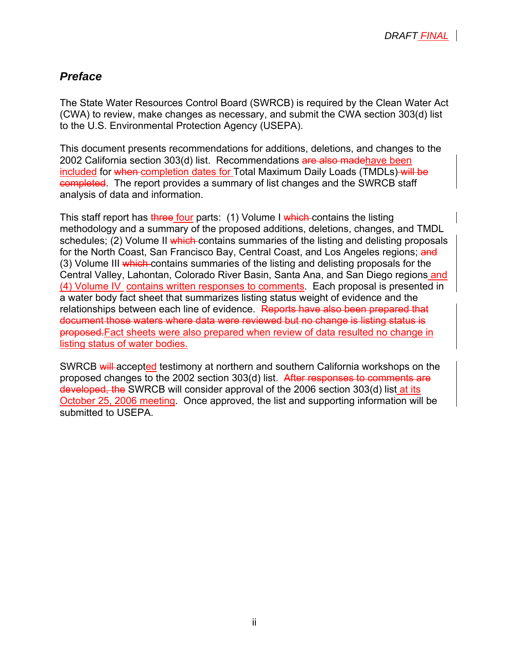# <span id="page-3-0"></span>*Preface*

The State Water Resources Control Board (SWRCB) is required by the Clean Water Act (CWA) to review, make changes as necessary, and submit the CWA section 303(d) list to the U.S. Environmental Protection Agency (USEPA).

This document presents recommendations for additions, deletions, and changes to the 2002 California section 303(d) list. Recommendations are also madehave been included for when completion dates for Total Maximum Daily Loads (TMDLs) will be completed. The report provides a summary of list changes and the SWRCB staff analysis of data and information.

This staff report has three four parts: (1) Volume I which contains the listing methodology and a summary of the proposed additions, deletions, changes, and TMDL schedules; (2) Volume II which contains summaries of the listing and delisting proposals for the North Coast, San Francisco Bay, Central Coast, and Los Angeles regions; and (3) Volume III which contains summaries of the listing and delisting proposals for the Central Valley, Lahontan, Colorado River Basin, Santa Ana, and San Diego regions and (4) Volume IV contains written responses to comments. Each proposal is presented in a water body fact sheet that summarizes listing status weight of evidence and the relationships between each line of evidence. Reports have also been prepared that document those waters where data were reviewed but no change is listing status is proposed.Fact sheets were also prepared when review of data resulted no change in listing status of water bodies.

SWRCB will accepted testimony at northern and southern California workshops on the proposed changes to the 2002 section 303(d) list. After responses to comments are developed, the SWRCB will consider approval of the 2006 section 303(d) list at its October 25, 2006 meeting. Once approved, the list and supporting information will be submitted to USEPA.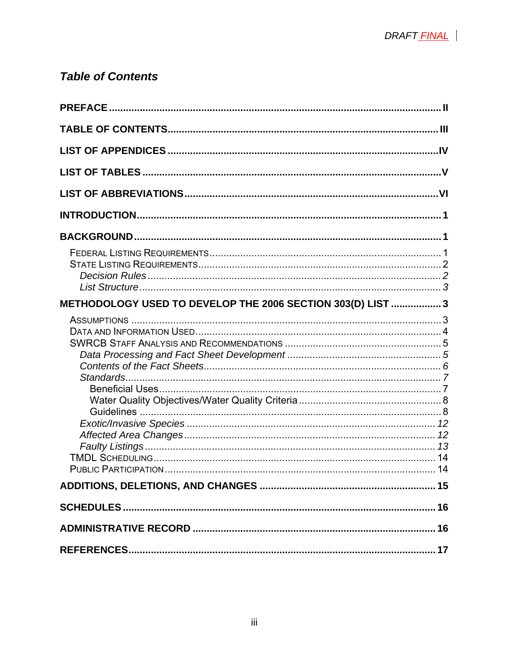# <span id="page-4-0"></span>**Table of Contents**

| LIST OF APPENDICES …………………………………………………………………………………………IV    |  |
|------------------------------------------------------------|--|
|                                                            |  |
|                                                            |  |
|                                                            |  |
|                                                            |  |
|                                                            |  |
| METHODOLOGY USED TO DEVELOP THE 2006 SECTION 303(D) LIST 3 |  |
|                                                            |  |
|                                                            |  |
|                                                            |  |
|                                                            |  |
|                                                            |  |
|                                                            |  |
|                                                            |  |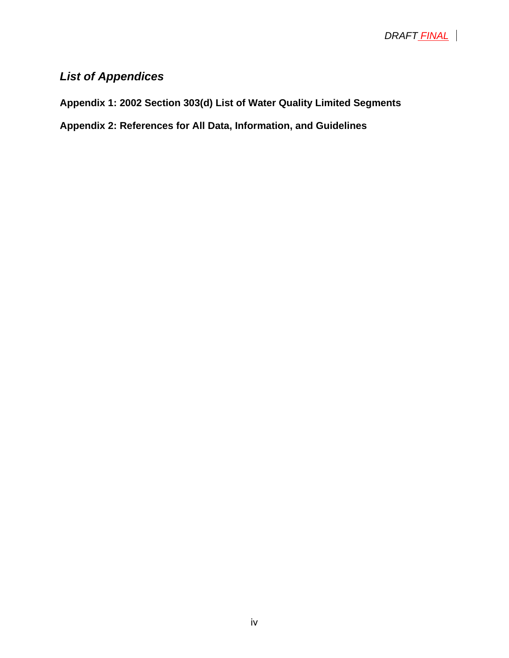# <span id="page-5-0"></span>*List of Appendices*

**Appendix 1: 2002 Section 303(d) List of Water Quality Limited Segments** 

**Appendix 2: References for All Data, Information, and Guidelines**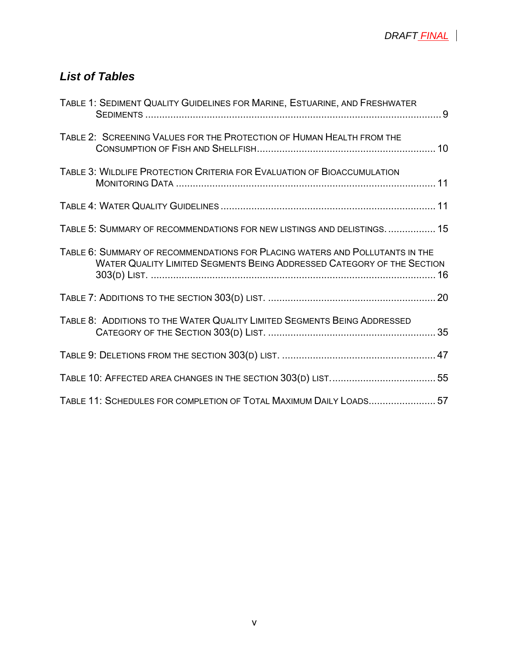# <span id="page-6-0"></span>*List of Tables*

| TABLE 1: SEDIMENT QUALITY GUIDELINES FOR MARINE, ESTUARINE, AND FRESHWATER                                                                             |  |
|--------------------------------------------------------------------------------------------------------------------------------------------------------|--|
| TABLE 2: SCREENING VALUES FOR THE PROTECTION OF HUMAN HEALTH FROM THE                                                                                  |  |
| TABLE 3: WILDLIFE PROTECTION CRITERIA FOR EVALUATION OF BIOACCUMULATION                                                                                |  |
|                                                                                                                                                        |  |
| TABLE 5: SUMMARY OF RECOMMENDATIONS FOR NEW LISTINGS AND DELISTINGS.  15                                                                               |  |
| TABLE 6: SUMMARY OF RECOMMENDATIONS FOR PLACING WATERS AND POLLUTANTS IN THE<br>WATER QUALITY LIMITED SEGMENTS BEING ADDRESSED CATEGORY OF THE SECTION |  |
|                                                                                                                                                        |  |
| TABLE 8: ADDITIONS TO THE WATER QUALITY LIMITED SEGMENTS BEING ADDRESSED                                                                               |  |
|                                                                                                                                                        |  |
|                                                                                                                                                        |  |
| TABLE 11: SCHEDULES FOR COMPLETION OF TOTAL MAXIMUM DAILY LOADS 57                                                                                     |  |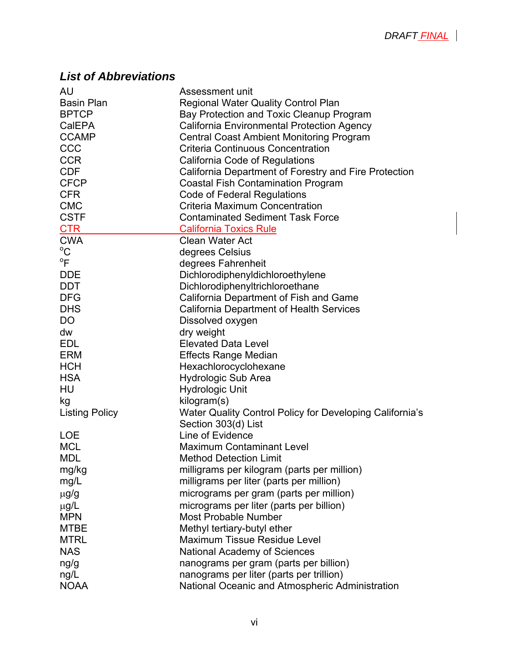# <span id="page-7-0"></span>*List of Abbreviations*

| <b>AU</b>             | Assessment unit                                          |
|-----------------------|----------------------------------------------------------|
| <b>Basin Plan</b>     | <b>Regional Water Quality Control Plan</b>               |
| <b>BPTCP</b>          | Bay Protection and Toxic Cleanup Program                 |
| CalEPA                | California Environmental Protection Agency               |
| <b>CCAMP</b>          | Central Coast Ambient Monitoring Program                 |
| CCC                   | <b>Criteria Continuous Concentration</b>                 |
| <b>CCR</b>            | California Code of Regulations                           |
| <b>CDF</b>            | California Department of Forestry and Fire Protection    |
| <b>CFCP</b>           | <b>Coastal Fish Contamination Program</b>                |
| <b>CFR</b>            | <b>Code of Federal Regulations</b>                       |
| <b>CMC</b>            | Criteria Maximum Concentration                           |
| <b>CSTF</b>           | <b>Contaminated Sediment Task Force</b>                  |
| <b>CTR</b>            | <b>California Toxics Rule</b>                            |
| <b>CWA</b>            | <b>Clean Water Act</b>                                   |
| $^{\circ}C$           | degrees Celsius                                          |
| $\overline{P}$        | degrees Fahrenheit                                       |
| <b>DDE</b>            |                                                          |
| <b>DDT</b>            | Dichlorodiphenyldichloroethylene                         |
|                       | Dichlorodiphenyltrichloroethane                          |
| <b>DFG</b>            | California Department of Fish and Game                   |
| <b>DHS</b>            | <b>California Department of Health Services</b>          |
| DO                    | Dissolved oxygen                                         |
| dw                    | dry weight                                               |
| EDL                   | <b>Elevated Data Level</b>                               |
| <b>ERM</b>            | <b>Effects Range Median</b>                              |
| <b>HCH</b>            | Hexachlorocyclohexane                                    |
| <b>HSA</b>            | <b>Hydrologic Sub Area</b>                               |
| HU                    | <b>Hydrologic Unit</b>                                   |
| kg                    | kilogram(s)                                              |
| <b>Listing Policy</b> | Water Quality Control Policy for Developing California's |
|                       | Section 303(d) List                                      |
| <b>LOE</b>            | Line of Evidence                                         |
| <b>MCL</b>            | <b>Maximum Contaminant Level</b>                         |
| <b>MDL</b>            | <b>Method Detection Limit</b>                            |
| mg/kg                 | milligrams per kilogram (parts per million)              |
| mg/L                  | milligrams per liter (parts per million)                 |
| $\mu$ g/g             | micrograms per gram (parts per million)                  |
| $\mu$ g/L             | micrograms per liter (parts per billion)                 |
| <b>MPN</b>            | <b>Most Probable Number</b>                              |
| <b>MTBE</b>           | Methyl tertiary-butyl ether                              |
| <b>MTRL</b>           | <b>Maximum Tissue Residue Level</b>                      |
| <b>NAS</b>            | <b>National Academy of Sciences</b>                      |
| ng/g                  | nanograms per gram (parts per billion)                   |
| ng/L                  | nanograms per liter (parts per trillion)                 |
| <b>NOAA</b>           | National Oceanic and Atmospheric Administration          |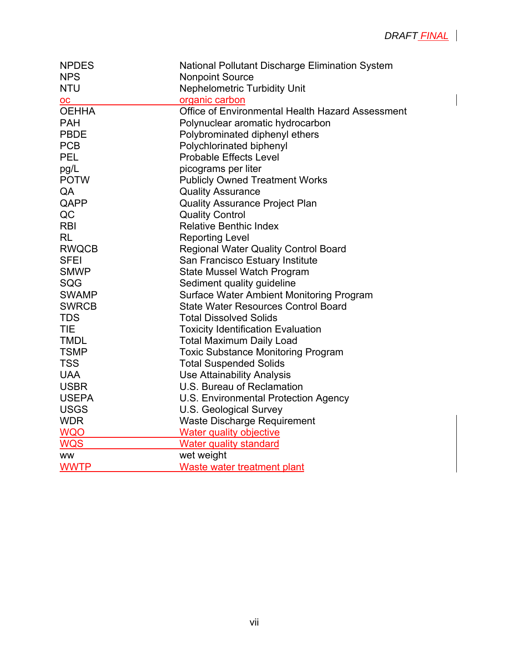$\overline{\phantom{a}}$ 

| <b>NPDES</b> | National Pollutant Discharge Elimination System  |
|--------------|--------------------------------------------------|
| <b>NPS</b>   | <b>Nonpoint Source</b>                           |
| <b>NTU</b>   | <b>Nephelometric Turbidity Unit</b>              |
| OC           | organic carbon                                   |
| <b>OEHHA</b> | Office of Environmental Health Hazard Assessment |
| <b>PAH</b>   | Polynuclear aromatic hydrocarbon                 |
| <b>PBDE</b>  | Polybrominated diphenyl ethers                   |
| <b>PCB</b>   | Polychlorinated biphenyl                         |
| <b>PEL</b>   | <b>Probable Effects Level</b>                    |
| pg/L         | picograms per liter                              |
| <b>POTW</b>  | <b>Publicly Owned Treatment Works</b>            |
| QA           | <b>Quality Assurance</b>                         |
| QAPP         | <b>Quality Assurance Project Plan</b>            |
| QC           | <b>Quality Control</b>                           |
| <b>RBI</b>   | <b>Relative Benthic Index</b>                    |
| <b>RL</b>    | <b>Reporting Level</b>                           |
| <b>RWQCB</b> | <b>Regional Water Quality Control Board</b>      |
| <b>SFEI</b>  | San Francisco Estuary Institute                  |
| <b>SMWP</b>  | State Mussel Watch Program                       |
| SQG          | Sediment quality guideline                       |
| <b>SWAMP</b> | Surface Water Ambient Monitoring Program         |
| <b>SWRCB</b> | <b>State Water Resources Control Board</b>       |
| <b>TDS</b>   | <b>Total Dissolved Solids</b>                    |
| <b>TIE</b>   | <b>Toxicity Identification Evaluation</b>        |
| <b>TMDL</b>  | <b>Total Maximum Daily Load</b>                  |
| <b>TSMP</b>  | <b>Toxic Substance Monitoring Program</b>        |
| <b>TSS</b>   | <b>Total Suspended Solids</b>                    |
| <b>UAA</b>   | <b>Use Attainability Analysis</b>                |
| <b>USBR</b>  | U.S. Bureau of Reclamation                       |
| <b>USEPA</b> | U.S. Environmental Protection Agency             |
| <b>USGS</b>  | <b>U.S. Geological Survey</b>                    |
| <b>WDR</b>   | <b>Waste Discharge Requirement</b>               |
| <b>WQO</b>   | <b>Water quality objective</b>                   |
| <b>WQS</b>   | <b>Water quality standard</b>                    |
| <b>WW</b>    | wet weight                                       |
| <b>WWTP</b>  | Waste water treatment plant                      |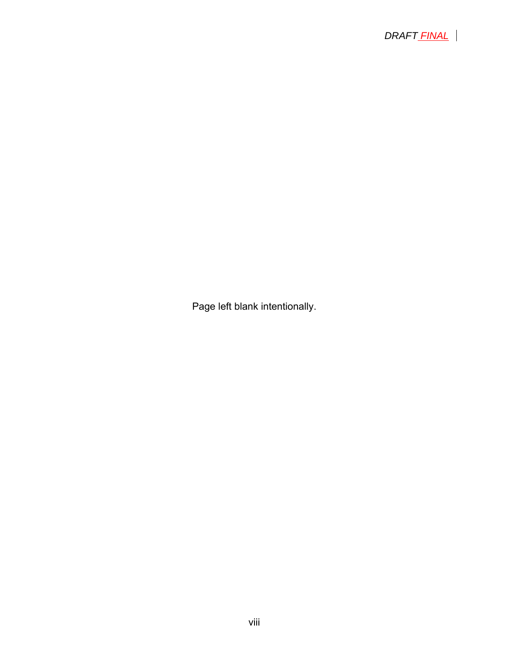

Page left blank intentionally.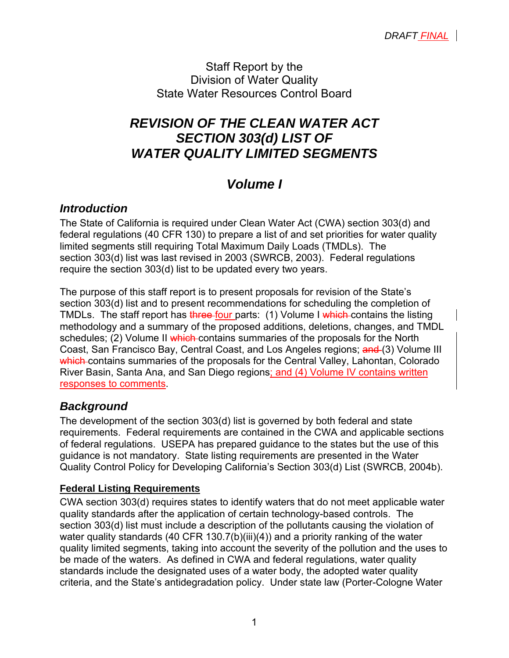<span id="page-10-0"></span>Staff Report by the Division of Water Quality State Water Resources Control Board

# *REVISION OF THE CLEAN WATER ACT SECTION 303(d) LIST OF WATER QUALITY LIMITED SEGMENTS*

# *Volume I*

## *Introduction*

The State of California is required under Clean Water Act (CWA) section 303(d) and federal regulations (40 CFR 130) to prepare a list of and set priorities for water quality limited segments still requiring Total Maximum Daily Loads (TMDLs). The section 303(d) list was last revised in 2003 (SWRCB, 2003). Federal regulations require the section 303(d) list to be updated every two years.

The purpose of this staff report is to present proposals for revision of the State's section 303(d) list and to present recommendations for scheduling the completion of TMDLs. The staff report has three four parts: (1) Volume I which contains the listing methodology and a summary of the proposed additions, deletions, changes, and TMDL schedules; (2) Volume II which contains summaries of the proposals for the North Coast, San Francisco Bay, Central Coast, and Los Angeles regions; and (3) Volume III which contains summaries of the proposals for the Central Valley, Lahontan, Colorado River Basin, Santa Ana, and San Diego regions; and (4) Volume IV contains written responses to comments.

## *Background*

The development of the section 303(d) list is governed by both federal and state requirements. Federal requirements are contained in the CWA and applicable sections of federal regulations. USEPA has prepared guidance to the states but the use of this guidance is not mandatory. State listing requirements are presented in the Water Quality Control Policy for Developing California's Section 303(d) List (SWRCB, 2004b).

#### **Federal Listing Requirements**

CWA section 303(d) requires states to identify waters that do not meet applicable water quality standards after the application of certain technology-based controls. The section 303(d) list must include a description of the pollutants causing the violation of water quality standards (40 CFR 130.7(b)(iii)(4)) and a priority ranking of the water quality limited segments, taking into account the severity of the pollution and the uses to be made of the waters. As defined in CWA and federal regulations, water quality standards include the designated uses of a water body, the adopted water quality criteria, and the State's antidegradation policy. Under state law (Porter-Cologne Water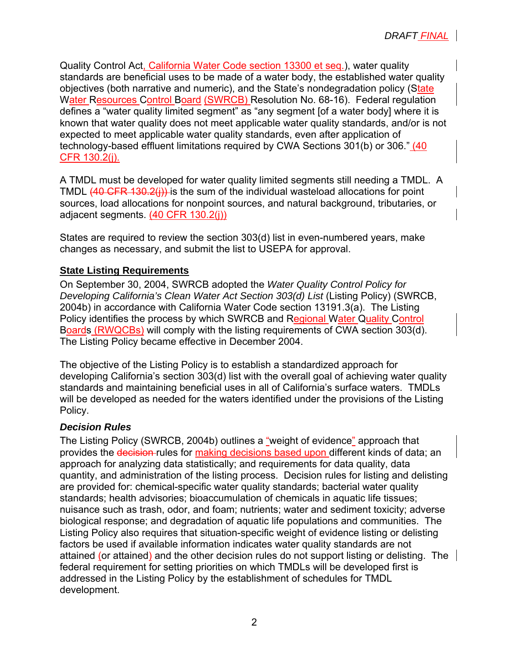<span id="page-11-0"></span>Quality Control Act, California Water Code section 13300 et seq.), water quality standards are beneficial uses to be made of a water body, the established water quality objectives (both narrative and numeric), and the State's nondegradation policy (State Water Resources Control Board (SWRCB) Resolution No. 68-16). Federal regulation defines a "water quality limited segment" as "any segment [of a water body] where it is known that water quality does not meet applicable water quality standards, and/or is not expected to meet applicable water quality standards, even after application of technology-based effluent limitations required by CWA Sections 301(b) or 306." (40 CFR 130.2(j).

A TMDL must be developed for water quality limited segments still needing a TMDL. A TMDL (40 CFR 130.2(j)) is the sum of the individual wasteload allocations for point sources, load allocations for nonpoint sources, and natural background, tributaries, or adjacent segments. (40 CFR 130.2(j))

States are required to review the section 303(d) list in even-numbered years, make changes as necessary, and submit the list to USEPA for approval.

#### **State Listing Requirements**

On September 30, 2004, SWRCB adopted the *Water Quality Control Policy for Developing California's Clean Water Act Section 303(d) List* (Listing Policy) (SWRCB, 2004b) in accordance with California Water Code section 13191.3(a). The Listing Policy identifies the process by which SWRCB and Regional Water Quality Control Boards (RWQCBs) will comply with the listing requirements of CWA section 303(d). The Listing Policy became effective in December 2004.

The objective of the Listing Policy is to establish a standardized approach for developing California's section 303(d) list with the overall goal of achieving water quality standards and maintaining beneficial uses in all of California's surface waters. TMDLs will be developed as needed for the waters identified under the provisions of the Listing Policy.

#### *Decision Rules*

The Listing Policy (SWRCB, 2004b) outlines a "weight of evidence" approach that provides the decision-rules for making decisions based upon different kinds of data; an approach for analyzing data statistically; and requirements for data quality, data quantity, and administration of the listing process. Decision rules for listing and delisting are provided for: chemical-specific water quality standards; bacterial water quality standards; health advisories; bioaccumulation of chemicals in aquatic life tissues; nuisance such as trash, odor, and foam; nutrients; water and sediment toxicity; adverse biological response; and degradation of aquatic life populations and communities. The Listing Policy also requires that situation-specific weight of evidence listing or delisting factors be used if available information indicates water quality standards are not attained (or attained) and the other decision rules do not support listing or delisting. The federal requirement for setting priorities on which TMDLs will be developed first is addressed in the Listing Policy by the establishment of schedules for TMDL development.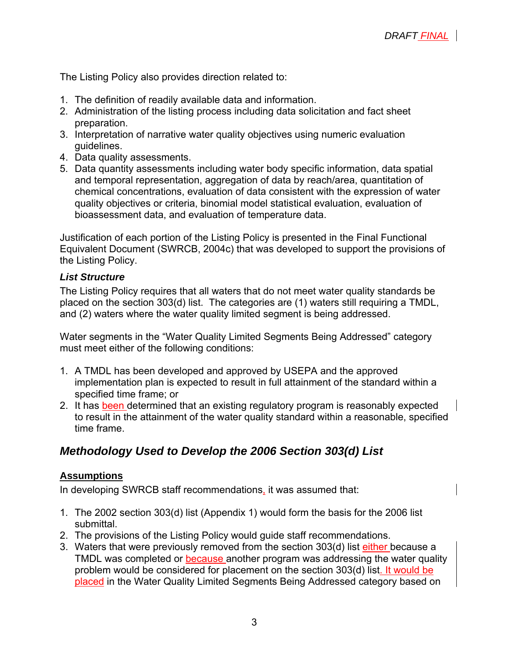<span id="page-12-0"></span>The Listing Policy also provides direction related to:

- 1. The definition of readily available data and information.
- 2. Administration of the listing process including data solicitation and fact sheet preparation.
- 3. Interpretation of narrative water quality objectives using numeric evaluation guidelines.
- 4. Data quality assessments.
- 5. Data quantity assessments including water body specific information, data spatial and temporal representation, aggregation of data by reach/area, quantitation of chemical concentrations, evaluation of data consistent with the expression of water quality objectives or criteria, binomial model statistical evaluation, evaluation of bioassessment data, and evaluation of temperature data.

Justification of each portion of the Listing Policy is presented in the Final Functional Equivalent Document (SWRCB, 2004c) that was developed to support the provisions of the Listing Policy.

#### *List Structure*

The Listing Policy requires that all waters that do not meet water quality standards be placed on the section 303(d) list. The categories are (1) waters still requiring a TMDL, and (2) waters where the water quality limited segment is being addressed.

Water segments in the "Water Quality Limited Segments Being Addressed" category must meet either of the following conditions:

- 1. A TMDL has been developed and approved by USEPA and the approved implementation plan is expected to result in full attainment of the standard within a specified time frame; or
- 2. It has been determined that an existing regulatory program is reasonably expected to result in the attainment of the water quality standard within a reasonable, specified time frame.

# *Methodology Used to Develop the 2006 Section 303(d) List*

#### **Assumptions**

In developing SWRCB staff recommendations, it was assumed that:

- 1. The 2002 section 303(d) list (Appendix 1) would form the basis for the 2006 list submittal.
- 2. The provisions of the Listing Policy would guide staff recommendations.
- 3. Waters that were previously removed from the section 303(d) list either because a TMDL was completed or because another program was addressing the water quality problem would be considered for placement on the section 303(d) list. It would be placed in the Water Quality Limited Segments Being Addressed category based on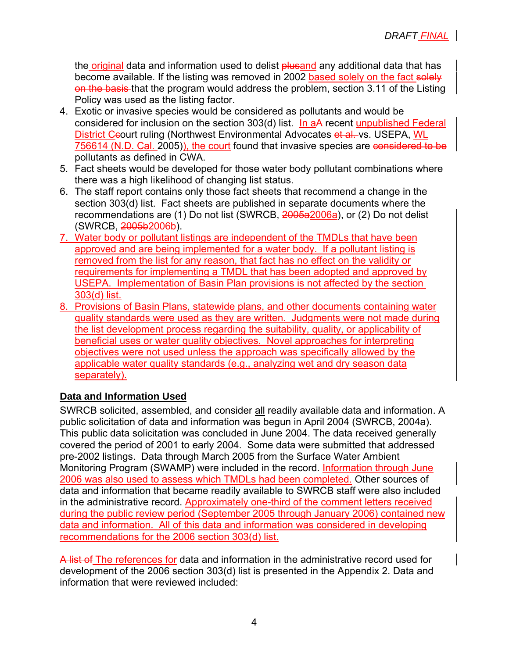<span id="page-13-0"></span>the original data and information used to delist <del>plus</del>and any additional data that has become available. If the listing was removed in 2002 based solely on the fact solely on the basis that the program would address the problem, section 3.11 of the Listing Policy was used as the listing factor.

- 4. Exotic or invasive species would be considered as pollutants and would be considered for inclusion on the section  $303(d)$  list. In  $aA$  recent unpublished Federal District Ceourt ruling (Northwest Environmental Advocates et al. vs. USEPA, WL 756614 (N.D. Cal. 2005)), the court found that invasive species are considered to be pollutants as defined in CWA.
- 5. Fact sheets would be developed for those water body pollutant combinations where there was a high likelihood of changing list status.
- 6. The staff report contains only those fact sheets that recommend a change in the section 303(d) list. Fact sheets are published in separate documents where the recommendations are (1) Do not list (SWRCB, 2005a2006a), or (2) Do not delist (SWRCB, 2005b2006b).
- 7. Water body or pollutant listings are independent of the TMDLs that have been approved and are being implemented for a water body. If a pollutant listing is removed from the list for any reason, that fact has no effect on the validity or requirements for implementing a TMDL that has been adopted and approved by USEPA. Implementation of Basin Plan provisions is not affected by the section 303(d) list.
- 8. Provisions of Basin Plans, statewide plans, and other documents containing water quality standards were used as they are written. Judgments were not made during the list development process regarding the suitability, quality, or applicability of beneficial uses or water quality objectives. Novel approaches for interpreting objectives were not used unless the approach was specifically allowed by the applicable water quality standards (e.g., analyzing wet and dry season data separately).

#### **Data and Information Used**

SWRCB solicited, assembled, and consider all readily available data and information. A public solicitation of data and information was begun in April 2004 (SWRCB, 2004a). This public data solicitation was concluded in June 2004. The data received generally covered the period of 2001 to early 2004. Some data were submitted that addressed pre-2002 listings. Data through March 2005 from the Surface Water Ambient Monitoring Program (SWAMP) were included in the record. Information through June 2006 was also used to assess which TMDLs had been completed. Other sources of data and information that became readily available to SWRCB staff were also included in the administrative record. Approximately one-third of the comment letters received during the public review period (September 2005 through January 2006) contained new data and information. All of this data and information was considered in developing recommendations for the 2006 section 303(d) list.

A list of The references for data and information in the administrative record used for development of the 2006 section 303(d) list is presented in the Appendix 2. Data and information that were reviewed included: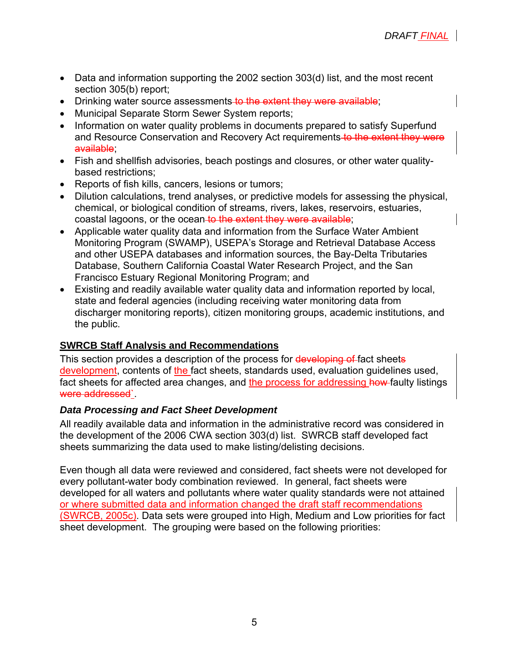- <span id="page-14-0"></span>• Data and information supporting the 2002 section 303(d) list, and the most recent section 305(b) report;
- Drinking water source assessments to the extent they were available;
- Municipal Separate Storm Sewer System reports;
- Information on water quality problems in documents prepared to satisfy Superfund and Resource Conservation and Recovery Act requirements to the extent they were available;
- Fish and shellfish advisories, beach postings and closures, or other water qualitybased restrictions;
- Reports of fish kills, cancers, lesions or tumors;
- Dilution calculations, trend analyses, or predictive models for assessing the physical, chemical, or biological condition of streams, rivers, lakes, reservoirs, estuaries, coastal lagoons, or the ocean to the extent they were available;
- Applicable water quality data and information from the Surface Water Ambient Monitoring Program (SWAMP), USEPA's Storage and Retrieval Database Access and other USEPA databases and information sources, the Bay-Delta Tributaries Database, Southern California Coastal Water Research Project, and the San Francisco Estuary Regional Monitoring Program; and
- Existing and readily available water quality data and information reported by local. state and federal agencies (including receiving water monitoring data from discharger monitoring reports), citizen monitoring groups, academic institutions, and the public.

#### **SWRCB Staff Analysis and Recommendations**

This section provides a description of the process for **developing of fact** sheets development, contents of the fact sheets, standards used, evaluation guidelines used, fact sheets for affected area changes, and the process for addressing how faulty listings were addressed`

#### *Data Processing and Fact Sheet Development*

All readily available data and information in the administrative record was considered in the development of the 2006 CWA section 303(d) list. SWRCB staff developed fact sheets summarizing the data used to make listing/delisting decisions.

Even though all data were reviewed and considered, fact sheets were not developed for every pollutant-water body combination reviewed. In general, fact sheets were developed for all waters and pollutants where water quality standards were not attained or where submitted data and information changed the draft staff recommendations (SWRCB, 2005c). Data sets were grouped into High, Medium and Low priorities for fact sheet development. The grouping were based on the following priorities: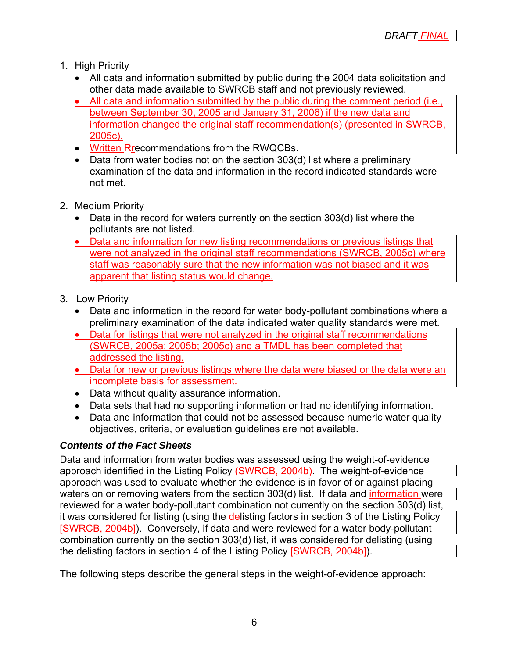- <span id="page-15-0"></span>1. High Priority
	- All data and information submitted by public during the 2004 data solicitation and other data made available to SWRCB staff and not previously reviewed.
	- All data and information submitted by the public during the comment period (i.e., between September 30, 2005 and January 31, 2006) if the new data and information changed the original staff recommendation(s) (presented in SWRCB, 2005c).
	- Written Rrecommendations from the RWQCBs.
	- Data from water bodies not on the section 303(d) list where a preliminary examination of the data and information in the record indicated standards were not met.
- 2. Medium Priority
	- Data in the record for waters currently on the section 303(d) list where the pollutants are not listed.
	- Data and information for new listing recommendations or previous listings that were not analyzed in the original staff recommendations (SWRCB, 2005c) where staff was reasonably sure that the new information was not biased and it was apparent that listing status would change.
- 3. Low Priority
	- Data and information in the record for water body-pollutant combinations where a preliminary examination of the data indicated water quality standards were met.
	- Data for listings that were not analyzed in the original staff recommendations (SWRCB, 2005a; 2005b; 2005c) and a TMDL has been completed that addressed the listing.
	- Data for new or previous listings where the data were biased or the data were an incomplete basis for assessment.
	- Data without quality assurance information.
	- Data sets that had no supporting information or had no identifying information.
	- Data and information that could not be assessed because numeric water quality objectives, criteria, or evaluation guidelines are not available.

## *Contents of the Fact Sheets*

Data and information from water bodies was assessed using the weight-of-evidence approach identified in the Listing Policy (SWRCB, 2004b). The weight-of-evidence approach was used to evaluate whether the evidence is in favor of or against placing waters on or removing waters from the section 303(d) list. If data and information were reviewed for a water body-pollutant combination not currently on the section 303(d) list, it was considered for listing (using the delisting factors in section 3 of the Listing Policy [SWRCB, 2004b]). Conversely, if data and were reviewed for a water body-pollutant combination currently on the section 303(d) list, it was considered for delisting (using the delisting factors in section 4 of the Listing Policy [SWRCB, 2004b]).

The following steps describe the general steps in the weight-of-evidence approach: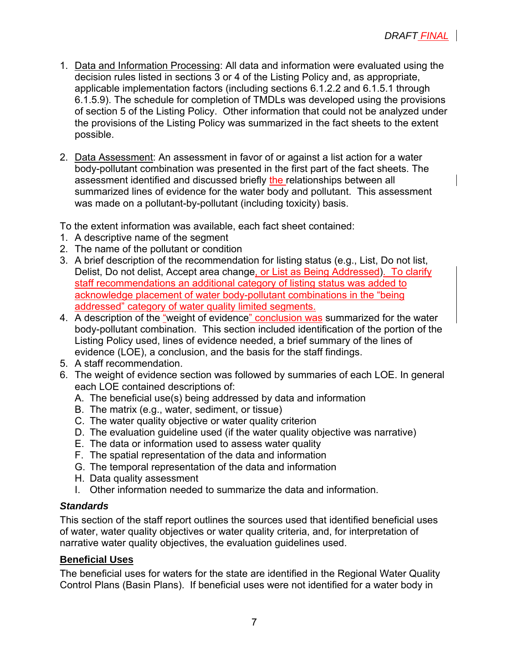- <span id="page-16-0"></span>1. Data and Information Processing: All data and information were evaluated using the decision rules listed in sections 3 or 4 of the Listing Policy and, as appropriate, applicable implementation factors (including sections 6.1.2.2 and 6.1.5.1 through 6.1.5.9). The schedule for completion of TMDLs was developed using the provisions of section 5 of the Listing Policy. Other information that could not be analyzed under the provisions of the Listing Policy was summarized in the fact sheets to the extent possible.
- 2. Data Assessment: An assessment in favor of or against a list action for a water body-pollutant combination was presented in the first part of the fact sheets. The assessment identified and discussed briefly the relationships between all summarized lines of evidence for the water body and pollutant. This assessment was made on a pollutant-by-pollutant (including toxicity) basis.

To the extent information was available, each fact sheet contained:

- 1. A descriptive name of the segment
- 2. The name of the pollutant or condition
- 3. A brief description of the recommendation for listing status (e.g., List, Do not list, Delist, Do not delist, Accept area change, or List as Being Addressed). To clarify staff recommendations an additional category of listing status was added to acknowledge placement of water body-pollutant combinations in the "being addressed" category of water quality limited segments.
- 4. A description of the "weight of evidence" conclusion was summarized for the water body-pollutant combination. This section included identification of the portion of the Listing Policy used, lines of evidence needed, a brief summary of the lines of evidence (LOE), a conclusion, and the basis for the staff findings.
- 5. A staff recommendation.
- 6. The weight of evidence section was followed by summaries of each LOE. In general each LOE contained descriptions of:
	- A. The beneficial use(s) being addressed by data and information
	- B. The matrix (e.g., water, sediment, or tissue)
	- C. The water quality objective or water quality criterion
	- D. The evaluation guideline used (if the water quality objective was narrative)
	- E. The data or information used to assess water quality
	- F. The spatial representation of the data and information
	- G. The temporal representation of the data and information
	- H. Data quality assessment
	- I. Other information needed to summarize the data and information.

#### *Standards*

This section of the staff report outlines the sources used that identified beneficial uses of water, water quality objectives or water quality criteria, and, for interpretation of narrative water quality objectives, the evaluation guidelines used.

#### **Beneficial Uses**

The beneficial uses for waters for the state are identified in the Regional Water Quality Control Plans (Basin Plans). If beneficial uses were not identified for a water body in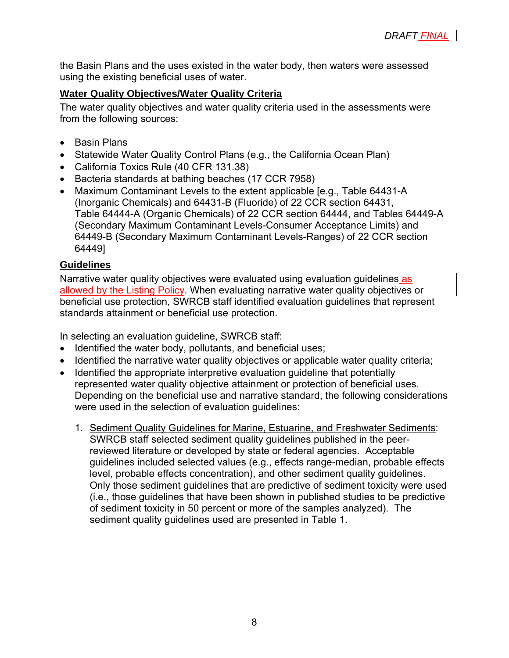<span id="page-17-0"></span>the Basin Plans and the uses existed in the water body, then waters were assessed using the existing beneficial uses of water.

#### **Water Quality Objectives/Water Quality Criteria**

The water quality objectives and water quality criteria used in the assessments were from the following sources:

- Basin Plans
- Statewide Water Quality Control Plans (e.g., the California Ocean Plan)
- California Toxics Rule (40 CFR 131.38)
- Bacteria standards at bathing beaches (17 CCR 7958)
- Maximum Contaminant Levels to the extent applicable [e.g., Table 64431-A (Inorganic Chemicals) and 64431-B (Fluoride) of 22 CCR section 64431, Table 64444-A (Organic Chemicals) of 22 CCR section 64444, and Tables 64449-A (Secondary Maximum Contaminant Levels-Consumer Acceptance Limits) and 64449-B (Secondary Maximum Contaminant Levels-Ranges) of 22 CCR section 64449]

#### **Guidelines**

Narrative water quality objectives were evaluated using evaluation guidelines as allowed by the Listing Policy. When evaluating narrative water quality objectives or beneficial use protection, SWRCB staff identified evaluation guidelines that represent standards attainment or beneficial use protection.

In selecting an evaluation guideline, SWRCB staff:

- Identified the water body, pollutants, and beneficial uses;
- Identified the narrative water quality objectives or applicable water quality criteria;
- Identified the appropriate interpretive evaluation guideline that potentially represented water quality objective attainment or protection of beneficial uses. Depending on the beneficial use and narrative standard, the following considerations were used in the selection of evaluation guidelines:
	- 1. Sediment Quality Guidelines for Marine, Estuarine, and Freshwater Sediments: SWRCB staff selected sediment quality guidelines published in the peerreviewed literature or developed by state or federal agencies. Acceptable guidelines included selected values (e.g., effects range-median, probable effects level, probable effects concentration), and other sediment quality guidelines. Only those sediment guidelines that are predictive of sediment toxicity were used (i.e., those guidelines that have been shown in published studies to be predictive of sediment toxicity in 50 percent or more of the samples analyzed). The sediment quality guidelines used are presented in Table 1.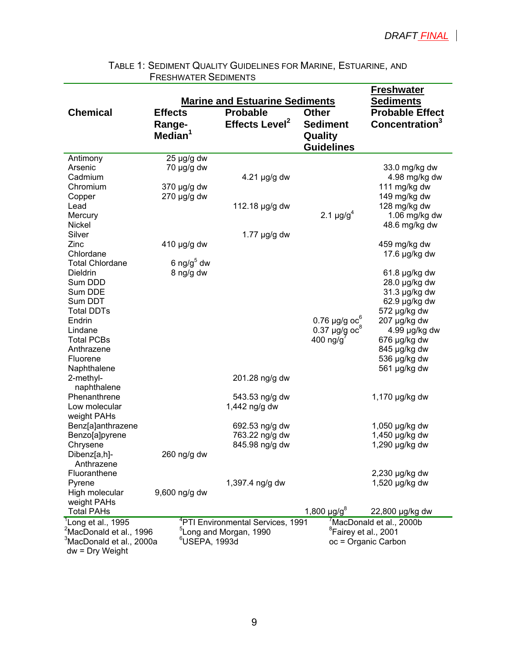<span id="page-18-0"></span>

|                                      |                           |                                               |                                  | <b>Freshwater</b>              |
|--------------------------------------|---------------------------|-----------------------------------------------|----------------------------------|--------------------------------|
|                                      |                           | <b>Marine and Estuarine Sediments</b>         |                                  | <b>Sediments</b>               |
| <b>Chemical</b>                      | <b>Effects</b>            | <b>Probable</b>                               | <b>Other</b>                     | <b>Probable Effect</b>         |
|                                      | Range-                    | Effects Level <sup>2</sup>                    | <b>Sediment</b>                  | Concentration <sup>3</sup>     |
|                                      | Median <sup>1</sup>       |                                               | Quality                          |                                |
|                                      |                           |                                               | <b>Guidelines</b>                |                                |
|                                      |                           |                                               |                                  |                                |
| Antimony                             | $25 \mu g/g$ dw           |                                               |                                  |                                |
| Arsenic<br>Cadmium                   | 70 µg/g dw                | 4.21 $\mu$ g/g dw                             |                                  | 33.0 mg/kg dw<br>4.98 mg/kg dw |
| Chromium                             | $370 \mu g/g$ dw          |                                               |                                  | 111 mg/kg dw                   |
| Copper                               | $270 \mu g/g dw$          |                                               |                                  | 149 mg/kg dw                   |
| Lead                                 |                           | 112.18 µg/g dw                                |                                  | 128 mg/kg dw                   |
| Mercury                              |                           |                                               | 2.1 $\mu$ g/g <sup>4</sup>       | 1.06 mg/kg dw                  |
| <b>Nickel</b>                        |                           |                                               |                                  | 48.6 mg/kg dw                  |
| Silver                               |                           | 1.77 $\mu$ g/g dw                             |                                  |                                |
| Zinc                                 | $410 \mu g/g dw$          |                                               |                                  | 459 mg/kg dw                   |
| Chlordane                            |                           |                                               |                                  | 17.6 $\mu$ g/kg dw             |
| <b>Total Chlordane</b>               | 6 ng/g $5$ dw             |                                               |                                  |                                |
| <b>Dieldrin</b>                      | 8 ng/g dw                 |                                               |                                  | 61.8 µg/kg dw                  |
| Sum DDD                              |                           |                                               |                                  | $28.0 \mu g/kg$ dw             |
| Sum DDE                              |                           |                                               |                                  | $31.3$ µg/kg dw                |
| Sum DDT                              |                           |                                               |                                  | $62.9 \mu g/kg$ dw             |
| <b>Total DDTs</b>                    |                           |                                               |                                  | 572 µg/kg dw                   |
| Endrin                               |                           |                                               | $0.76 \mu g/g$ oc <sup>6</sup>   | 207 µg/kg dw                   |
| Lindane                              |                           |                                               | $0.37 \mu g/g$ oc $^8$           | 4.99 µg/kg dw                  |
| <b>Total PCBs</b>                    |                           |                                               | 400 ng/g                         | 676 µg/kg dw                   |
| Anthrazene                           |                           |                                               |                                  | 845 µg/kg dw                   |
| Fluorene                             |                           |                                               |                                  | 536 µg/kg dw                   |
| Naphthalene                          |                           |                                               |                                  | 561 µg/kg dw                   |
| 2-methyl-                            |                           | 201.28 ng/g dw                                |                                  |                                |
| naphthalene                          |                           |                                               |                                  |                                |
| Phenanthrene                         |                           | 543.53 ng/g dw                                |                                  | $1,170 \mu g/kg$ dw            |
| Low molecular                        |                           | 1,442 ng/g dw                                 |                                  |                                |
| weight PAHs                          |                           |                                               |                                  |                                |
| Benz[a]anthrazene                    |                           | 692.53 ng/g dw                                |                                  | $1,050$ µg/kg dw               |
| Benzo[a]pyrene                       |                           | 763.22 ng/g dw                                |                                  | 1,450 µg/kg dw                 |
| Chrysene                             |                           | 845.98 ng/g dw                                |                                  | 1,290 µg/kg dw                 |
| Dibenz[a,h]-                         | 260 ng/g dw               |                                               |                                  |                                |
| Anthrazene                           |                           |                                               |                                  |                                |
| Fluoranthene                         |                           |                                               |                                  | $2,230 \mu g/kg$ dw            |
| Pyrene                               |                           | 1,397.4 ng/g dw                               |                                  | 1,520 µg/kg dw                 |
| High molecular                       | 9,600 ng/g dw             |                                               |                                  |                                |
| weight PAHs                          |                           |                                               |                                  |                                |
| <b>Total PAHs</b>                    |                           |                                               | 1,800 $\mu$ g/g <sup>8</sup>     | 22,800 µg/kg dw                |
| $1$ Long et al., 1995                |                           | <sup>4</sup> PTI Environmental Services, 1991 |                                  | MacDonald et al., 2000b        |
| <sup>2</sup> MacDonald et al., 1996  |                           | <sup>5</sup> Long and Morgan, 1990            | <sup>8</sup> Fairey et al., 2001 |                                |
| <sup>3</sup> MacDonald et al., 2000a | <sup>6</sup> USEPA, 1993d |                                               |                                  | oc = Organic Carbon            |
| $dw = Dry Weight$                    |                           |                                               |                                  |                                |

#### TABLE 1: SEDIMENT QUALITY GUIDELINES FOR MARINE, ESTUARINE, AND FRESHWATER SEDIMENTS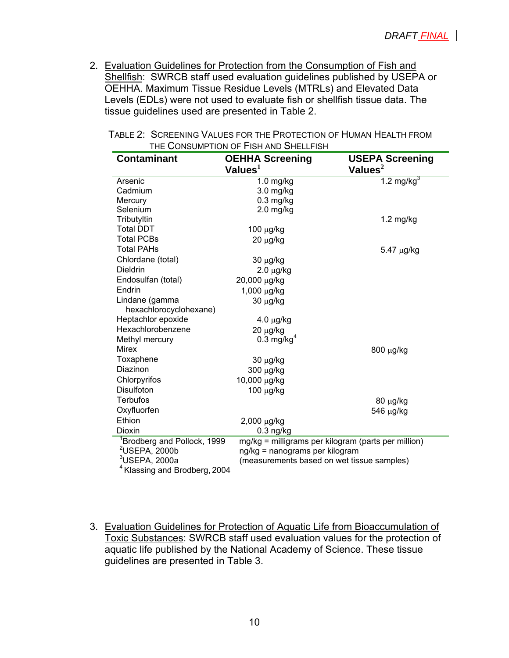<span id="page-19-0"></span>2. Evaluation Guidelines for Protection from the Consumption of Fish and Shellfish: SWRCB staff used evaluation guidelines published by USEPA or OEHHA. Maximum Tissue Residue Levels (MTRLs) and Elevated Data Levels (EDLs) were not used to evaluate fish or shellfish tissue data. The tissue guidelines used are presented in Table 2.

| <b>Contaminant</b>                       | <b>OEHHA Screening</b><br>Values $^1$      | <b>USEPA Screening</b><br>Values $2$                |
|------------------------------------------|--------------------------------------------|-----------------------------------------------------|
| Arsenic                                  | $1.0$ mg/kg                                | 1.2 mg/kg $3$                                       |
| Cadmium                                  | 3.0 mg/kg                                  |                                                     |
| Mercury                                  | $0.3$ mg/kg                                |                                                     |
| Selenium                                 | $2.0$ mg/kg                                |                                                     |
| Tributyltin                              |                                            | $1.2$ mg/kg                                         |
| <b>Total DDT</b>                         | 100 μg/kg                                  |                                                     |
| <b>Total PCBs</b>                        | 20 µg/kg                                   |                                                     |
| <b>Total PAHs</b>                        |                                            | 5.47 µg/kg                                          |
| Chlordane (total)                        | $30 \mu g/kg$                              |                                                     |
| <b>Dieldrin</b>                          | $2.0 \mu g/kg$                             |                                                     |
| Endosulfan (total)                       | 20,000 µg/kg                               |                                                     |
| Endrin                                   | 1,000 µg/kg                                |                                                     |
| Lindane (gamma<br>hexachlorocyclohexane) | $30 \mu g/kg$                              |                                                     |
| Heptachlor epoxide                       | $4.0 \mu g/kg$                             |                                                     |
| Hexachlorobenzene                        | $20 \mu g/kg$                              |                                                     |
| Methyl mercury                           | $0.3$ mg/kg <sup>4</sup>                   |                                                     |
| <b>Mirex</b>                             |                                            | 800 µg/kg                                           |
| Toxaphene                                | $30 \mu g/kg$                              |                                                     |
| Diazinon                                 | 300 µg/kg                                  |                                                     |
| Chlorpyrifos                             | 10,000 µg/kg                               |                                                     |
| <b>Disulfoton</b>                        | 100 μg/kg                                  |                                                     |
| <b>Terbufos</b>                          |                                            | $80 \mu g/kg$                                       |
| Oxyfluorfen                              |                                            | 546 µg/kg                                           |
| Ethion                                   | $2,000 \mu g/kg$                           |                                                     |
| Dioxin                                   | $0.3$ ng/kg                                |                                                     |
| Brodberg and Pollock, 1999               |                                            | mg/kg = milligrams per kilogram (parts per million) |
| <sup>2</sup> USEPA, 2000b                | ng/kg = nanograms per kilogram             |                                                     |
| <sup>3</sup> USEPA, 2000a                | (measurements based on wet tissue samples) |                                                     |
| <sup>4</sup> Klassing and Brodberg, 2004 |                                            |                                                     |

TABLE 2: SCREENING VALUES FOR THE PROTECTION OF HUMAN HEALTH FROM THE CONSUMPTION OF FISH AND SHELLFISH

3. Evaluation Guidelines for Protection of Aquatic Life from Bioaccumulation of Toxic Substances: SWRCB staff used evaluation values for the protection of aquatic life published by the National Academy of Science. These tissue guidelines are presented in Table 3.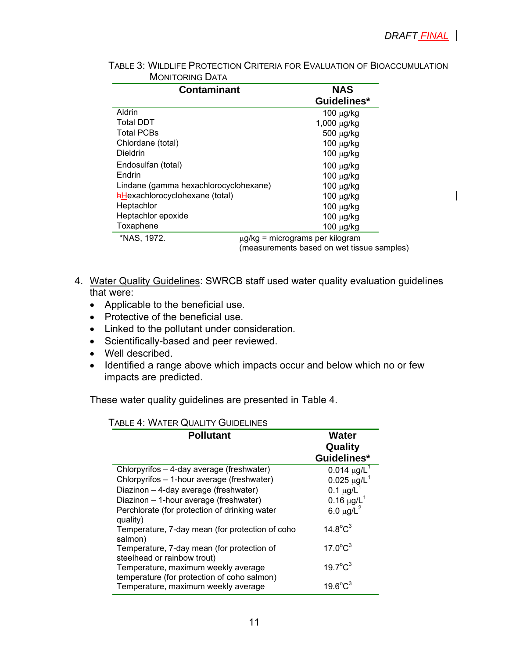<span id="page-20-0"></span>

| <b>Contaminant</b>                    | <b>NAS</b>                                 |
|---------------------------------------|--------------------------------------------|
|                                       | Guidelines*                                |
| Aldrin                                | $100 \mu g/kg$                             |
| <b>Total DDT</b>                      | 1,000 µg/kg                                |
| <b>Total PCBs</b>                     | $500 \mu g/kg$                             |
| Chlordane (total)                     | $100 \mu g/kg$                             |
| <b>Dieldrin</b>                       | $100 \mu g/kg$                             |
| Endosulfan (total)                    | $100 \mu g/kg$                             |
| Endrin                                | $100 \mu g/kg$                             |
| Lindane (gamma hexachlorocyclohexane) | 100 μg/kg                                  |
| <b>AHexachlorocyclohexane (total)</b> | $100 \mu g/kg$                             |
| Heptachlor                            | $100 \mu g/kg$                             |
| Heptachlor epoxide                    | $100 \mu g/kg$                             |
| Toxaphene                             | 100 μg/kg                                  |
| *NAS, 1972.                           | $\mu$ g/kg = micrograms per kilogram       |
|                                       | (measurements based on wet tissue samples) |

|                 | TABLE 3: WILDLIFE PROTECTION CRITERIA FOR EVALUATION OF BIOACCUMULATION |
|-----------------|-------------------------------------------------------------------------|
| MONITORING DATA |                                                                         |

- 4. Water Quality Guidelines: SWRCB staff used water quality evaluation guidelines that were:
	- Applicable to the beneficial use.
	- Protective of the beneficial use.
	- Linked to the pollutant under consideration.
	- Scientifically-based and peer reviewed.
	- Well described.
	- Identified a range above which impacts occur and below which no or few impacts are predicted.

These water quality guidelines are presented in Table 4.

TABLE 4: WATER QUALITY GUIDELINES

| <b>Pollutant</b>                                                                   | Water<br>Quality<br>Guidelines* |
|------------------------------------------------------------------------------------|---------------------------------|
| Chlorpyrifos - 4-day average (freshwater)                                          | $0.014 \mu g/L^{1}$             |
| Chlorpyrifos - 1-hour average (freshwater)                                         | $0.025 \mu g/L$                 |
| Diazinon - 4-day average (freshwater)                                              | $0.1 \mu g/L$                   |
| Diazinon - 1-hour average (freshwater)                                             | $0.16 \mu g/L^1$                |
| Perchlorate (for protection of drinking water<br>quality)                          | 6.0 $\mu$ g/L <sup>2</sup>      |
| Temperature, 7-day mean (for protection of coho<br>salmon)                         | $14.8^{\circ}C^{3}$             |
| Temperature, 7-day mean (for protection of<br>steelhead or rainbow trout)          | $17.0^{\circ}C^{3}$             |
| Temperature, maximum weekly average<br>temperature (for protection of coho salmon) | $19.7^{\circ}C^{3}$             |
| Temperature, maximum weekly average                                                | $19.6^{\circ}C^3$               |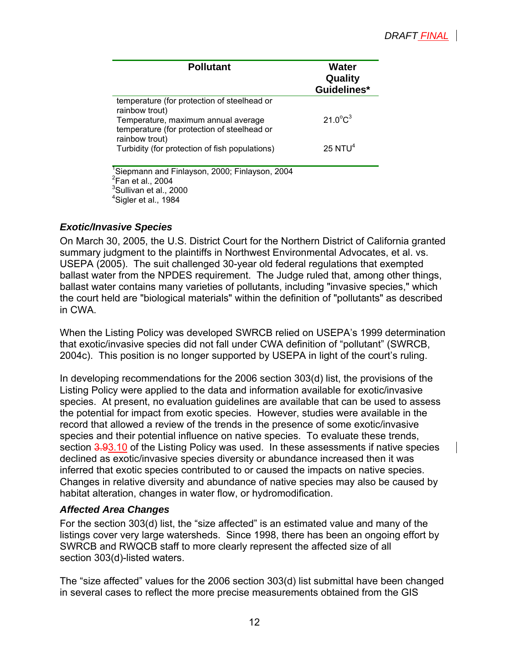<span id="page-21-0"></span>

| <b>Pollutant</b>                                                                                                                                                                                                        | <b>Water</b><br>Quality<br>Guidelines*       |
|-------------------------------------------------------------------------------------------------------------------------------------------------------------------------------------------------------------------------|----------------------------------------------|
| temperature (for protection of steelhead or<br>rainbow trout)<br>Temperature, maximum annual average<br>temperature (for protection of steelhead or<br>rainbow trout)<br>Turbidity (for protection of fish populations) | $21.0^{\circ}C^{3}$<br>$25$ NTU <sup>4</sup> |
| <sup>1</sup> Siepmann and Finlayson, 2000; Finlayson, 2004<br>$2$ Fan et al., 2004<br><sup>3</sup> Sullivan et al., 2000<br><sup>4</sup> Sigler et al., 1984                                                            |                                              |

#### *Exotic/Invasive Species*

On March 30, 2005, the U.S. District Court for the Northern District of California granted summary judgment to the plaintiffs in Northwest Environmental Advocates, et al. vs. USEPA (2005). The suit challenged 30-year old federal regulations that exempted ballast water from the NPDES requirement. The Judge ruled that, among other things, ballast water contains many varieties of pollutants, including "invasive species," which the court held are "biological materials" within the definition of "pollutants" as described in CWA.

When the Listing Policy was developed SWRCB relied on USEPA's 1999 determination that exotic/invasive species did not fall under CWA definition of "pollutant" (SWRCB, 2004c). This position is no longer supported by USEPA in light of the court's ruling.

In developing recommendations for the 2006 section 303(d) list, the provisions of the Listing Policy were applied to the data and information available for exotic/invasive species. At present, no evaluation guidelines are available that can be used to assess the potential for impact from exotic species. However, studies were available in the record that allowed a review of the trends in the presence of some exotic/invasive species and their potential influence on native species. To evaluate these trends, section 3.93.10 of the Listing Policy was used. In these assessments if native species declined as exotic/invasive species diversity or abundance increased then it was inferred that exotic species contributed to or caused the impacts on native species. Changes in relative diversity and abundance of native species may also be caused by habitat alteration, changes in water flow, or hydromodification.

#### *Affected Area Changes*

For the section 303(d) list, the "size affected" is an estimated value and many of the listings cover very large watersheds. Since 1998, there has been an ongoing effort by SWRCB and RWQCB staff to more clearly represent the affected size of all section 303(d)-listed waters.

The "size affected" values for the 2006 section 303(d) list submittal have been changed in several cases to reflect the more precise measurements obtained from the GIS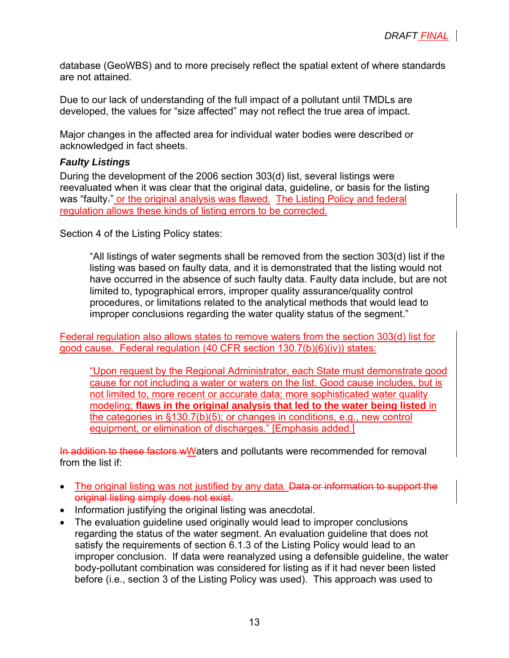<span id="page-22-0"></span>database (GeoWBS) and to more precisely reflect the spatial extent of where standards are not attained.

Due to our lack of understanding of the full impact of a pollutant until TMDLs are developed, the values for "size affected" may not reflect the true area of impact.

Major changes in the affected area for individual water bodies were described or acknowledged in fact sheets.

#### *Faulty Listings*

During the development of the 2006 section 303(d) list, several listings were reevaluated when it was clear that the original data, guideline, or basis for the listing was "faulty-" or the original analysis was flawed. The Listing Policy and federal regulation allows these kinds of listing errors to be corrected.

Section 4 of the Listing Policy states:

"All listings of water segments shall be removed from the section 303(d) list if the listing was based on faulty data, and it is demonstrated that the listing would not have occurred in the absence of such faulty data. Faulty data include, but are not limited to, typographical errors, improper quality assurance/quality control procedures, or limitations related to the analytical methods that would lead to improper conclusions regarding the water quality status of the segment."

Federal regulation also allows states to remove waters from the section 303(d) list for good cause. Federal regulation (40 CFR section 130.7(b)(6)(iv)) states:

"Upon request by the Regional Administrator, each State must demonstrate good cause for not including a water or waters on the list. Good cause includes, but is not limited to, more recent or accurate data; more sophisticated water quality modeling; **flaws in the original analysis that led to the water being listed** in the categories in §130.7(b)(5); or changes in conditions, e.g., new control equipment, or elimination of discharges." [Emphasis added.]

In addition to these factors wWaters and pollutants were recommended for removal from the list if:

- The original listing was not justified by any data. Data or information to support the original listing simply does not exist.
- Information justifying the original listing was anecdotal.
- The evaluation guideline used originally would lead to improper conclusions regarding the status of the water segment. An evaluation guideline that does not satisfy the requirements of section 6.1.3 of the Listing Policy would lead to an improper conclusion. If data were reanalyzed using a defensible guideline, the water body-pollutant combination was considered for listing as if it had never been listed before (i.e., section 3 of the Listing Policy was used). This approach was used to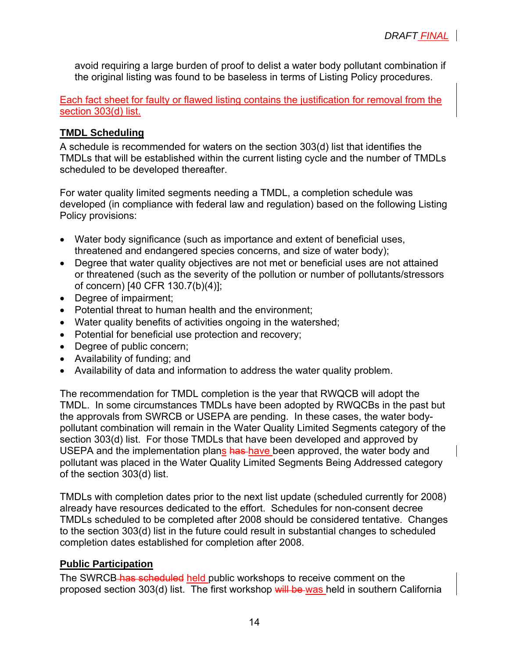<span id="page-23-0"></span>avoid requiring a large burden of proof to delist a water body pollutant combination if the original listing was found to be baseless in terms of Listing Policy procedures.

Each fact sheet for faulty or flawed listing contains the justification for removal from the section 303(d) list.

#### **TMDL Scheduling**

A schedule is recommended for waters on the section 303(d) list that identifies the TMDLs that will be established within the current listing cycle and the number of TMDLs scheduled to be developed thereafter.

For water quality limited segments needing a TMDL, a completion schedule was developed (in compliance with federal law and regulation) based on the following Listing Policy provisions:

- Water body significance (such as importance and extent of beneficial uses, threatened and endangered species concerns, and size of water body);
- Degree that water quality objectives are not met or beneficial uses are not attained or threatened (such as the severity of the pollution or number of pollutants/stressors of concern) [40 CFR 130.7(b)(4)];
- Degree of impairment;
- Potential threat to human health and the environment;
- Water quality benefits of activities ongoing in the watershed;
- Potential for beneficial use protection and recovery;
- Degree of public concern;
- Availability of funding; and
- Availability of data and information to address the water quality problem.

The recommendation for TMDL completion is the year that RWQCB will adopt the TMDL. In some circumstances TMDLs have been adopted by RWQCBs in the past but the approvals from SWRCB or USEPA are pending. In these cases, the water bodypollutant combination will remain in the Water Quality Limited Segments category of the section 303(d) list. For those TMDLs that have been developed and approved by USEPA and the implementation plans has have been approved, the water body and pollutant was placed in the Water Quality Limited Segments Being Addressed category of the section 303(d) list.

TMDLs with completion dates prior to the next list update (scheduled currently for 2008) already have resources dedicated to the effort. Schedules for non-consent decree TMDLs scheduled to be completed after 2008 should be considered tentative. Changes to the section 303(d) list in the future could result in substantial changes to scheduled completion dates established for completion after 2008.

#### **Public Participation**

The SWRCB-has scheduled held public workshops to receive comment on the proposed section 303(d) list. The first workshop will be was held in southern California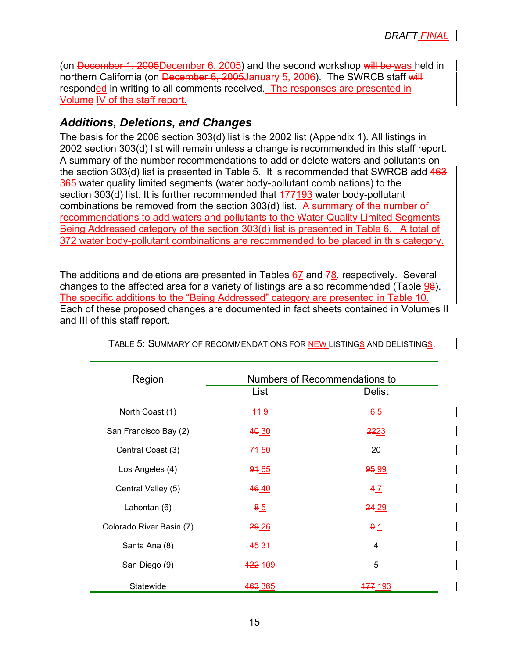<span id="page-24-0"></span>(on December 1, 2005December 6, 2005) and the second workshop will be was held in northern California (on December 6, 2005January 5, 2006). The SWRCB staff will responded in writing to all comments received. The responses are presented in Volume IV of the staff report.

## *Additions, Deletions, and Changes*

The basis for the 2006 section 303(d) list is the 2002 list (Appendix 1). All listings in 2002 section 303(d) list will remain unless a change is recommended in this staff report. A summary of the number recommendations to add or delete waters and pollutants on the section 303(d) list is presented in Table 5. It is recommended that SWRCB add 463 365 water quality limited segments (water body-pollutant combinations) to the section 303(d) list. It is further recommended that 477193 water body-pollutant combinations be removed from the section 303(d) list. A summary of the number of recommendations to add waters and pollutants to the Water Quality Limited Segments Being Addressed category of the section 303(d) list is presented in Table 6. A total of 372 water body-pollutant combinations are recommended to be placed in this category.

The additions and deletions are presented in Tables  $67$  and  $78$ , respectively. Several changes to the affected area for a variety of listings are also recommended (Table 98). The specific additions to the "Being Addressed" category are presented in Table 10. Each of these proposed changes are documented in fact sheets contained in Volumes II and III of this staff report.

| Region                   | Numbers of Recommendations to |                    |  |
|--------------------------|-------------------------------|--------------------|--|
|                          | List                          | <b>Delist</b>      |  |
| North Coast (1)          | 449                           | 65                 |  |
| San Francisco Bay (2)    | 40 30                         | 2223               |  |
| Central Coast (3)        | 74.50                         | 20                 |  |
| Los Angeles (4)          | 9465                          | 9599               |  |
| Central Valley (5)       | 46.40                         | 4 <sub>7</sub>     |  |
| Lahontan (6)             | 85                            | 24.29              |  |
| Colorado River Basin (7) | 29,26                         | $\theta$ 1         |  |
| Santa Ana (8)            | 4531                          | 4                  |  |
| San Diego (9)            | <del>122</del> 109            | 5                  |  |
| Statewide                | 463 365                       | <del>177</del> 193 |  |

TABLE 5: SUMMARY OF RECOMMENDATIONS FOR NEW LISTINGS AND DELISTINGS.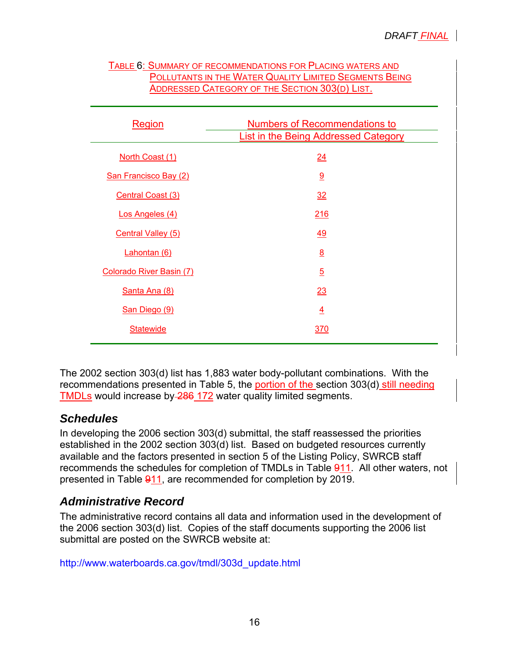| <b>Region</b>            | <b>Numbers of Recommendations to</b><br>List in the Being Addressed Category |
|--------------------------|------------------------------------------------------------------------------|
| North Coast (1)          | 24                                                                           |
| San Francisco Bay (2)    | $\overline{\mathbf{8}}$                                                      |
| Central Coast (3)        | 32                                                                           |
| Los Angeles (4)          | 216                                                                          |
| Central Valley (5)       | 49                                                                           |
| Lahontan (6)             | $\underline{8}$                                                              |
| Colorado River Basin (7) | $\overline{5}$                                                               |
| Santa Ana (8)            | 23                                                                           |
| San Diego (9)            | $\overline{4}$                                                               |
| <b>Statewide</b>         | 370                                                                          |
|                          |                                                                              |

#### <span id="page-25-0"></span>TABLE 6: SUMMARY OF RECOMMENDATIONS FOR PLACING WATERS AND POLLUTANTS IN THE WATER QUALITY LIMITED SEGMENTS BEING ADDRESSED CATEGORY OF THE SECTION 303(D) LIST.

The 2002 section 303(d) list has 1,883 water body-pollutant combinations. With the recommendations presented in Table 5, the portion of the section 303(d) still needing TMDLs would increase by 286 172 water quality limited segments.

## *Schedules*

In developing the 2006 section 303(d) submittal, the staff reassessed the priorities established in the 2002 section 303(d) list. Based on budgeted resources currently available and the factors presented in section 5 of the Listing Policy, SWRCB staff recommends the schedules for completion of TMDLs in Table 911. All other waters, not presented in Table 911, are recommended for completion by 2019.

## *Administrative Record*

The administrative record contains all data and information used in the development of the 2006 section 303(d) list. Copies of the staff documents supporting the 2006 list submittal are posted on the SWRCB website at:

[http://www.waterboards.ca.gov/tmdl/303d\\_update.html](http://www.swrcb.ca.gov/)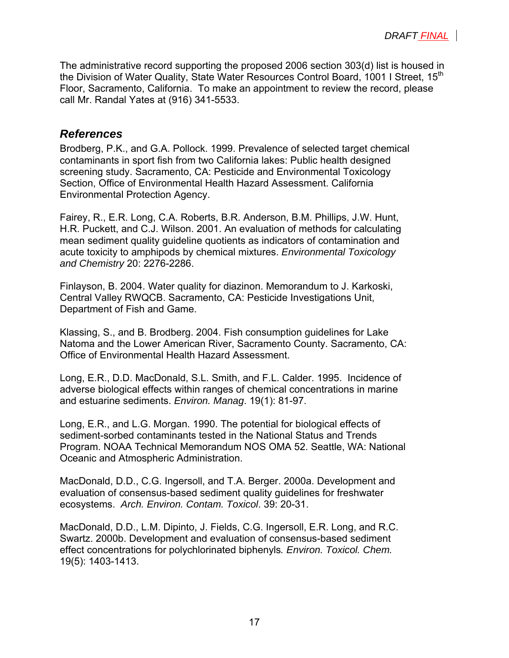<span id="page-26-0"></span>The administrative record supporting the proposed 2006 section 303(d) list is housed in the Division of Water Quality, State Water Resources Control Board, 1001 I Street, 15<sup>th</sup> Floor, Sacramento, California. To make an appointment to review the record, please call Mr. Randal Yates at (916) 341-5533.

### *References*

Brodberg, P.K., and G.A. Pollock. 1999. Prevalence of selected target chemical contaminants in sport fish from two California lakes: Public health designed screening study. Sacramento, CA: Pesticide and Environmental Toxicology Section, Office of Environmental Health Hazard Assessment. California Environmental Protection Agency.

Fairey, R., E.R. Long, C.A. Roberts, B.R. Anderson, B.M. Phillips, J.W. Hunt, H.R. Puckett, and C.J. Wilson. 2001. An evaluation of methods for calculating mean sediment quality guideline quotients as indicators of contamination and acute toxicity to amphipods by chemical mixtures. *Environmental Toxicology and Chemistry* 20: 2276-2286.

Finlayson, B. 2004. Water quality for diazinon. Memorandum to J. Karkoski, Central Valley RWQCB. Sacramento, CA: Pesticide Investigations Unit, Department of Fish and Game.

Klassing, S., and B. Brodberg. 2004. Fish consumption guidelines for Lake Natoma and the Lower American River, Sacramento County. Sacramento, CA: Office of Environmental Health Hazard Assessment.

Long, E.R., D.D. MacDonald, S.L. Smith, and F.L. Calder. 1995. Incidence of adverse biological effects within ranges of chemical concentrations in marine and estuarine sediments. *Environ. Manag*. 19(1): 81-97.

Long, E.R., and L.G. Morgan. 1990. The potential for biological effects of sediment-sorbed contaminants tested in the National Status and Trends Program. NOAA Technical Memorandum NOS OMA 52. Seattle, WA: National Oceanic and Atmospheric Administration.

MacDonald, D.D., C.G. Ingersoll, and T.A. Berger. 2000a. Development and evaluation of consensus-based sediment quality guidelines for freshwater ecosystems. *Arch. Environ. Contam. Toxicol*. 39: 20-31.

MacDonald, D.D., L.M. Dipinto, J. Fields, C.G. Ingersoll, E.R. Long, and R.C. Swartz. 2000b. Development and evaluation of consensus-based sediment effect concentrations for polychlorinated biphenyls*. Environ. Toxicol. Chem.* 19(5): 1403-1413.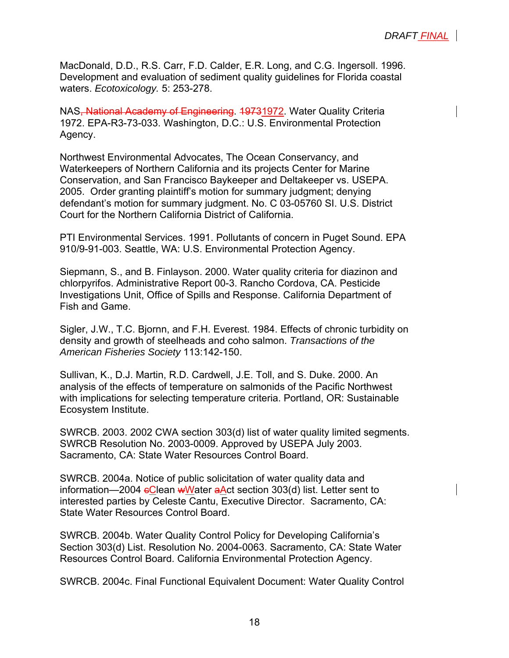MacDonald, D.D., R.S. Carr, F.D. Calder, E.R. Long, and C.G. Ingersoll. 1996. Development and evaluation of sediment quality guidelines for Florida coastal waters. *Ecotoxicology.* 5: 253-278.

NAS, National Academy of Engineering. 19731972. Water Quality Criteria 1972. EPA-R3-73-033. Washington, D.C.: U.S. Environmental Protection Agency.

Northwest Environmental Advocates, The Ocean Conservancy, and Waterkeepers of Northern California and its projects Center for Marine Conservation, and San Francisco Baykeeper and Deltakeeper vs. USEPA. 2005. Order granting plaintiff's motion for summary judgment; denying defendant's motion for summary judgment. No. C 03-05760 SI. U.S. District Court for the Northern California District of California.

PTI Environmental Services. 1991. Pollutants of concern in Puget Sound. EPA 910/9-91-003. Seattle, WA: U.S. Environmental Protection Agency.

Siepmann, S., and B. Finlayson. 2000. Water quality criteria for diazinon and chlorpyrifos. Administrative Report 00-3. Rancho Cordova, CA. Pesticide Investigations Unit, Office of Spills and Response. California Department of Fish and Game.

Sigler, J.W., T.C. Bjornn, and F.H. Everest. 1984. Effects of chronic turbidity on density and growth of steelheads and coho salmon. *Transactions of the American Fisheries Society* 113:142-150.

Sullivan, K., D.J. Martin, R.D. Cardwell, J.E. Toll, and S. Duke. 2000. An analysis of the effects of temperature on salmonids of the Pacific Northwest with implications for selecting temperature criteria. Portland, OR: Sustainable Ecosystem Institute.

SWRCB. 2003. 2002 CWA section 303(d) list of water quality limited segments. SWRCB Resolution No. 2003-0009. Approved by USEPA July 2003. Sacramento, CA: State Water Resources Control Board.

SWRCB. 2004a. Notice of public solicitation of water quality data and information—2004  $\epsilon$ Clean wWater aAct section 303(d) list. Letter sent to interested parties by Celeste Cantu, Executive Director. Sacramento, CA: State Water Resources Control Board.

SWRCB. 2004b. Water Quality Control Policy for Developing California's Section 303(d) List. Resolution No. 2004-0063. Sacramento, CA: State Water Resources Control Board. California Environmental Protection Agency.

SWRCB. 2004c. Final Functional Equivalent Document: Water Quality Control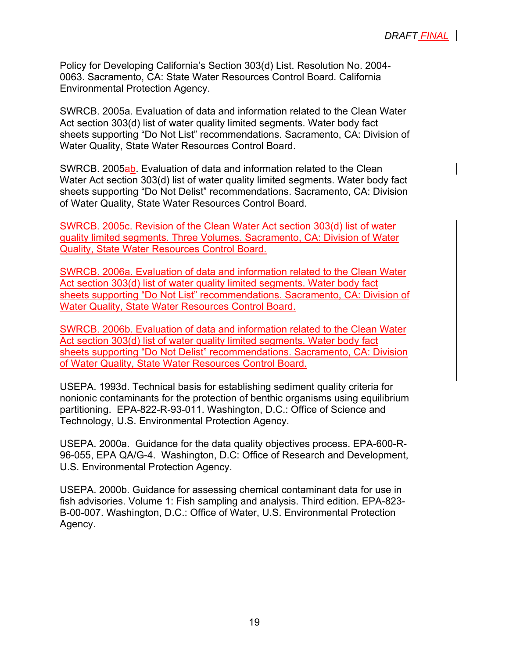Policy for Developing California's Section 303(d) List. Resolution No. 2004- 0063. Sacramento, CA: State Water Resources Control Board. California Environmental Protection Agency.

SWRCB. 2005a. Evaluation of data and information related to the Clean Water Act section 303(d) list of water quality limited segments. Water body fact sheets supporting "Do Not List" recommendations. Sacramento, CA: Division of Water Quality, State Water Resources Control Board.

SWRCB. 2005ab. Evaluation of data and information related to the Clean Water Act section 303(d) list of water quality limited segments. Water body fact sheets supporting "Do Not Delist" recommendations. Sacramento, CA: Division of Water Quality, State Water Resources Control Board.

SWRCB. 2005c. Revision of the Clean Water Act section 303(d) list of water quality limited segments. Three Volumes. Sacramento, CA: Division of Water Quality, State Water Resources Control Board.

SWRCB. 2006a. Evaluation of data and information related to the Clean Water Act section 303(d) list of water quality limited segments. Water body fact sheets supporting "Do Not List" recommendations. Sacramento, CA: Division of Water Quality, State Water Resources Control Board.

SWRCB. 2006b. Evaluation of data and information related to the Clean Water Act section 303(d) list of water quality limited segments. Water body fact sheets supporting "Do Not Delist" recommendations. Sacramento, CA: Division of Water Quality, State Water Resources Control Board.

USEPA. 1993d. Technical basis for establishing sediment quality criteria for nonionic contaminants for the protection of benthic organisms using equilibrium partitioning. EPA-822-R-93-011. Washington, D.C.: Office of Science and Technology, U.S. Environmental Protection Agency.

USEPA. 2000a. Guidance for the data quality objectives process. EPA-600-R-96-055, EPA QA/G-4. Washington, D.C: Office of Research and Development, U.S. Environmental Protection Agency.

USEPA. 2000b. Guidance for assessing chemical contaminant data for use in fish advisories. Volume 1: Fish sampling and analysis. Third edition. EPA-823- B-00-007. Washington, D.C.: Office of Water, U.S. Environmental Protection Agency.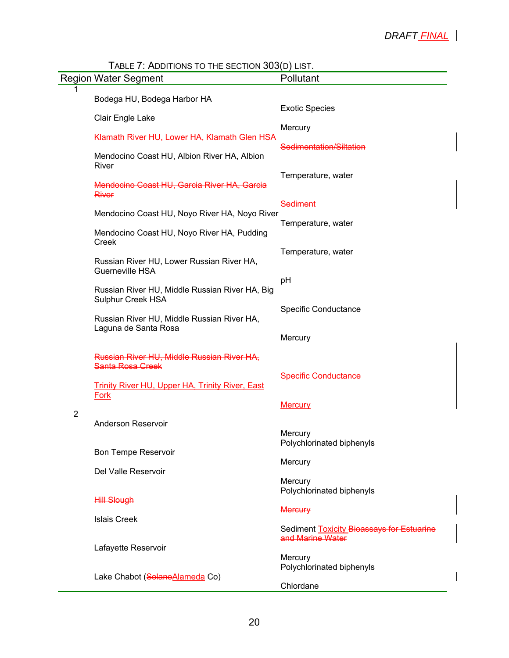TABLE 7: ADDITIONS TO THE SECTION 303(D) LIST.

<span id="page-29-0"></span>

|                | $\frac{1}{2}$ , $\frac{1}{2}$ , $\frac{1}{2}$ , $\frac{1}{2}$ , $\frac{1}{2}$ , $\frac{1}{2}$ , $\frac{1}{2}$ , $\frac{1}{2}$ , $\frac{1}{2}$ , $\frac{1}{2}$ , $\frac{1}{2}$ , $\frac{1}{2}$ , $\frac{1}{2}$ , $\frac{1}{2}$ , $\frac{1}{2}$ , $\frac{1}{2}$ , $\frac{1}{2}$ , $\frac{1}{2}$ , $\frac{1$<br>Region Water Segment | Pollutant                                 |
|----------------|-----------------------------------------------------------------------------------------------------------------------------------------------------------------------------------------------------------------------------------------------------------------------------------------------------------------------------------|-------------------------------------------|
| 1              | Bodega HU, Bodega Harbor HA                                                                                                                                                                                                                                                                                                       |                                           |
|                |                                                                                                                                                                                                                                                                                                                                   | <b>Exotic Species</b>                     |
|                | Clair Engle Lake                                                                                                                                                                                                                                                                                                                  | Mercury                                   |
|                | Klamath River HU, Lower HA, Klamath Glen HSA                                                                                                                                                                                                                                                                                      |                                           |
|                | Mendocino Coast HU, Albion River HA, Albion                                                                                                                                                                                                                                                                                       | Sedimentation/Siltation                   |
|                | River                                                                                                                                                                                                                                                                                                                             |                                           |
|                | Mendocino Coast HU, Garcia River HA, Garcia                                                                                                                                                                                                                                                                                       | Temperature, water                        |
|                | River                                                                                                                                                                                                                                                                                                                             | Sediment                                  |
|                | Mendocino Coast HU, Noyo River HA, Noyo River                                                                                                                                                                                                                                                                                     |                                           |
|                | Mendocino Coast HU, Noyo River HA, Pudding                                                                                                                                                                                                                                                                                        | Temperature, water                        |
|                | Creek                                                                                                                                                                                                                                                                                                                             | Temperature, water                        |
|                | Russian River HU, Lower Russian River HA,                                                                                                                                                                                                                                                                                         |                                           |
|                | Guerneville HSA                                                                                                                                                                                                                                                                                                                   | pH                                        |
|                | Russian River HU, Middle Russian River HA, Big                                                                                                                                                                                                                                                                                    |                                           |
|                | Sulphur Creek HSA                                                                                                                                                                                                                                                                                                                 | Specific Conductance                      |
|                | Russian River HU, Middle Russian River HA,<br>Laguna de Santa Rosa                                                                                                                                                                                                                                                                |                                           |
|                |                                                                                                                                                                                                                                                                                                                                   | Mercury                                   |
|                | Russian River HU, Middle Russian River HA,                                                                                                                                                                                                                                                                                        |                                           |
|                | Santa Rosa Creek                                                                                                                                                                                                                                                                                                                  | <b>Specific Conductance</b>               |
|                | <b>Trinity River HU, Upper HA, Trinity River, East</b>                                                                                                                                                                                                                                                                            |                                           |
|                | <b>Fork</b>                                                                                                                                                                                                                                                                                                                       | <b>Mercury</b>                            |
| $\overline{2}$ |                                                                                                                                                                                                                                                                                                                                   |                                           |
|                | <b>Anderson Reservoir</b>                                                                                                                                                                                                                                                                                                         | Mercury                                   |
|                | <b>Bon Tempe Reservoir</b>                                                                                                                                                                                                                                                                                                        | Polychlorinated biphenyls                 |
|                |                                                                                                                                                                                                                                                                                                                                   | Mercury                                   |
|                | Del Valle Reservoir                                                                                                                                                                                                                                                                                                               | Mercury                                   |
|                |                                                                                                                                                                                                                                                                                                                                   | Polychlorinated biphenyls                 |
|                | <b>Hill Slough</b>                                                                                                                                                                                                                                                                                                                | <b>Mercury</b>                            |
|                | <b>Islais Creek</b>                                                                                                                                                                                                                                                                                                               | Sediment Toxicity Bioassays for Estuarine |
|                |                                                                                                                                                                                                                                                                                                                                   | and Marine Water                          |
|                | Lafayette Reservoir                                                                                                                                                                                                                                                                                                               | Mercury                                   |
|                |                                                                                                                                                                                                                                                                                                                                   | Polychlorinated biphenyls                 |
|                | Lake Chabot (Solano Alameda Co)                                                                                                                                                                                                                                                                                                   | Chlordane                                 |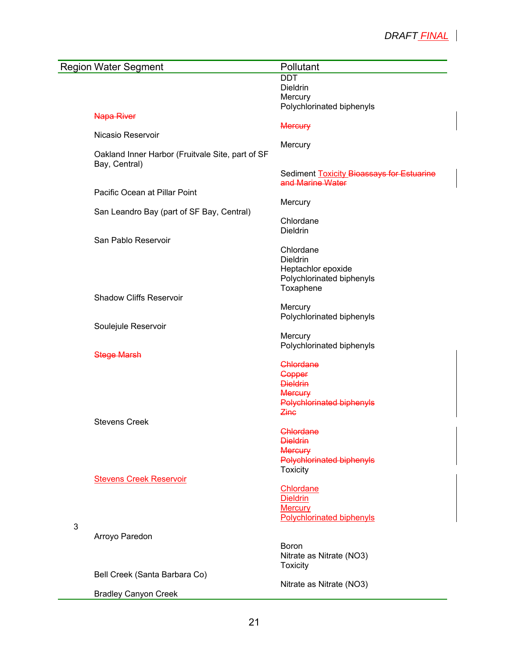|   | <b>Region Water Segment</b>                      | Pollutant                                        |
|---|--------------------------------------------------|--------------------------------------------------|
|   |                                                  | <b>DDT</b>                                       |
|   |                                                  | <b>Dieldrin</b>                                  |
|   |                                                  | Mercury                                          |
|   |                                                  | Polychlorinated biphenyls                        |
|   | Napa River                                       |                                                  |
|   | Nicasio Reservoir                                | <b>Mercury</b>                                   |
|   |                                                  | Mercury                                          |
|   | Oakland Inner Harbor (Fruitvale Site, part of SF |                                                  |
|   | Bay, Central)                                    |                                                  |
|   |                                                  | Sediment <b>Toxicity Bioassays for Estuarine</b> |
|   |                                                  | and Marine Water                                 |
|   | Pacific Ocean at Pillar Point                    |                                                  |
|   |                                                  | Mercury                                          |
|   | San Leandro Bay (part of SF Bay, Central)        | Chlordane                                        |
|   |                                                  | <b>Dieldrin</b>                                  |
|   | San Pablo Reservoir                              |                                                  |
|   |                                                  | Chlordane                                        |
|   |                                                  | <b>Dieldrin</b>                                  |
|   |                                                  | Heptachlor epoxide                               |
|   |                                                  | Polychlorinated biphenyls                        |
|   |                                                  | Toxaphene                                        |
|   | <b>Shadow Cliffs Reservoir</b>                   |                                                  |
|   |                                                  | Mercury                                          |
|   |                                                  | Polychlorinated biphenyls                        |
|   | Soulejule Reservoir                              | Mercury                                          |
|   |                                                  | Polychlorinated biphenyls                        |
|   | <b>Stege Marsh</b>                               |                                                  |
|   |                                                  | Chlordane                                        |
|   |                                                  | <b>Copper</b>                                    |
|   |                                                  | <b>Dieldrin</b>                                  |
|   |                                                  | <b>Mercury</b>                                   |
|   |                                                  | Polychlorinated biphenyls                        |
|   |                                                  | Zine                                             |
|   | <b>Stevens Creek</b>                             | Chlordane                                        |
|   |                                                  | <b>Dieldrin</b>                                  |
|   |                                                  | <b>Mercury</b>                                   |
|   |                                                  | Polychlorinated biphenyls                        |
|   |                                                  | <b>Toxicity</b>                                  |
|   | <b>Stevens Creek Reservoir</b>                   |                                                  |
|   |                                                  | Chlordane                                        |
|   |                                                  | <b>Dieldrin</b>                                  |
|   |                                                  | <b>Mercury</b>                                   |
|   |                                                  | <b>Polychlorinated biphenyls</b>                 |
| 3 | Arroyo Paredon                                   |                                                  |
|   |                                                  | Boron                                            |
|   |                                                  | Nitrate as Nitrate (NO3)                         |
|   |                                                  | <b>Toxicity</b>                                  |
|   | Bell Creek (Santa Barbara Co)                    |                                                  |
|   |                                                  | Nitrate as Nitrate (NO3)                         |
|   | <b>Bradley Canyon Creek</b>                      |                                                  |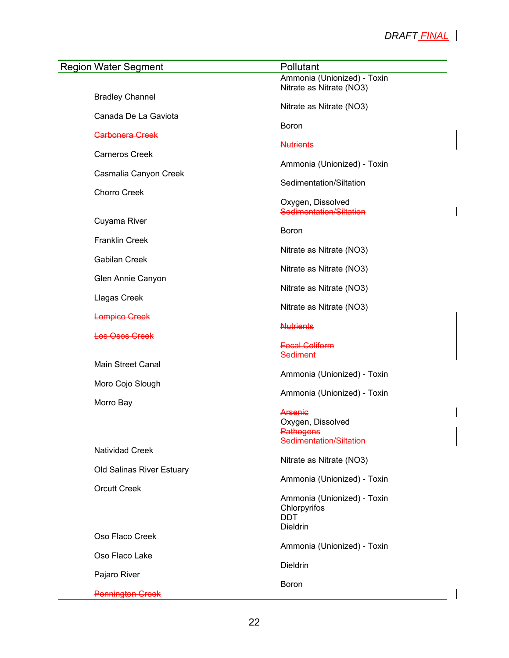$\overline{\phantom{a}}$ 

 $\overline{\phantom{a}}$ 

 $\overline{\phantom{a}}$ 

| <b>Region Water Segment</b>                               | Pollutant                                               |
|-----------------------------------------------------------|---------------------------------------------------------|
|                                                           | Ammonia (Unionized) - Toxin<br>Nitrate as Nitrate (NO3) |
| <b>Bradley Channel</b>                                    |                                                         |
| Canada De La Gaviota                                      | Nitrate as Nitrate (NO3)                                |
| Carbonera Creek                                           | Boron                                                   |
| <b>Carneros Creek</b>                                     | <b>Nutrients</b>                                        |
| Casmalia Canyon Creek                                     | Ammonia (Unionized) - Toxin                             |
| <b>Chorro Creek</b>                                       | Sedimentation/Siltation                                 |
|                                                           | Oxygen, Dissolved<br>Sedimentation/Siltation            |
| Cuyama River                                              | Boron                                                   |
| <b>Franklin Creek</b>                                     | Nitrate as Nitrate (NO3)                                |
| <b>Gabilan Creek</b>                                      | Nitrate as Nitrate (NO3)                                |
| Glen Annie Canyon                                         | Nitrate as Nitrate (NO3)                                |
| Llagas Creek                                              | Nitrate as Nitrate (NO3)                                |
| <b>Lompico Creek</b>                                      | <b>Nutrients</b>                                        |
| <b>Los Osos Creek</b>                                     | <b>Fecal Coliform</b>                                   |
|                                                           | <b>Sediment</b>                                         |
| <b>Main Street Canal</b>                                  | Ammonia (Unionized) - Toxin                             |
| Moro Cojo Slough                                          | Ammonia (Unionized) - Toxin                             |
| Morro Bay                                                 | Arsenie                                                 |
|                                                           | Oxygen, Dissolved<br>Pathogens                          |
| <b>Natividad Creek</b>                                    | Sedimentation/Siltation                                 |
|                                                           | Nitrate as Nitrate (NO3)                                |
| Old Salinas River Estuary                                 | Ammonia (Unionized) - Toxin                             |
| <b>Orcutt Creek</b>                                       | Ammonia (Unionized) - Toxin                             |
|                                                           | Chlorpyrifos<br><b>DDT</b>                              |
| Oso Flaco Creek                                           | <b>Dieldrin</b>                                         |
|                                                           | Ammonia (Unionized) - Toxin                             |
|                                                           | Dieldrin                                                |
|                                                           | Boron                                                   |
| Oso Flaco Lake<br>Pajaro River<br><b>Pennington Creek</b> |                                                         |

j.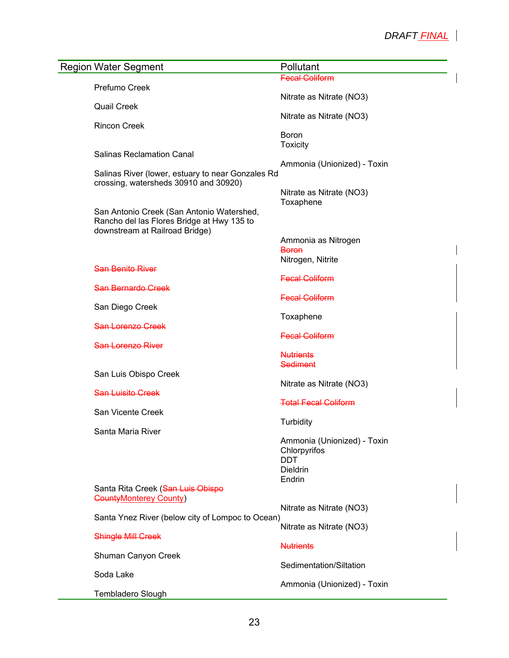| <b>Region Water Segment</b> |                                                                                                                           | Pollutant                                                                    |
|-----------------------------|---------------------------------------------------------------------------------------------------------------------------|------------------------------------------------------------------------------|
|                             |                                                                                                                           | <b>Fecal Coliform</b>                                                        |
| Prefumo Creek               |                                                                                                                           | Nitrate as Nitrate (NO3)                                                     |
| <b>Quail Creek</b>          |                                                                                                                           | Nitrate as Nitrate (NO3)                                                     |
| <b>Rincon Creek</b>         |                                                                                                                           | Boron                                                                        |
|                             | <b>Salinas Reclamation Canal</b>                                                                                          | <b>Toxicity</b>                                                              |
|                             | Salinas River (lower, estuary to near Gonzales Rd<br>crossing, watersheds 30910 and 30920)                                | Ammonia (Unionized) - Toxin                                                  |
|                             |                                                                                                                           | Nitrate as Nitrate (NO3)<br>Toxaphene                                        |
|                             | San Antonio Creek (San Antonio Watershed,<br>Rancho del las Flores Bridge at Hwy 135 to<br>downstream at Railroad Bridge) |                                                                              |
|                             |                                                                                                                           | Ammonia as Nitrogen<br>Boron<br>Nitrogen, Nitrite                            |
| <b>San Benito River</b>     |                                                                                                                           | <b>Fecal Coliform</b>                                                        |
|                             | San Bernardo Creek                                                                                                        | <b>Fecal Coliform</b>                                                        |
| San Diego Creek             |                                                                                                                           | Toxaphene                                                                    |
|                             | San Lorenzo Creek                                                                                                         | <b>Fecal Coliform</b>                                                        |
|                             | San Lorenzo River                                                                                                         | <b>Nutrients</b>                                                             |
|                             | San Luis Obispo Creek                                                                                                     | Sediment                                                                     |
| <b>San Luisito Creek</b>    |                                                                                                                           | Nitrate as Nitrate (NO3)                                                     |
|                             | San Vicente Creek                                                                                                         | <b>Total Fecal Coliform</b>                                                  |
|                             | Santa Maria River                                                                                                         | Turbidity                                                                    |
|                             |                                                                                                                           | Ammonia (Unionized) - Toxin<br>Chlorpyrifos<br><b>DDT</b><br><b>Dieldrin</b> |
|                             | Santa Rita Creek (San Luis Obispe<br><b>CountyMonterey County)</b>                                                        | Endrin                                                                       |
|                             | Santa Ynez River (below city of Lompoc to Ocean)                                                                          | Nitrate as Nitrate (NO3)                                                     |
|                             | <b>Shingle Mill Creek</b>                                                                                                 | Nitrate as Nitrate (NO3)                                                     |
|                             | Shuman Canyon Creek                                                                                                       | <b>Nutrients</b>                                                             |
| Soda Lake                   |                                                                                                                           | Sedimentation/Siltation                                                      |
|                             | Tembladero Slough                                                                                                         | Ammonia (Unionized) - Toxin                                                  |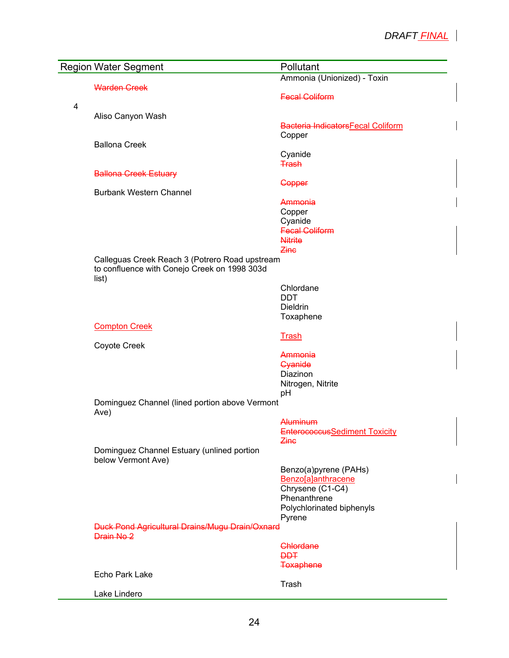|   | <b>Region Water Segment</b>                                                                             | Pollutant                                 |
|---|---------------------------------------------------------------------------------------------------------|-------------------------------------------|
|   |                                                                                                         | Ammonia (Unionized) - Toxin               |
|   | <b>Warden Creek</b>                                                                                     | <b>Fecal Coliform</b>                     |
| 4 |                                                                                                         |                                           |
|   | Aliso Canyon Wash                                                                                       |                                           |
|   |                                                                                                         | Bacteria IndicatorsFecal Coliform         |
|   |                                                                                                         | Copper                                    |
|   | <b>Ballona Creek</b>                                                                                    |                                           |
|   |                                                                                                         | Cyanide<br><b>Trash</b>                   |
|   | <b>Ballona Creek Estuary</b>                                                                            |                                           |
|   |                                                                                                         | <b>Copper</b>                             |
|   | <b>Burbank Western Channel</b>                                                                          |                                           |
|   |                                                                                                         | Ammonia                                   |
|   |                                                                                                         | Copper<br>Cyanide                         |
|   |                                                                                                         | <b>Fecal Coliform</b>                     |
|   |                                                                                                         | <b>Nitrite</b>                            |
|   |                                                                                                         | Zine                                      |
|   | Calleguas Creek Reach 3 (Potrero Road upstream<br>to confluence with Conejo Creek on 1998 303d<br>list) |                                           |
|   |                                                                                                         | Chlordane                                 |
|   |                                                                                                         | <b>DDT</b>                                |
|   |                                                                                                         | <b>Dieldrin</b>                           |
|   | <b>Compton Creek</b>                                                                                    | Toxaphene                                 |
|   |                                                                                                         | <b>Trash</b>                              |
|   | Coyote Creek                                                                                            |                                           |
|   |                                                                                                         | Ammonia                                   |
|   |                                                                                                         | <b>Cyanide</b>                            |
|   |                                                                                                         | Diazinon<br>Nitrogen, Nitrite             |
|   |                                                                                                         | pH                                        |
|   | Dominguez Channel (lined portion above Vermont<br>Ave)                                                  |                                           |
|   |                                                                                                         | <b>Aluminum</b>                           |
|   |                                                                                                         | <b>EnterococcusSediment Toxicity</b>      |
|   | Dominguez Channel Estuary (unlined portion<br>below Vermont Ave)                                        | <del>Zinc</del>                           |
|   |                                                                                                         | Benzo(a)pyrene (PAHs)                     |
|   |                                                                                                         | Benzo[a]anthracene                        |
|   |                                                                                                         | Chrysene (C1-C4)                          |
|   |                                                                                                         | Phenanthrene<br>Polychlorinated biphenyls |
|   |                                                                                                         | Pyrene                                    |
|   | <b>Duck Pond Agricultural Drains/Mugu Drain/Oxnard</b><br>Drain No 2                                    |                                           |
|   |                                                                                                         | Chlordane                                 |
|   |                                                                                                         | <b>DDT</b>                                |
|   | Echo Park Lake                                                                                          | <b>Toxaphene</b>                          |
|   |                                                                                                         | Trash                                     |
|   | Lake Lindero                                                                                            |                                           |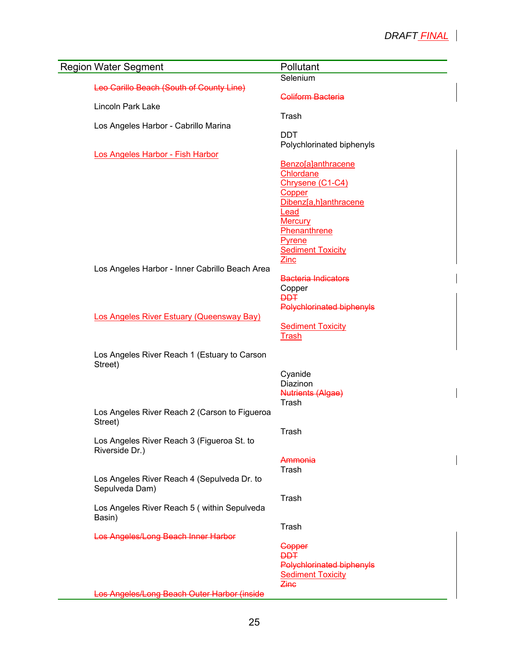| <b>Region Water Segment</b>                    | Pollutant                        |
|------------------------------------------------|----------------------------------|
|                                                | Selenium                         |
| Leo Carillo Beach (South of County Line)       |                                  |
| <b>Lincoln Park Lake</b>                       | Coliform Bacteria                |
|                                                | Trash                            |
| Los Angeles Harbor - Cabrillo Marina           |                                  |
|                                                | <b>DDT</b>                       |
|                                                | Polychlorinated biphenyls        |
| Los Angeles Harbor - Fish Harbor               |                                  |
|                                                | Benzo[a]anthracene               |
|                                                | Chlordane                        |
|                                                | Chrysene (C1-C4)                 |
|                                                | Copper<br>Dibenz[a,h]anthracene  |
|                                                | Lead                             |
|                                                | <b>Mercury</b>                   |
|                                                | Phenanthrene                     |
|                                                | Pyrene                           |
|                                                | <b>Sediment Toxicity</b>         |
|                                                | Zinc                             |
| Los Angeles Harbor - Inner Cabrillo Beach Area |                                  |
|                                                | Bacteria Indicators              |
|                                                | Copper<br><b>HGA</b>             |
|                                                | <b>Polychlorinated biphenyls</b> |
| Los Angeles River Estuary (Queensway Bay)      |                                  |
|                                                | <b>Sediment Toxicity</b>         |
|                                                | <b>Trash</b>                     |
| Los Angeles River Reach 1 (Estuary to Carson   |                                  |
| Street)                                        |                                  |
|                                                | Cyanide<br>Diazinon              |
|                                                | <b>Nutrients (Algae)</b>         |
|                                                | Trash                            |
| Los Angeles River Reach 2 (Carson to Figueroa  |                                  |
| Street)                                        |                                  |
|                                                | Trash                            |
| Los Angeles River Reach 3 (Figueroa St. to     |                                  |
| Riverside Dr.)                                 |                                  |
|                                                | Ammonia<br>Trash                 |
| Los Angeles River Reach 4 (Sepulveda Dr. to    |                                  |
| Sepulveda Dam)                                 |                                  |
|                                                | Trash                            |
| Los Angeles River Reach 5 (within Sepulveda    |                                  |
| Basin)                                         |                                  |
|                                                | Trash                            |
| Los Angeles/Long Beach Inner Harbor            |                                  |
|                                                | <b>Copper</b><br><b>DDT</b>      |
|                                                | Polychlorinated biphenyls        |
|                                                | <b>Sediment Toxicity</b>         |
|                                                | Zine                             |
| Los Angeles/Long Beach Outer Harbor (inside    |                                  |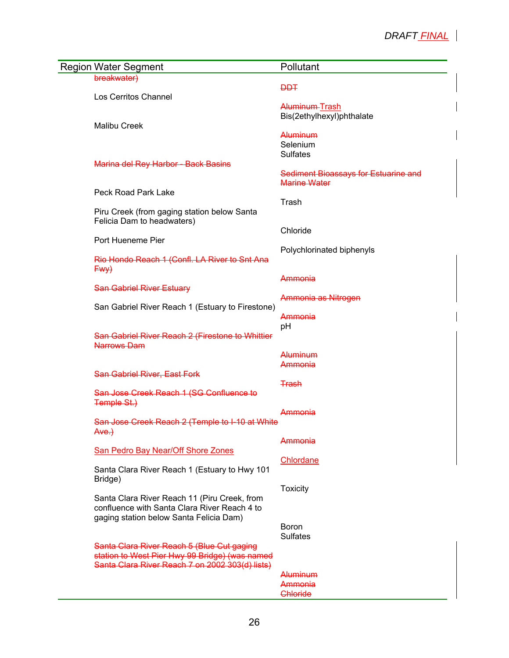| <b>Region Water Segment</b>                      | Pollutant                            |
|--------------------------------------------------|--------------------------------------|
| breakwater)                                      |                                      |
|                                                  | <b>DDT</b>                           |
| Los Cerritos Channel                             |                                      |
|                                                  | Aluminum-Trash                       |
|                                                  | Bis(2ethylhexyl)phthalate            |
| <b>Malibu Creek</b>                              |                                      |
|                                                  | Aluminum                             |
|                                                  | Selenium                             |
| Marina del Rey Harbor - Back Basins              | <b>Sulfates</b>                      |
|                                                  | Sediment Bioassays for Estuarine and |
|                                                  | <b>Marine Water</b>                  |
| <b>Peck Road Park Lake</b>                       |                                      |
|                                                  | Trash                                |
| Piru Creek (from gaging station below Santa      |                                      |
| Felicia Dam to headwaters)                       |                                      |
|                                                  | Chloride                             |
| Port Hueneme Pier                                |                                      |
|                                                  | Polychlorinated biphenyls            |
| Rio Hondo Reach 1 (Confl. LA River to Snt Ana    |                                      |
| FWy                                              |                                      |
|                                                  | Ammonia                              |
| <b>San Gabriel River Estuary</b>                 |                                      |
|                                                  | Ammonia as Nitrogen                  |
| San Gabriel River Reach 1 (Estuary to Firestone) |                                      |
|                                                  | Ammonia                              |
|                                                  | pH                                   |
| San Gabriel River Reach 2 (Firestone to Whittier |                                      |
| Narrows Dam                                      |                                      |
|                                                  | Aluminum                             |
|                                                  | Ammonia                              |
| San Gabriel River, East Fork                     |                                      |
|                                                  | <b>Trash</b>                         |
| San Jose Creek Reach 1 (SG Confluence to         |                                      |
| Temple St.)                                      |                                      |
|                                                  | Ammonia                              |
| San Jose Creek Reach 2 (Temple to I-10 at White  |                                      |
| Ave.                                             |                                      |
|                                                  | Ammonia                              |
| San Pedro Bay Near/Off Shore Zones               |                                      |
|                                                  | <b>Chlordane</b>                     |
| Santa Clara River Reach 1 (Estuary to Hwy 101    |                                      |
| Bridge)                                          |                                      |
|                                                  | <b>Toxicity</b>                      |
| Santa Clara River Reach 11 (Piru Creek, from     |                                      |
| confluence with Santa Clara River Reach 4 to     |                                      |
| gaging station below Santa Felicia Dam)          |                                      |
|                                                  | Boron                                |
|                                                  | <b>Sulfates</b>                      |
| Santa Clara River Reach 5 (Blue Cut gaging       |                                      |
| station to West Pier Hwy 99 Bridge) (was named   |                                      |
| Santa Clara River Reach 7 on 2002 303(d) lists)  |                                      |
|                                                  | Aluminum                             |
|                                                  | Ammonia                              |
|                                                  | Chloride                             |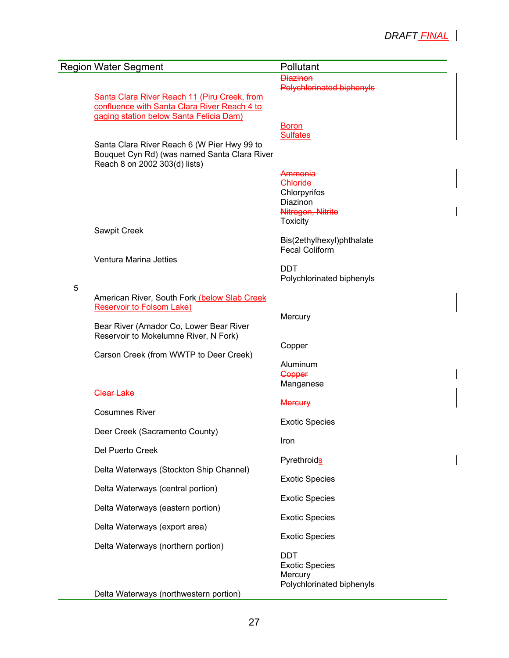|   | <b>Region Water Segment</b>                                                                  | Pollutant                 |
|---|----------------------------------------------------------------------------------------------|---------------------------|
|   |                                                                                              | <b>Diazinon</b>           |
|   |                                                                                              | Polychlorinated biphenyls |
|   | Santa Clara River Reach 11 (Piru Creek, from<br>confluence with Santa Clara River Reach 4 to |                           |
|   | gaging station below Santa Felicia Dam)                                                      |                           |
|   |                                                                                              | <b>Boron</b>              |
|   |                                                                                              | <b>Sulfates</b>           |
|   | Santa Clara River Reach 6 (W Pier Hwy 99 to                                                  |                           |
|   | Bouquet Cyn Rd) (was named Santa Clara River<br>Reach 8 on 2002 303(d) lists)                |                           |
|   |                                                                                              | Ammonia                   |
|   |                                                                                              | Chloride                  |
|   |                                                                                              | Chlorpyrifos              |
|   |                                                                                              | Diazinon                  |
|   |                                                                                              | Nitrogen, Nitrite         |
|   | Sawpit Creek                                                                                 | <b>Toxicity</b>           |
|   |                                                                                              | Bis(2ethylhexyl)phthalate |
|   |                                                                                              | <b>Fecal Coliform</b>     |
|   | <b>Ventura Marina Jetties</b>                                                                |                           |
|   |                                                                                              | <b>DDT</b>                |
| 5 |                                                                                              | Polychlorinated biphenyls |
|   | American River, South Fork (below Slab Creek                                                 |                           |
|   | <b>Reservoir to Folsom Lake)</b>                                                             |                           |
|   |                                                                                              | Mercury                   |
|   | Bear River (Amador Co, Lower Bear River                                                      |                           |
|   | Reservoir to Mokelumne River, N Fork)                                                        |                           |
|   | Carson Creek (from WWTP to Deer Creek)                                                       | Copper                    |
|   |                                                                                              | Aluminum                  |
|   |                                                                                              | <b>Copper</b>             |
|   |                                                                                              | Manganese                 |
|   | Clear Lake                                                                                   |                           |
|   | <b>Cosumnes River</b>                                                                        | <b>Mercury</b>            |
|   |                                                                                              | <b>Exotic Species</b>     |
|   | Deer Creek (Sacramento County)                                                               |                           |
|   |                                                                                              | Iron                      |
|   | Del Puerto Creek                                                                             |                           |
|   | Delta Waterways (Stockton Ship Channel)                                                      | Pyrethroids               |
|   |                                                                                              | <b>Exotic Species</b>     |
|   | Delta Waterways (central portion)                                                            |                           |
|   |                                                                                              | <b>Exotic Species</b>     |
|   | Delta Waterways (eastern portion)                                                            |                           |
|   |                                                                                              | <b>Exotic Species</b>     |
|   | Delta Waterways (export area)                                                                | <b>Exotic Species</b>     |
|   | Delta Waterways (northern portion)                                                           |                           |
|   |                                                                                              | <b>DDT</b>                |
|   |                                                                                              | <b>Exotic Species</b>     |
|   |                                                                                              | Mercury                   |
|   |                                                                                              | Polychlorinated biphenyls |
|   | Delta Waterways (northwestern portion)                                                       |                           |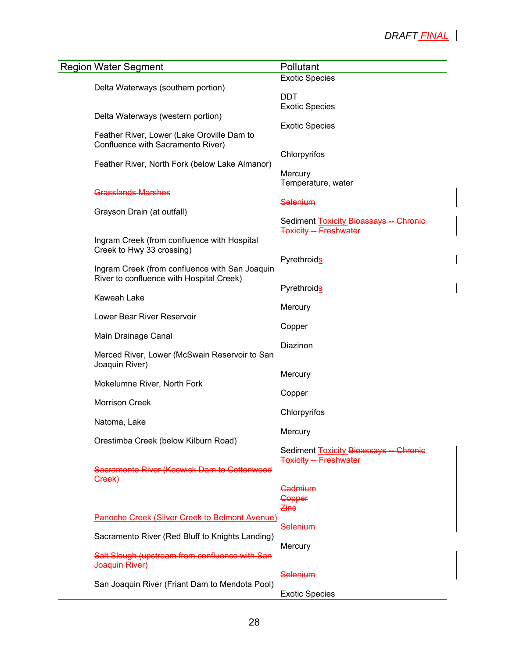| <b>Region Water Segment</b>                                                                | Pollutant                                                                      |
|--------------------------------------------------------------------------------------------|--------------------------------------------------------------------------------|
|                                                                                            | <b>Exotic Species</b>                                                          |
| Delta Waterways (southern portion)                                                         | <b>DDT</b><br><b>Exotic Species</b>                                            |
| Delta Waterways (western portion)                                                          | <b>Exotic Species</b>                                                          |
| Feather River, Lower (Lake Oroville Dam to<br>Confluence with Sacramento River)            |                                                                                |
| Feather River, North Fork (below Lake Almanor)                                             | Chlorpyrifos<br>Mercury                                                        |
| Grasslands Marshes                                                                         | Temperature, water                                                             |
| Grayson Drain (at outfall)                                                                 | Selenium                                                                       |
| Ingram Creek (from confluence with Hospital                                                | Sediment <b>Toxicity Bioassays -- Chronic</b><br><b>Toxicity -- Freshwater</b> |
| Creek to Hwy 33 crossing)                                                                  | Pyrethroids                                                                    |
| Ingram Creek (from confluence with San Joaquin<br>River to confluence with Hospital Creek) |                                                                                |
| Kaweah Lake                                                                                | Pyrethroids<br>Mercury                                                         |
| Lower Bear River Reservoir                                                                 | Copper                                                                         |
| Main Drainage Canal                                                                        | Diazinon                                                                       |
| Merced River, Lower (McSwain Reservoir to San<br>Joaquin River)                            |                                                                                |
| Mokelumne River, North Fork                                                                | Mercury<br>Copper                                                              |
| <b>Morrison Creek</b>                                                                      | Chlorpyrifos                                                                   |
| Natoma, Lake                                                                               | Mercury                                                                        |
| Orestimba Creek (below Kilburn Road)                                                       | Sediment Toxicity Bioassays - Chronic<br><b>Toxicity -- Freshwater</b>         |
| Sacramento River (Keswick Dam to Cottonwood<br>Creek)                                      |                                                                                |
|                                                                                            | Cadmium<br><b>Copper</b><br>Zine                                               |
| <b>Panoche Creek (Silver Creek to Belmont Avenue)</b>                                      | <b>Selenium</b>                                                                |
| Sacramento River (Red Bluff to Knights Landing)                                            | Mercury                                                                        |
| Salt Slough (upstream from confluence with San<br>Joaquin River)                           |                                                                                |
| San Joaquin River (Friant Dam to Mendota Pool)                                             | Selenium<br><b>Exotic Species</b>                                              |

Î.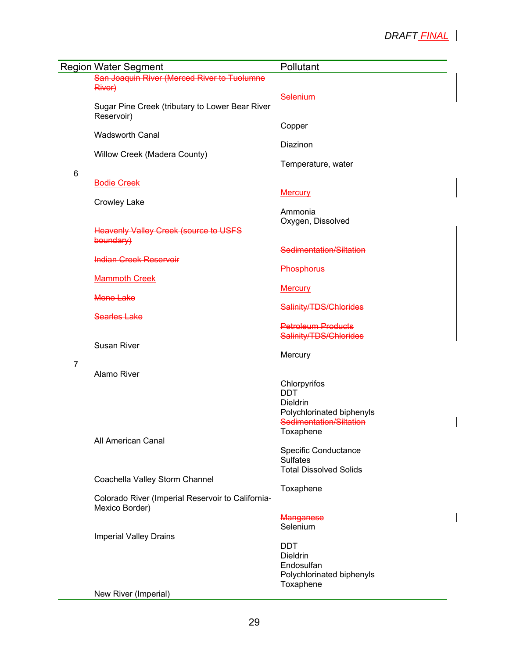|                 | <b>Region Water Segment</b>                                         | Pollutant                                                                       |
|-----------------|---------------------------------------------------------------------|---------------------------------------------------------------------------------|
|                 | San Joaquin River (Merced River to Tuolumne<br>River)               |                                                                                 |
|                 | Sugar Pine Creek (tributary to Lower Bear River<br>Reservoir)       | <b>Selenium</b>                                                                 |
|                 | <b>Wadsworth Canal</b>                                              | Copper                                                                          |
|                 | Willow Creek (Madera County)                                        | Diazinon                                                                        |
| $6\phantom{1}6$ |                                                                     | Temperature, water                                                              |
|                 | <b>Bodie Creek</b><br><b>Crowley Lake</b>                           | <b>Mercury</b>                                                                  |
|                 |                                                                     | Ammonia<br>Oxygen, Dissolved                                                    |
|                 | <b>Heavenly Valley Creek (source to USFS</b><br>boundary)           |                                                                                 |
|                 | <b>Indian Creek Reservoir</b>                                       | Sedimentation/Siltation<br>Phosphorus                                           |
|                 | <b>Mammoth Creek</b>                                                | <b>Mercury</b>                                                                  |
|                 | <b>Mono Lake</b>                                                    | Salinity/TDS/Chlorides                                                          |
|                 | Searles Lake                                                        | <b>Petroleum Products</b><br>Salinity/TDS/Chlorides                             |
|                 | Susan River                                                         | Mercury                                                                         |
| $\overline{7}$  | <b>Alamo River</b>                                                  |                                                                                 |
|                 |                                                                     | Chlorpyrifos<br><b>DDT</b><br><b>Dieldrin</b>                                   |
|                 |                                                                     | Polychlorinated biphenyls<br>Sedimentation/Siltation                            |
|                 | All American Canal                                                  | Toxaphene                                                                       |
|                 |                                                                     | <b>Specific Conductance</b><br><b>Sulfates</b><br><b>Total Dissolved Solids</b> |
|                 | Coachella Valley Storm Channel                                      | Toxaphene                                                                       |
|                 | Colorado River (Imperial Reservoir to California-<br>Mexico Border) |                                                                                 |
|                 |                                                                     | Manganese<br>Selenium                                                           |
|                 | <b>Imperial Valley Drains</b>                                       | <b>DDT</b><br>Dieldrin                                                          |
|                 |                                                                     | Endosulfan<br>Polychlorinated biphenyls                                         |
|                 | New River (Imperial)                                                | Toxaphene                                                                       |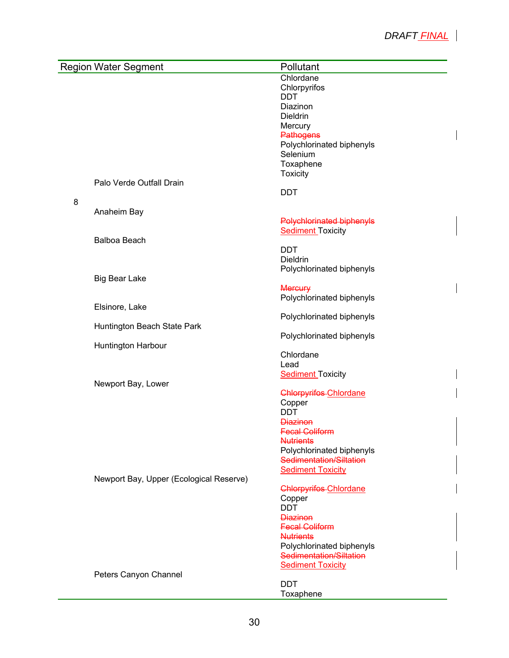|   | <b>Region Water Segment</b>             | Pollutant                     |
|---|-----------------------------------------|-------------------------------|
|   |                                         | Chlordane                     |
|   |                                         | Chlorpyrifos                  |
|   |                                         | <b>DDT</b>                    |
|   |                                         | Diazinon                      |
|   |                                         | <b>Dieldrin</b>               |
|   |                                         | Mercury                       |
|   |                                         | <b>Pathogens</b>              |
|   |                                         | Polychlorinated biphenyls     |
|   |                                         | Selenium                      |
|   |                                         | Toxaphene                     |
|   |                                         | <b>Toxicity</b>               |
|   | Palo Verde Outfall Drain                |                               |
|   |                                         | <b>DDT</b>                    |
| 8 |                                         |                               |
|   | Anaheim Bay                             |                               |
|   |                                         | Polychlorinated biphenyls     |
|   |                                         | <b>Sediment Toxicity</b>      |
|   | Balboa Beach                            |                               |
|   |                                         | <b>DDT</b><br><b>Dieldrin</b> |
|   |                                         |                               |
|   |                                         | Polychlorinated biphenyls     |
|   | <b>Big Bear Lake</b>                    | <b>Mercury</b>                |
|   |                                         | Polychlorinated biphenyls     |
|   | Elsinore, Lake                          |                               |
|   |                                         | Polychlorinated biphenyls     |
|   | Huntington Beach State Park             |                               |
|   |                                         | Polychlorinated biphenyls     |
|   | Huntington Harbour                      |                               |
|   |                                         | Chlordane                     |
|   |                                         | Lead                          |
|   |                                         | <b>Sediment Toxicity</b>      |
|   | Newport Bay, Lower                      |                               |
|   |                                         | <b>Chlorpyrifos Chlordane</b> |
|   |                                         | Copper                        |
|   |                                         | <b>DDT</b>                    |
|   |                                         | <b>Diazinon</b>               |
|   |                                         | <b>Fecal Coliform</b>         |
|   |                                         | <b>Nutrients</b>              |
|   |                                         | Polychlorinated biphenyls     |
|   |                                         | Sedimentation/Siltation       |
|   |                                         | <b>Sediment Toxicity</b>      |
|   | Newport Bay, Upper (Ecological Reserve) |                               |
|   |                                         | <b>Chlorpyrifos Chlordane</b> |
|   |                                         | Copper                        |
|   |                                         | <b>DDT</b>                    |
|   |                                         | <b>Diazinon</b>               |
|   |                                         | <b>Fecal Coliform</b>         |
|   |                                         | <b>Nutrients</b>              |
|   |                                         | Polychlorinated biphenyls     |
|   |                                         | Sedimentation/Siltation       |
|   |                                         | <b>Sediment Toxicity</b>      |
|   | Peters Canyon Channel                   |                               |
|   |                                         | <b>DDT</b>                    |
|   |                                         | Toxaphene                     |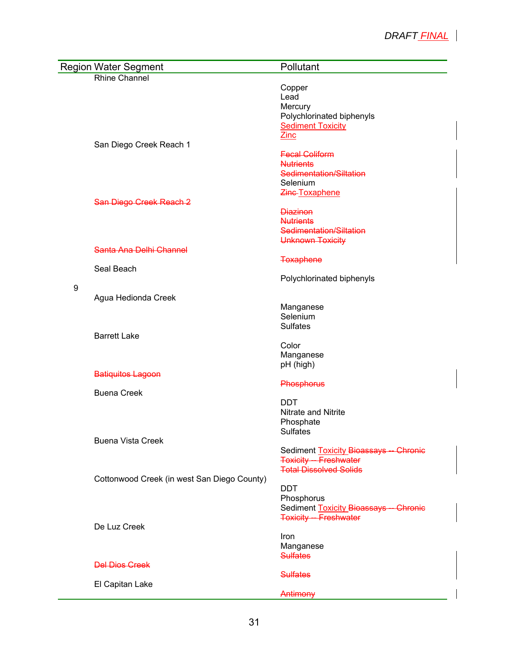|   | <b>Region Water Segment</b>                 | Pollutant                                    |
|---|---------------------------------------------|----------------------------------------------|
|   | <b>Rhine Channel</b>                        |                                              |
|   |                                             | Copper                                       |
|   |                                             | Lead                                         |
|   |                                             | Mercury<br>Polychlorinated biphenyls         |
|   |                                             | <b>Sediment Toxicity</b>                     |
|   |                                             | Zinc                                         |
|   | San Diego Creek Reach 1                     |                                              |
|   |                                             | <b>Fecal Coliform</b>                        |
|   |                                             | <b>Nutrients</b>                             |
|   |                                             | Sedimentation/Siltation                      |
|   |                                             | Selenium                                     |
|   | San Diego Creek Reach 2                     | Zine-Toxaphene                               |
|   |                                             | <b>Diazinon</b>                              |
|   |                                             | <b>Nutrients</b>                             |
|   |                                             | Sedimentation/Siltation                      |
|   |                                             | Unknown Toxicity                             |
|   | Santa Ana Delhi Channel                     |                                              |
|   |                                             | <b>Toxaphene</b>                             |
|   | Seal Beach                                  | Polychlorinated biphenyls                    |
| 9 |                                             |                                              |
|   | Agua Hedionda Creek                         |                                              |
|   |                                             | Manganese                                    |
|   |                                             | Selenium                                     |
|   |                                             | <b>Sulfates</b>                              |
|   | <b>Barrett Lake</b>                         |                                              |
|   |                                             | Color<br>Manganese                           |
|   |                                             | pH (high)                                    |
|   | <b>Batiquitos Lagoon</b>                    |                                              |
|   |                                             | Phosphorus                                   |
|   | <b>Buena Creek</b>                          |                                              |
|   |                                             | <b>DDT</b>                                   |
|   |                                             | Nitrate and Nitrite                          |
|   |                                             | Phosphate<br><b>Sulfates</b>                 |
|   | <b>Buena Vista Creek</b>                    |                                              |
|   |                                             | Sediment <b>Toxicity Bioassays</b> - Chronic |
|   |                                             | <b>Toxicity -- Freshwater</b>                |
|   |                                             | <b>Total Dissolved Solids</b>                |
|   | Cottonwood Creek (in west San Diego County) |                                              |
|   |                                             | <b>DDT</b><br>Phosphorus                     |
|   |                                             | Sediment Toxicity Bioassays -- Chronic       |
|   |                                             | <b>Toxicity -- Freshwater</b>                |
|   | De Luz Creek                                |                                              |
|   |                                             | Iron                                         |
|   |                                             | Manganese                                    |
|   |                                             | <b>Sulfates</b>                              |
|   | <b>Del Dios Creek</b>                       |                                              |
|   | El Capitan Lake                             | <b>Sulfates</b>                              |
|   |                                             | Antimony                                     |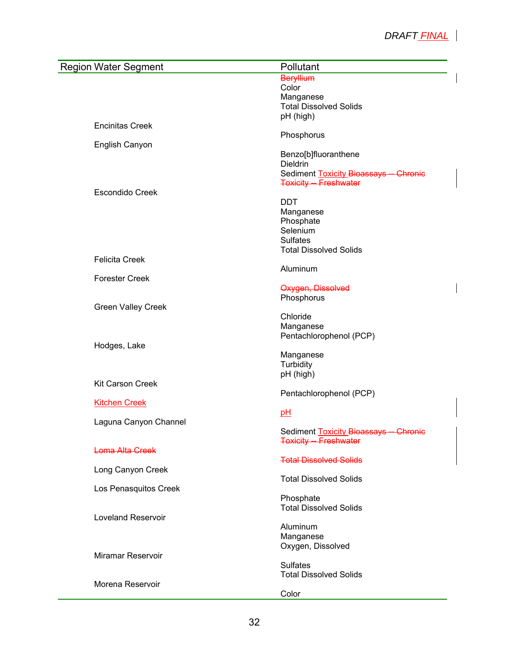| <b>Region Water Segment</b> | Pollutant                              |
|-----------------------------|----------------------------------------|
|                             | <b>Beryllium</b>                       |
|                             | Color                                  |
|                             | Manganese                              |
|                             | <b>Total Dissolved Solids</b>          |
| <b>Encinitas Creek</b>      | pH (high)                              |
|                             | Phosphorus                             |
| English Canyon              |                                        |
|                             | Benzo[b]fluoranthene                   |
|                             | <b>Dieldrin</b>                        |
|                             | Sediment Toxicity Bioassays -- Chronic |
| <b>Escondido Creek</b>      | <b>Toxicity -- Freshwater</b>          |
|                             | <b>DDT</b>                             |
|                             | Manganese                              |
|                             | Phosphate                              |
|                             | Selenium                               |
|                             | <b>Sulfates</b>                        |
| <b>Felicita Creek</b>       | <b>Total Dissolved Solids</b>          |
|                             | Aluminum                               |
| <b>Forester Creek</b>       |                                        |
|                             | Oxygen, Dissolved                      |
|                             | Phosphorus                             |
| <b>Green Valley Creek</b>   |                                        |
|                             | Chloride                               |
|                             | Manganese<br>Pentachlorophenol (PCP)   |
| Hodges, Lake                |                                        |
|                             | Manganese                              |
|                             | Turbidity                              |
|                             | pH (high)                              |
| <b>Kit Carson Creek</b>     |                                        |
| <b>Kitchen Creek</b>        | Pentachlorophenol (PCP)                |
|                             | pH                                     |
| Laguna Canyon Channel       |                                        |
|                             | Sediment Toxicity Bioassays - Chronic  |
|                             | <b>Toxicity Freshwater</b>             |
| <b>Loma Alta Creek</b>      |                                        |
| Long Canyon Creek           | <b>Total Dissolved Solids</b>          |
|                             | <b>Total Dissolved Solids</b>          |
| Los Penasquitos Creek       |                                        |
|                             | Phosphate                              |
|                             | <b>Total Dissolved Solids</b>          |
| <b>Loveland Reservoir</b>   |                                        |
|                             | Aluminum                               |
|                             | Manganese                              |
| Miramar Reservoir           | Oxygen, Dissolved                      |
|                             | <b>Sulfates</b>                        |
|                             | <b>Total Dissolved Solids</b>          |
| Morena Reservoir            |                                        |
|                             | Color                                  |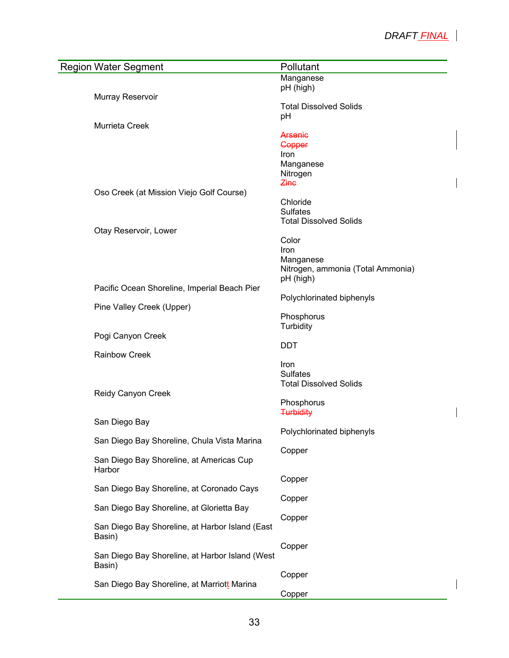$\begin{array}{c} \hline \end{array}$ 

| <b>Region Water Segment</b>                               | Pollutant                                      |
|-----------------------------------------------------------|------------------------------------------------|
|                                                           | Manganese                                      |
| Murray Reservoir                                          | pH (high)                                      |
|                                                           | <b>Total Dissolved Solids</b>                  |
| Murrieta Creek                                            | pH                                             |
|                                                           | Arsenic                                        |
|                                                           | <b>Copper</b>                                  |
|                                                           | Iron                                           |
|                                                           | Manganese<br>Nitrogen                          |
|                                                           | Zine                                           |
| Oso Creek (at Mission Viejo Golf Course)                  | Chloride                                       |
|                                                           | <b>Sulfates</b>                                |
|                                                           | <b>Total Dissolved Solids</b>                  |
| Otay Reservoir, Lower                                     | Color                                          |
|                                                           | Iron                                           |
|                                                           | Manganese                                      |
|                                                           | Nitrogen, ammonia (Total Ammonia)<br>pH (high) |
| Pacific Ocean Shoreline, Imperial Beach Pier              |                                                |
|                                                           | Polychlorinated biphenyls                      |
| Pine Valley Creek (Upper)                                 | Phosphorus                                     |
|                                                           | Turbidity                                      |
| Pogi Canyon Creek                                         |                                                |
| <b>Rainbow Creek</b>                                      | <b>DDT</b>                                     |
|                                                           | Iron                                           |
|                                                           | <b>Sulfates</b>                                |
| Reidy Canyon Creek                                        | <b>Total Dissolved Solids</b>                  |
|                                                           | Phosphorus                                     |
| San Diego Bay                                             | <b>Turbidity</b>                               |
|                                                           | Polychlorinated biphenyls                      |
| San Diego Bay Shoreline, Chula Vista Marina               |                                                |
| San Diego Bay Shoreline, at Americas Cup                  | Copper                                         |
| Harbor                                                    |                                                |
|                                                           | Copper                                         |
| San Diego Bay Shoreline, at Coronado Cays                 | Copper                                         |
| San Diego Bay Shoreline, at Glorietta Bay                 |                                                |
|                                                           | Copper                                         |
| San Diego Bay Shoreline, at Harbor Island (East<br>Basin) |                                                |
|                                                           | Copper                                         |
| San Diego Bay Shoreline, at Harbor Island (West           |                                                |
| Basin)                                                    | Copper                                         |
| San Diego Bay Shoreline, at Marriott Marina               |                                                |
|                                                           | Copper                                         |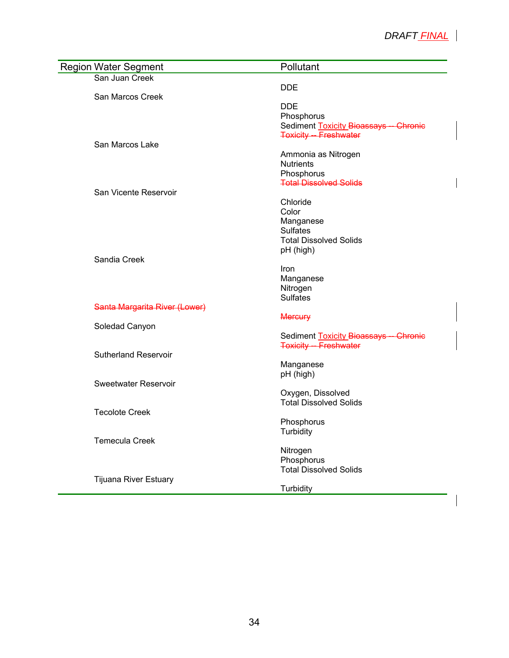*DRAFT FINAL*

 $\begin{array}{c} \rule{0pt}{2ex} \rule{0pt}{2ex} \rule{0pt}{2ex} \rule{0pt}{2ex} \rule{0pt}{2ex} \rule{0pt}{2ex} \rule{0pt}{2ex} \rule{0pt}{2ex} \rule{0pt}{2ex} \rule{0pt}{2ex} \rule{0pt}{2ex} \rule{0pt}{2ex} \rule{0pt}{2ex} \rule{0pt}{2ex} \rule{0pt}{2ex} \rule{0pt}{2ex} \rule{0pt}{2ex} \rule{0pt}{2ex} \rule{0pt}{2ex} \rule{0pt}{2ex} \rule{0pt}{2ex} \rule{0pt}{2ex} \rule{0pt}{2ex} \rule{0pt}{$ 

| <b>Region Water Segment</b>   | Pollutant                                     |
|-------------------------------|-----------------------------------------------|
| San Juan Creek                |                                               |
|                               | <b>DDE</b>                                    |
| San Marcos Creek              |                                               |
|                               | <b>DDE</b>                                    |
|                               | Phosphorus                                    |
|                               | Sediment <b>Toxicity Bioassays - Chronic</b>  |
|                               | <b>Toxicity -- Freshwater</b>                 |
| San Marcos Lake               |                                               |
|                               | Ammonia as Nitrogen                           |
|                               | <b>Nutrients</b>                              |
|                               | Phosphorus                                    |
|                               | <b>Total Dissolved Solids</b>                 |
| San Vicente Reservoir         |                                               |
|                               | Chloride                                      |
|                               | Color                                         |
|                               | Manganese                                     |
|                               | <b>Sulfates</b>                               |
|                               | <b>Total Dissolved Solids</b>                 |
|                               | pH (high)                                     |
| Sandia Creek                  |                                               |
|                               | Iron                                          |
|                               | Manganese                                     |
|                               | Nitrogen                                      |
|                               | <b>Sulfates</b>                               |
| Santa Margarita River (Lower) |                                               |
|                               | <b>Mercury</b>                                |
| Soledad Canyon                |                                               |
|                               | Sediment <b>Toxicity Bioassays</b> -- Chronic |
|                               | <b>Toxicity -- Freshwater</b>                 |
| <b>Sutherland Reservoir</b>   |                                               |
|                               | Manganese                                     |
|                               | pH (high)                                     |
| <b>Sweetwater Reservoir</b>   |                                               |
|                               | Oxygen, Dissolved                             |
|                               | <b>Total Dissolved Solids</b>                 |
| <b>Tecolote Creek</b>         |                                               |
|                               | Phosphorus                                    |
|                               | Turbidity                                     |
| <b>Temecula Creek</b>         |                                               |
|                               | Nitrogen                                      |
|                               | Phosphorus                                    |
|                               | <b>Total Dissolved Solids</b>                 |
| <b>Tijuana River Estuary</b>  |                                               |
|                               | Turbidity                                     |
|                               |                                               |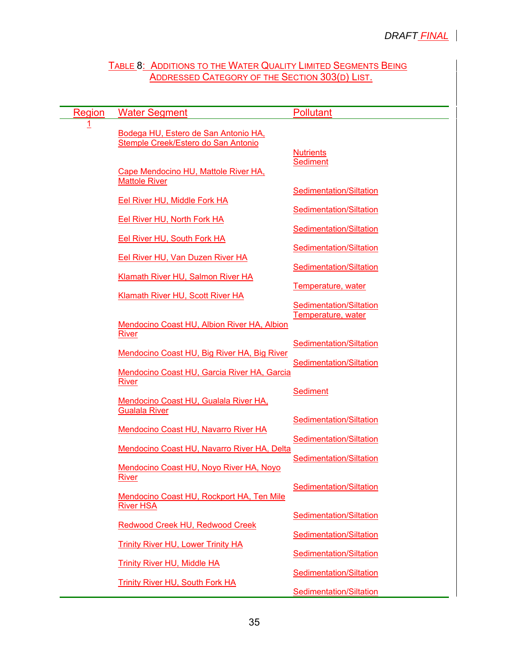## TABLE 8: ADDITIONS TO THE WATER QUALITY LIMITED SEGMENTS BEING ADDRESSED CATEGORY OF THE SECTION 303(D) LIST.

| Region | <b>Water Segment</b>                                                         | Pollutant                                                 |
|--------|------------------------------------------------------------------------------|-----------------------------------------------------------|
|        | Bodega HU, Estero de San Antonio HA,<br>Stemple Creek/Estero do San Antonio  |                                                           |
|        | Cape Mendocino HU, Mattole River HA,<br><b>Mattole River</b>                 | <b>Nutrients</b><br>Sediment                              |
|        | Eel River HU, Middle Fork HA                                                 | Sedimentation/Siltation                                   |
|        | Eel River HU, North Fork HA                                                  | <b>Sedimentation/Siltation</b><br>Sedimentation/Siltation |
|        | <b>Eel River HU, South Fork HA</b><br>Eel River HU, Van Duzen River HA       | Sedimentation/Siltation                                   |
|        | Klamath River HU, Salmon River HA                                            | Sedimentation/Siltation                                   |
|        | <b>Klamath River HU, Scott River HA</b>                                      | Temperature, water<br>Sedimentation/Siltation             |
|        | Mendocino Coast HU, Albion River HA, Albion<br><b>River</b>                  | Temperature, water                                        |
|        | Mendocino Coast HU, Big River HA, Big River                                  | Sedimentation/Siltation                                   |
|        | Mendocino Coast HU, Garcia River HA, Garcia<br><b>River</b>                  | Sedimentation/Siltation                                   |
|        | Mendocino Coast HU, Gualala River HA,<br><b>Gualala River</b>                | <b>Sediment</b>                                           |
|        | Mendocino Coast HU, Navarro River HA                                         | Sedimentation/Siltation                                   |
|        | Mendocino Coast HU, Navarro River HA, Delta                                  | <b>Sedimentation/Siltation</b><br>Sedimentation/Siltation |
|        | Mendocino Coast HU, Noyo River HA, Noyo<br><b>River</b>                      | Sedimentation/Siltation                                   |
|        | Mendocino Coast HU, Rockport HA, Ten Mile<br><b>River HSA</b>                |                                                           |
|        | Redwood Creek HU, Redwood Creek                                              | Sedimentation/Siltation<br><b>Sedimentation/Siltation</b> |
|        | Trinity River HU, Lower Trinity HA                                           | Sedimentation/Siltation                                   |
|        | <b>Trinity River HU, Middle HA</b><br><b>Trinity River HU, South Fork HA</b> | Sedimentation/Siltation                                   |
|        |                                                                              | <b>Sedimentation/Siltation</b>                            |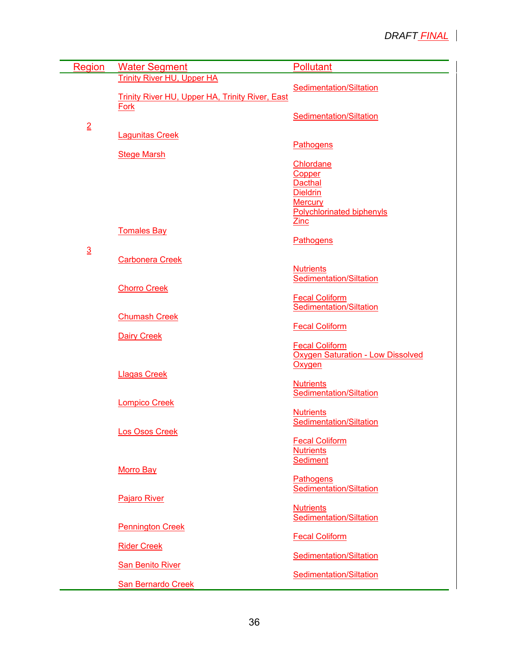| Region         | <b>Water Segment</b>                                                  | <b>Pollutant</b>                                                  |
|----------------|-----------------------------------------------------------------------|-------------------------------------------------------------------|
|                | <b>Trinity River HU, Upper HA</b>                                     | <b>Sedimentation/Siltation</b>                                    |
|                | <b>Trinity River HU, Upper HA, Trinity River, East</b><br><b>Fork</b> |                                                                   |
| $\overline{2}$ |                                                                       | Sedimentation/Siltation                                           |
|                | <b>Lagunitas Creek</b>                                                | <b>Pathogens</b>                                                  |
|                | <b>Stege Marsh</b>                                                    | Chlordane                                                         |
|                |                                                                       | Copper<br><b>Dacthal</b><br><b>Dieldrin</b>                       |
|                |                                                                       | <b>Mercury</b><br><b>Polychlorinated biphenyls</b>                |
|                | <b>Tomales Bay</b>                                                    | Zinc                                                              |
| $\overline{3}$ |                                                                       | <b>Pathogens</b>                                                  |
|                | <b>Carbonera Creek</b>                                                | <b>Nutrients</b>                                                  |
|                | <b>Chorro Creek</b>                                                   | Sedimentation/Siltation<br><b>Fecal Coliform</b>                  |
|                | <b>Chumash Creek</b>                                                  | Sedimentation/Siltation                                           |
|                | <b>Dairy Creek</b>                                                    | <b>Fecal Coliform</b>                                             |
|                |                                                                       | <b>Fecal Coliform</b><br><b>Oxygen Saturation - Low Dissolved</b> |
|                | <b>Llagas Creek</b>                                                   | Oxygen<br><b>Nutrients</b>                                        |
|                | <b>Lompico Creek</b>                                                  | <b>Sedimentation/Siltation</b>                                    |
|                |                                                                       | <b>Nutrients</b><br>Sedimentation/Siltation                       |
|                | <b>Los Osos Creek</b>                                                 | <b>Fecal Coliform</b>                                             |
|                | <b>Morro Bay</b>                                                      | <b>Nutrients</b><br><b>Sediment</b>                               |
|                |                                                                       | <b>Pathogens</b><br>Sedimentation/Siltation                       |
|                | <b>Pajaro River</b>                                                   | <b>Nutrients</b>                                                  |
|                | <b>Pennington Creek</b>                                               | Sedimentation/Siltation                                           |
|                | <b>Rider Creek</b>                                                    | <b>Fecal Coliform</b>                                             |
|                | <b>San Benito River</b>                                               | <b>Sedimentation/Siltation</b><br><b>Sedimentation/Siltation</b>  |
|                | <b>San Bernardo Creek</b>                                             |                                                                   |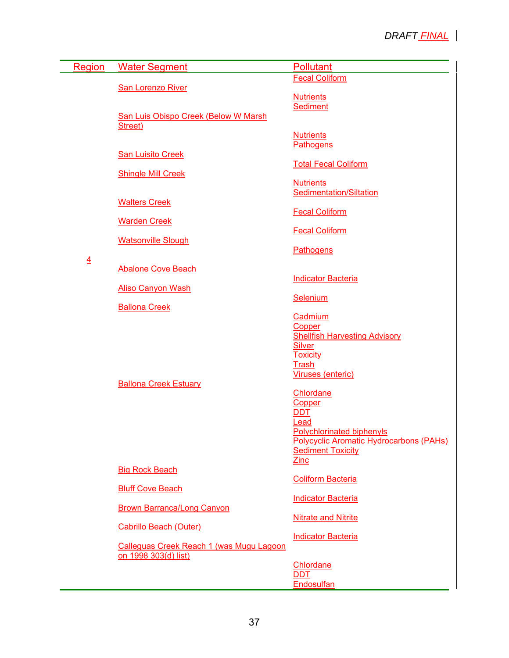| <b>Region</b>  | <b>Water Segment</b>                                             | <b>Pollutant</b>                                                                   |
|----------------|------------------------------------------------------------------|------------------------------------------------------------------------------------|
|                |                                                                  | <b>Fecal Coliform</b>                                                              |
|                | <b>San Lorenzo River</b>                                         | <b>Nutrients</b>                                                                   |
|                |                                                                  | <b>Sediment</b>                                                                    |
|                | San Luis Obispo Creek (Below W Marsh                             |                                                                                    |
|                | Street)                                                          | <b>Nutrients</b>                                                                   |
|                |                                                                  | Pathogens                                                                          |
|                | <b>San Luisito Creek</b>                                         |                                                                                    |
|                | <b>Shingle Mill Creek</b>                                        | <b>Total Fecal Coliform</b>                                                        |
|                |                                                                  | <b>Nutrients</b>                                                                   |
|                |                                                                  | Sedimentation/Siltation                                                            |
|                | <b>Walters Creek</b>                                             | <b>Fecal Coliform</b>                                                              |
|                | <b>Warden Creek</b>                                              |                                                                                    |
|                |                                                                  | <b>Fecal Coliform</b>                                                              |
|                | <b>Watsonville Slough</b>                                        | <b>Pathogens</b>                                                                   |
| $\overline{4}$ |                                                                  |                                                                                    |
|                | <b>Abalone Cove Beach</b>                                        |                                                                                    |
|                | Aliso Canyon Wash                                                | <b>Indicator Bacteria</b>                                                          |
|                |                                                                  | Selenium                                                                           |
|                | <b>Ballona Creek</b>                                             |                                                                                    |
|                |                                                                  | Cadmium<br>Copper                                                                  |
|                |                                                                  | <b>Shellfish Harvesting Advisory</b>                                               |
|                |                                                                  | <b>Silver</b>                                                                      |
|                |                                                                  | <b>Toxicity</b><br>Trash                                                           |
|                |                                                                  | Viruses (enteric)                                                                  |
|                | <b>Ballona Creek Estuary</b>                                     |                                                                                    |
|                |                                                                  | <b>Chlordane</b><br>Copper                                                         |
|                |                                                                  | <b>DDT</b>                                                                         |
|                |                                                                  | _ead                                                                               |
|                |                                                                  | <b>Polychlorinated biphenyls</b><br><b>Polycyclic Aromatic Hydrocarbons (PAHs)</b> |
|                |                                                                  | <b>Sediment Toxicity</b>                                                           |
|                |                                                                  | Zinc                                                                               |
|                | <b>Big Rock Beach</b>                                            | <b>Coliform Bacteria</b>                                                           |
|                | <b>Bluff Cove Beach</b>                                          |                                                                                    |
|                |                                                                  | <b>Indicator Bacteria</b>                                                          |
|                | <b>Brown Barranca/Long Canyon</b>                                | <b>Nitrate and Nitrite</b>                                                         |
|                | <b>Cabrillo Beach (Outer)</b>                                    |                                                                                    |
|                |                                                                  | <b>Indicator Bacteria</b>                                                          |
|                | Calleguas Creek Reach 1 (was Mugu Lagoon<br>on 1998 303(d) list) |                                                                                    |
|                |                                                                  | Chlordane                                                                          |
|                |                                                                  | DDT                                                                                |
|                |                                                                  | Endosulfan                                                                         |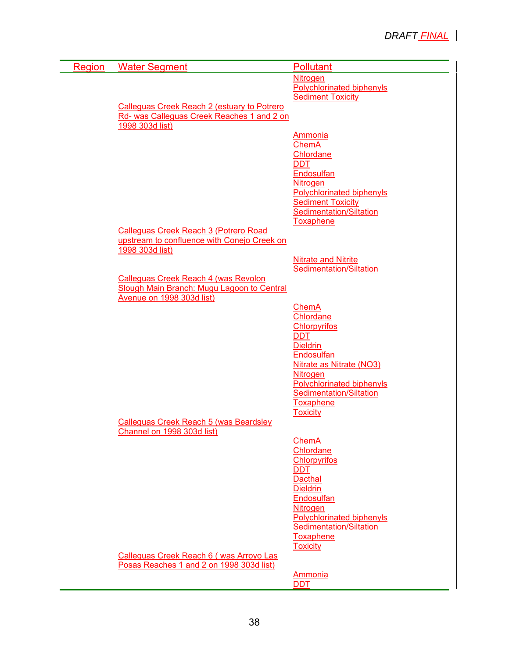| <b>Region</b> | <b>Water Segment</b>                                                               | <b>Pollutant</b>                             |
|---------------|------------------------------------------------------------------------------------|----------------------------------------------|
|               |                                                                                    | <b>Nitrogen</b>                              |
|               |                                                                                    | Polychlorinated biphenyls                    |
|               | <b>Calleguas Creek Reach 2 (estuary to Potrero</b>                                 | <b>Sediment Toxicity</b>                     |
|               | Rd- was Calleguas Creek Reaches 1 and 2 on                                         |                                              |
|               | 1998 303d list)                                                                    |                                              |
|               |                                                                                    | Ammonia                                      |
|               |                                                                                    | <b>ChemA</b>                                 |
|               |                                                                                    | Chlordane<br><b>DDT</b>                      |
|               |                                                                                    | Endosulfan                                   |
|               |                                                                                    | Nitrogen                                     |
|               |                                                                                    | <b>Polychlorinated biphenyls</b>             |
|               |                                                                                    | <b>Sediment Toxicity</b>                     |
|               |                                                                                    | Sedimentation/Siltation                      |
|               | Calleguas Creek Reach 3 (Potrero Road                                              | <b>Toxaphene</b>                             |
|               | upstream to confluence with Conejo Creek on                                        |                                              |
|               | 1998 303d list)                                                                    |                                              |
|               |                                                                                    | <b>Nitrate and Nitrite</b>                   |
|               |                                                                                    | <b>Sedimentation/Siltation</b>               |
|               | Calleguas Creek Reach 4 (was Revolon<br>Slough Main Branch: Mugu Lagoon to Central |                                              |
|               | Avenue on 1998 303d list)                                                          |                                              |
|               |                                                                                    | ChemA                                        |
|               |                                                                                    | Chlordane                                    |
|               |                                                                                    | <b>Chlorpyrifos</b>                          |
|               |                                                                                    | <b>DDT</b><br><b>Dieldrin</b>                |
|               |                                                                                    | Endosulfan                                   |
|               |                                                                                    | Nitrate as Nitrate (NO3)                     |
|               |                                                                                    | Nitrogen                                     |
|               |                                                                                    | <b>Polychlorinated biphenyls</b>             |
|               |                                                                                    | Sedimentation/Siltation<br><b>Toxaphene</b>  |
|               |                                                                                    | <b>Toxicity</b>                              |
|               | <b>Calleguas Creek Reach 5 (was Beardsley</b>                                      |                                              |
|               | Channel on 1998 303d list)                                                         |                                              |
|               |                                                                                    | ChemA                                        |
|               |                                                                                    | Chlordane<br><b>Chlorpyrifos</b>             |
|               |                                                                                    | <b>DDT</b>                                   |
|               |                                                                                    | <b>Dacthal</b>                               |
|               |                                                                                    | <b>Dieldrin</b>                              |
|               |                                                                                    | Endosulfan                                   |
|               |                                                                                    | Nitrogen<br><b>Polychlorinated biphenyls</b> |
|               |                                                                                    | Sedimentation/Siltation                      |
|               |                                                                                    | <b>Toxaphene</b>                             |
|               |                                                                                    | <b>Toxicity</b>                              |
|               | Calleguas Creek Reach 6 (was Arroyo Las                                            |                                              |
|               | Posas Reaches 1 and 2 on 1998 303d list)                                           | Ammonia                                      |
|               |                                                                                    | <b>DDT</b>                                   |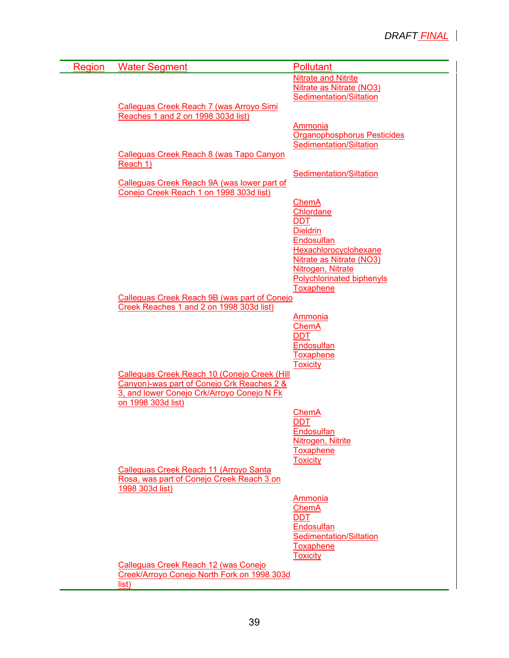| <b>Region</b> | <b>Water Segment</b>                                         | <b>Pollutant</b>                    |
|---------------|--------------------------------------------------------------|-------------------------------------|
|               |                                                              | <b>Nitrate and Nitrite</b>          |
|               |                                                              | Nitrate as Nitrate (NO3)            |
|               |                                                              | Sedimentation/Siltation             |
|               | Calleguas Creek Reach 7 (was Arroyo Simi                     |                                     |
|               | Reaches 1 and 2 on 1998 303d list)                           | Ammonia                             |
|               |                                                              | Organophosphorus Pesticides         |
|               |                                                              | <b>Sedimentation/Siltation</b>      |
|               | Calleguas Creek Reach 8 (was Tapo Canyon                     |                                     |
|               | Reach 1)                                                     |                                     |
|               |                                                              | Sedimentation/Siltation             |
|               | Calleguas Creek Reach 9A (was lower part of                  |                                     |
|               | Conejo Creek Reach 1 on 1998 303d list)                      |                                     |
|               |                                                              | ChemA                               |
|               |                                                              | Chlordane                           |
|               |                                                              | <b>DDT</b>                          |
|               |                                                              | <b>Dieldrin</b><br>Endosulfan       |
|               |                                                              | <b>Hexachlorocyclohexane</b>        |
|               |                                                              | Nitrate as Nitrate (NO3)            |
|               |                                                              | Nitrogen, Nitrate                   |
|               |                                                              | <b>Polychlorinated biphenyls</b>    |
|               |                                                              | <b>Toxaphene</b>                    |
|               | <b>Calleguas Creek Reach 9B (was part of Conejo</b>          |                                     |
|               | Creek Reaches 1 and 2 on 1998 303d list)                     |                                     |
|               |                                                              | Ammonia                             |
|               |                                                              | ChemA                               |
|               |                                                              | <b>DDT</b>                          |
|               |                                                              | Endosulfan                          |
|               |                                                              | <b>Toxaphene</b><br><b>Toxicity</b> |
|               | Calleguas Creek Reach 10 (Conejo Creek (Hill                 |                                     |
|               | Canyon)-was part of Conejo Crk Reaches 2 &                   |                                     |
|               | 3, and lower Conejo Crk/Arroyo Conejo N Fk                   |                                     |
|               | on 1998 303d list)                                           |                                     |
|               |                                                              | ChemA                               |
|               |                                                              | <b>DDT</b>                          |
|               |                                                              | Endosulfan                          |
|               |                                                              | Nitrogen, Nitrite                   |
|               |                                                              | <b>Toxaphene</b>                    |
|               |                                                              | <b>Toxicity</b>                     |
|               | Calleguas Creek Reach 11 (Arroyo Santa                       |                                     |
|               | Rosa, was part of Conejo Creek Reach 3 on<br>1998 303d list) |                                     |
|               |                                                              | Ammonia                             |
|               |                                                              | ChemA                               |
|               |                                                              | <b>DDT</b>                          |
|               |                                                              | Endosulfan                          |
|               |                                                              | Sedimentation/Siltation             |
|               |                                                              | <b>Toxaphene</b>                    |
|               |                                                              | <b>Toxicity</b>                     |
|               | Calleguas Creek Reach 12 (was Conejo                         |                                     |
|               | Creek/Arroyo Conejo North Fork on 1998 303d                  |                                     |
|               | list)                                                        |                                     |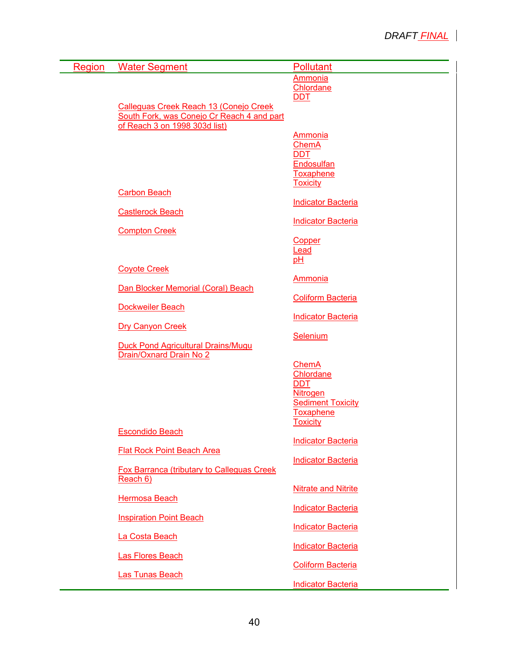| <u>Region</u> | <b>Water Segment</b>                                                        | <b>Pollutant</b>                             |
|---------------|-----------------------------------------------------------------------------|----------------------------------------------|
|               |                                                                             | Ammonia                                      |
|               |                                                                             | Chlordane<br><b>DDT</b>                      |
|               | Calleguas Creek Reach 13 (Conejo Creek                                      |                                              |
|               | South Fork, was Conejo Cr Reach 4 and part<br>of Reach 3 on 1998 303d list) |                                              |
|               |                                                                             | Ammonia                                      |
|               |                                                                             | ChemA                                        |
|               |                                                                             | <b>DDT</b><br>Endosulfan                     |
|               |                                                                             | <b>Toxaphene</b>                             |
|               |                                                                             | <b>Toxicity</b>                              |
|               | <b>Carbon Beach</b>                                                         | <b>Indicator Bacteria</b>                    |
|               | <b>Castlerock Beach</b>                                                     |                                              |
|               | <b>Compton Creek</b>                                                        | <b>Indicator Bacteria</b>                    |
|               |                                                                             | Copper                                       |
|               |                                                                             | Lead                                         |
|               | <b>Coyote Creek</b>                                                         | pH                                           |
|               |                                                                             | Ammonia                                      |
|               | Dan Blocker Memorial (Coral) Beach                                          |                                              |
|               | <b>Dockweiler Beach</b>                                                     | <b>Coliform Bacteria</b>                     |
|               |                                                                             | <b>Indicator Bacteria</b>                    |
|               | <b>Dry Canyon Creek</b>                                                     |                                              |
|               | <b>Duck Pond Agricultural Drains/Mugu</b>                                   | <b>Selenium</b>                              |
|               | Drain/Oxnard Drain No 2                                                     |                                              |
|               |                                                                             | ChemA<br>Chlordane                           |
|               |                                                                             | <b>DDT</b>                                   |
|               |                                                                             | Nitrogen                                     |
|               |                                                                             | <b>Sediment Toxicity</b><br><b>Toxaphene</b> |
|               |                                                                             | <b>Toxicity</b>                              |
|               | <b>Escondido Beach</b>                                                      |                                              |
|               | <b>Flat Rock Point Beach Area</b>                                           | <b>Indicator Bacteria</b>                    |
|               |                                                                             | <b>Indicator Bacteria</b>                    |
|               | <b>Fox Barranca (tributary to Calleguas Creek)</b><br>Reach 6)              |                                              |
|               |                                                                             | <b>Nitrate and Nitrite</b>                   |
|               | <b>Hermosa Beach</b>                                                        |                                              |
|               | <b>Inspiration Point Beach</b>                                              | <b>Indicator Bacteria</b>                    |
|               |                                                                             | <b>Indicator Bacteria</b>                    |
|               | La Costa Beach                                                              |                                              |
|               | <b>Las Flores Beach</b>                                                     | <b>Indicator Bacteria</b>                    |
|               |                                                                             | <b>Coliform Bacteria</b>                     |
|               | <b>Las Tunas Beach</b>                                                      |                                              |
|               |                                                                             | <b>Indicator Bacteria</b>                    |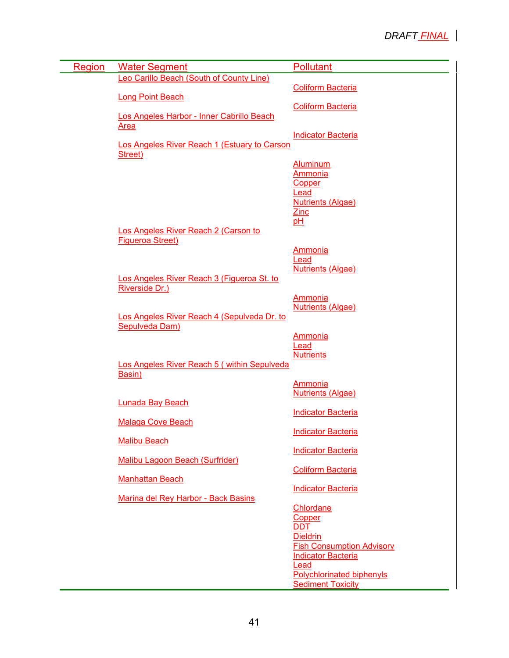| <b>Region</b> | <b>Water Segment</b>                                            | Pollutant                                                     |
|---------------|-----------------------------------------------------------------|---------------------------------------------------------------|
|               | Leo Carillo Beach (South of County Line)                        |                                                               |
|               |                                                                 | <b>Coliform Bacteria</b>                                      |
|               | <b>Long Point Beach</b>                                         | <b>Coliform Bacteria</b>                                      |
|               | Los Angeles Harbor - Inner Cabrillo Beach                       |                                                               |
|               | <b>Area</b>                                                     |                                                               |
|               |                                                                 | <b>Indicator Bacteria</b>                                     |
|               | Los Angeles River Reach 1 (Estuary to Carson<br>Street)         |                                                               |
|               |                                                                 | Aluminum                                                      |
|               |                                                                 | Ammonia                                                       |
|               |                                                                 | <b>Copper</b><br>Lead                                         |
|               |                                                                 | <b>Nutrients (Algae)</b>                                      |
|               |                                                                 | Zinc                                                          |
|               |                                                                 | pH                                                            |
|               | Los Angeles River Reach 2 (Carson to<br><b>Figueroa Street)</b> |                                                               |
|               |                                                                 | <b>Ammonia</b>                                                |
|               |                                                                 | Lead                                                          |
|               |                                                                 | <b>Nutrients (Algae)</b>                                      |
|               | Los Angeles River Reach 3 (Figueroa St. to<br>Riverside Dr.)    |                                                               |
|               |                                                                 | <b>Ammonia</b>                                                |
|               |                                                                 | <b>Nutrients (Algae)</b>                                      |
|               | Los Angeles River Reach 4 (Sepulveda Dr. to                     |                                                               |
|               | Sepulveda Dam)                                                  | Ammonia                                                       |
|               |                                                                 | Lead                                                          |
|               |                                                                 | <b>Nutrients</b>                                              |
|               | Los Angeles River Reach 5 (within Sepulveda<br>Basin)           |                                                               |
|               |                                                                 | <b>Ammonia</b>                                                |
|               |                                                                 | <b>Nutrients (Algae)</b>                                      |
|               | Lunada Bay Beach                                                |                                                               |
|               | Malaga Cove Beach                                               | <b>Indicator Bacteria</b>                                     |
|               |                                                                 | <b>Indicator Bacteria</b>                                     |
|               | <b>Malibu Beach</b>                                             |                                                               |
|               | Malibu Lagoon Beach (Surfrider)                                 | <b>Indicator Bacteria</b>                                     |
|               |                                                                 | <b>Coliform Bacteria</b>                                      |
|               | <b>Manhattan Beach</b>                                          |                                                               |
|               |                                                                 | <b>Indicator Bacteria</b>                                     |
|               | Marina del Rey Harbor - Back Basins                             | Chlordane                                                     |
|               |                                                                 | Copper                                                        |
|               |                                                                 | <b>DDT</b>                                                    |
|               |                                                                 | <b>Dieldrin</b>                                               |
|               |                                                                 | <b>Fish Consumption Advisory</b><br><b>Indicator Bacteria</b> |
|               |                                                                 | Lead                                                          |
|               |                                                                 | <b>Polychlorinated biphenyls</b>                              |
|               |                                                                 | <b>Sediment Toxicity</b>                                      |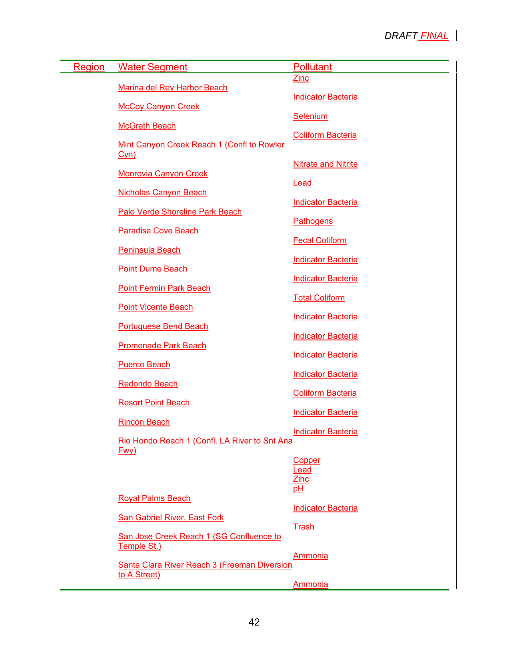| Region | <b>Water Segment</b>                                  | <b>Pollutant</b>           |
|--------|-------------------------------------------------------|----------------------------|
|        | Marina del Rey Harbor Beach                           | <b>Zinc</b>                |
|        |                                                       | <b>Indicator Bacteria</b>  |
|        | <b>McCoy Canyon Creek</b>                             | Selenium                   |
|        | <b>McGrath Beach</b>                                  |                            |
|        | Mint Canyon Creek Reach 1 (Confl to Rowler            | <b>Coliform Bacteria</b>   |
|        | Cyn)                                                  |                            |
|        | <b>Monrovia Canyon Creek</b>                          | <b>Nitrate and Nitrite</b> |
|        |                                                       | Lead                       |
|        | <b>Nicholas Canyon Beach</b>                          | <b>Indicator Bacteria</b>  |
|        | <b>Palo Verde Shoreline Park Beach</b>                |                            |
|        | <b>Paradise Cove Beach</b>                            | <b>Pathogens</b>           |
|        |                                                       | <b>Fecal Coliform</b>      |
|        | <b>Peninsula Beach</b>                                | <b>Indicator Bacteria</b>  |
|        | <b>Point Dume Beach</b>                               | <b>Indicator Bacteria</b>  |
|        | <b>Point Fermin Park Beach</b>                        |                            |
|        | <b>Point Vicente Beach</b>                            | <b>Total Coliform</b>      |
|        |                                                       | <b>Indicator Bacteria</b>  |
|        | <b>Portuguese Bend Beach</b>                          | <b>Indicator Bacteria</b>  |
|        | <b>Promenade Park Beach</b>                           |                            |
|        | <b>Puerco Beach</b>                                   | <b>Indicator Bacteria</b>  |
|        |                                                       | <b>Indicator Bacteria</b>  |
|        | <b>Redondo Beach</b>                                  | <b>Coliform Bacteria</b>   |
|        | <b>Resort Point Beach</b>                             |                            |
|        | <b>Rincon Beach</b>                                   | <b>Indicator Bacteria</b>  |
|        |                                                       | <b>Indicator Bacteria</b>  |
|        | Rio Hondo Reach 1 (Confl. LA River to Snt Ana<br>Fwy) |                            |
|        |                                                       | Copper                     |
|        |                                                       | <u>Lead</u><br>Zinc        |
|        |                                                       | pH                         |
|        | <b>Royal Palms Beach</b>                              | <b>Indicator Bacteria</b>  |
|        | <b>San Gabriel River, East Fork</b>                   | <b>Trash</b>               |
|        | San Jose Creek Reach 1 (SG Confluence to              |                            |
|        | Temple St.)                                           | <b>Ammonia</b>             |
|        | Santa Clara River Reach 3 (Freeman Diversion          |                            |
|        | to A Street)                                          | <b>Ammonia</b>             |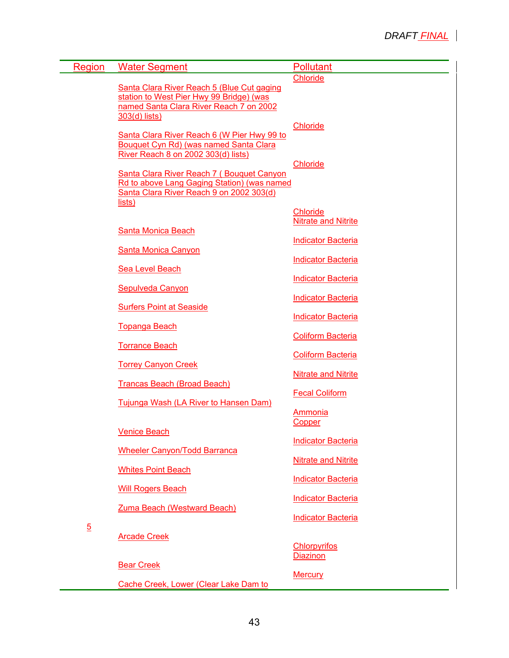| <b>Region</b>  | <b>Water Segment</b>                                                                                                                           | <b>Pollutant</b>                                       |
|----------------|------------------------------------------------------------------------------------------------------------------------------------------------|--------------------------------------------------------|
|                | Santa Clara River Reach 5 (Blue Cut gaging<br>station to West Pier Hwy 99 Bridge) (was<br>named Santa Clara River Reach 7 on 2002              | Chloride                                               |
|                | 303(d) lists)<br>Santa Clara River Reach 6 (W Pier Hwy 99 to<br>Bouquet Cyn Rd) (was named Santa Clara<br>River Reach 8 on 2002 303(d) lists)  | <b>Chloride</b>                                        |
|                | Santa Clara River Reach 7 (Bouquet Canyon<br>Rd to above Lang Gaging Station) (was named<br>Santa Clara River Reach 9 on 2002 303(d)<br>lists) | <b>Chloride</b>                                        |
|                | Santa Monica Beach                                                                                                                             | <b>Chloride</b><br><b>Nitrate and Nitrite</b>          |
|                | Santa Monica Canyon                                                                                                                            | <b>Indicator Bacteria</b>                              |
|                | <b>Sea Level Beach</b>                                                                                                                         | <b>Indicator Bacteria</b><br><b>Indicator Bacteria</b> |
|                | Sepulveda Canyon<br><b>Surfers Point at Seaside</b>                                                                                            | <b>Indicator Bacteria</b>                              |
|                | <b>Topanga Beach</b>                                                                                                                           | <b>Indicator Bacteria</b><br><b>Coliform Bacteria</b>  |
|                | <b>Torrance Beach</b>                                                                                                                          | <b>Coliform Bacteria</b>                               |
|                | <b>Torrey Canyon Creek</b><br><b>Trancas Beach (Broad Beach)</b>                                                                               | <b>Nitrate and Nitrite</b>                             |
|                | Tujunga Wash (LA River to Hansen Dam)                                                                                                          | <b>Fecal Coliform</b><br>Ammonia                       |
|                | <b>Venice Beach</b>                                                                                                                            | Copper<br><b>Indicator Bacteria</b>                    |
|                | <b>Wheeler Canyon/Todd Barranca</b>                                                                                                            | <b>Nitrate and Nitrite</b>                             |
|                | <b>Whites Point Beach</b><br><b>Will Rogers Beach</b>                                                                                          | <b>Indicator Bacteria</b>                              |
|                | Zuma Beach (Westward Beach)                                                                                                                    | <b>Indicator Bacteria</b><br><b>Indicator Bacteria</b> |
| $\overline{5}$ | <b>Arcade Creek</b>                                                                                                                            | <b>Chlorpyrifos</b>                                    |
|                | <b>Bear Creek</b>                                                                                                                              | <b>Diazinon</b><br><b>Mercury</b>                      |
|                | Cache Creek, Lower (Clear Lake Dam to                                                                                                          |                                                        |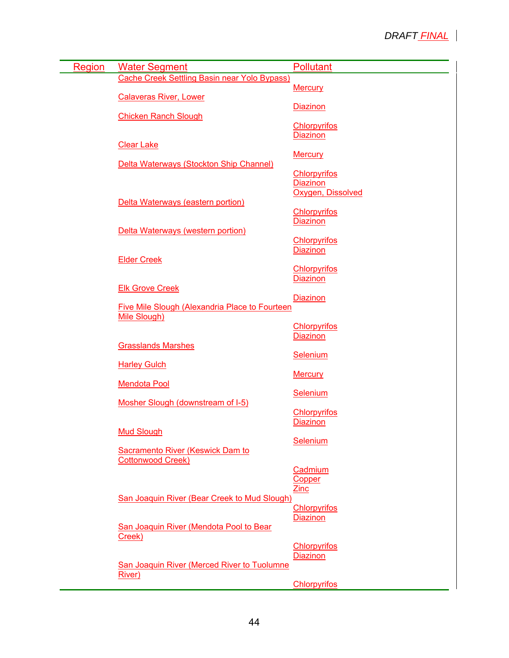| <b>Region</b> | <b>Water Segment</b>                                         | <b>Pollutant</b>                       |
|---------------|--------------------------------------------------------------|----------------------------------------|
|               | <b>Cache Creek Settling Basin near Yolo Bypass)</b>          |                                        |
|               |                                                              | <b>Mercury</b>                         |
|               | <b>Calaveras River, Lower</b>                                |                                        |
|               | <b>Chicken Ranch Slough</b>                                  | <b>Diazinon</b>                        |
|               |                                                              | <b>Chlorpyrifos</b>                    |
|               |                                                              | <b>Diazinon</b>                        |
|               | <b>Clear Lake</b>                                            |                                        |
|               |                                                              | <b>Mercury</b>                         |
|               | Delta Waterways (Stockton Ship Channel)                      |                                        |
|               |                                                              | <b>Chlorpyrifos</b>                    |
|               |                                                              | <b>Diazinon</b>                        |
|               | Delta Waterways (eastern portion)                            | Oxygen, Dissolved                      |
|               |                                                              | <b>Chlorpyrifos</b>                    |
|               |                                                              | <b>Diazinon</b>                        |
|               | Delta Waterways (western portion)                            |                                        |
|               |                                                              | <b>Chlorpyrifos</b>                    |
|               |                                                              | <b>Diazinon</b>                        |
|               | <b>Elder Creek</b>                                           |                                        |
|               |                                                              | <b>Chlorpyrifos</b>                    |
|               | <b>Elk Grove Creek</b>                                       | <b>Diazinon</b>                        |
|               |                                                              | <b>Diazinon</b>                        |
|               | <b>Five Mile Slough (Alexandria Place to Fourteen</b>        |                                        |
|               | Mile Slough)                                                 |                                        |
|               |                                                              | <b>Chlorpyrifos</b>                    |
|               |                                                              | <b>Diazinon</b>                        |
|               | <b>Grasslands Marshes</b>                                    |                                        |
|               |                                                              | Selenium                               |
|               | <b>Harley Gulch</b>                                          |                                        |
|               | <b>Mendota Pool</b>                                          | <b>Mercury</b>                         |
|               |                                                              | <b>Selenium</b>                        |
|               | Mosher Slough (downstream of I-5)                            |                                        |
|               |                                                              | <b>Chlorpyrifos</b>                    |
|               |                                                              | <b>Diazinon</b>                        |
|               | <b>Mud Slough</b>                                            |                                        |
|               |                                                              | Selenium                               |
|               | Sacramento River (Keswick Dam to<br><b>Cottonwood Creek)</b> |                                        |
|               |                                                              | Cadmium                                |
|               |                                                              | <b>Copper</b>                          |
|               |                                                              | <u>Zinc</u>                            |
|               | San Joaquin River (Bear Creek to Mud Slough)                 |                                        |
|               |                                                              | <b>Chlorpyrifos</b>                    |
|               |                                                              | <b>Diazinon</b>                        |
|               | San Joaquin River (Mendota Pool to Bear                      |                                        |
|               | Creek)                                                       |                                        |
|               |                                                              | <b>Chlorpyrifos</b><br><b>Diazinon</b> |
|               | San Joaquin River (Merced River to Tuolumne                  |                                        |
|               | River)                                                       |                                        |
|               |                                                              | <b>Chlorpyrifos</b>                    |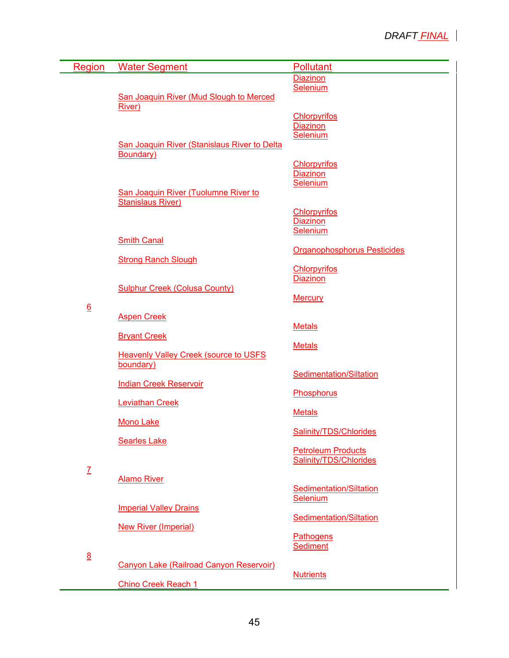| <b>Region</b>   | <b>Water Segment</b>                         | <b>Pollutant</b>                                    |
|-----------------|----------------------------------------------|-----------------------------------------------------|
|                 |                                              | <b>Diazinon</b><br>Selenium                         |
|                 | San Joaquin River (Mud Slough to Merced      |                                                     |
|                 | River)                                       | Chlorpyrifos                                        |
|                 |                                              | <b>Diazinon</b>                                     |
|                 | San Joaquin River (Stanislaus River to Delta | Selenium                                            |
|                 | <b>Boundary</b> )                            |                                                     |
|                 |                                              | <b>Chlorpyrifos</b><br><b>Diazinon</b>              |
|                 | San Joaquin River (Tuolumne River to         | Selenium                                            |
|                 | <b>Stanislaus River)</b>                     |                                                     |
|                 |                                              | <b>Chlorpyrifos</b><br><b>Diazinon</b>              |
|                 |                                              | Selenium                                            |
|                 | <b>Smith Canal</b>                           | <b>Organophosphorus Pesticides</b>                  |
|                 | <b>Strong Ranch Slough</b>                   | <b>Chlorpyrifos</b>                                 |
|                 |                                              | <b>Diazinon</b>                                     |
|                 | <b>Sulphur Creek (Colusa County)</b>         | <b>Mercury</b>                                      |
| $\underline{6}$ |                                              |                                                     |
|                 | <b>Aspen Creek</b>                           | <b>Metals</b>                                       |
|                 | <b>Bryant Creek</b>                          |                                                     |
|                 | <b>Heavenly Valley Creek (source to USFS</b> | <b>Metals</b>                                       |
|                 | boundary)                                    | <b>Sedimentation/Siltation</b>                      |
|                 | <b>Indian Creek Reservoir</b>                |                                                     |
|                 | <b>Leviathan Creek</b>                       | Phosphorus                                          |
|                 |                                              | <b>Metals</b>                                       |
|                 | <b>Mono Lake</b>                             | Salinity/TDS/Chlorides                              |
|                 | <b>Searles Lake</b>                          |                                                     |
|                 |                                              | <b>Petroleum Products</b><br>Salinity/TDS/Chlorides |
| $\mathbf{Z}$    | <b>Alamo River</b>                           |                                                     |
|                 |                                              | Sedimentation/Siltation                             |
|                 | <b>Imperial Valley Drains</b>                | <b>Selenium</b>                                     |
|                 |                                              | Sedimentation/Siltation                             |
|                 | <b>New River (Imperial)</b>                  | <b>Pathogens</b>                                    |
| $\underline{8}$ |                                              | Sediment                                            |
|                 | Canyon Lake (Railroad Canyon Reservoir)      |                                                     |
|                 | <b>Chino Creek Reach 1</b>                   | <b>Nutrients</b>                                    |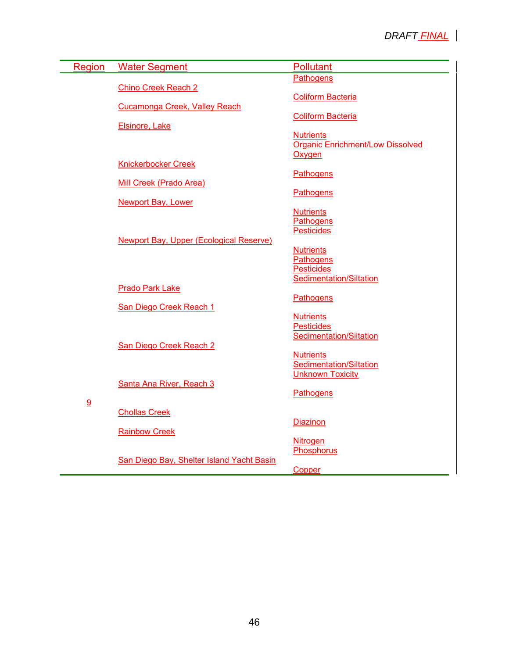| <b>Region</b> | <b>Water Segment</b>                      | Pollutant                               |
|---------------|-------------------------------------------|-----------------------------------------|
|               |                                           | <b>Pathogens</b>                        |
|               | <b>Chino Creek Reach 2</b>                |                                         |
|               |                                           | <b>Coliform Bacteria</b>                |
|               | <b>Cucamonga Creek, Valley Reach</b>      | <b>Coliform Bacteria</b>                |
|               | Elsinore, Lake                            |                                         |
|               |                                           | <b>Nutrients</b>                        |
|               |                                           | <b>Organic Enrichment/Low Dissolved</b> |
|               |                                           | Oxygen                                  |
|               | <b>Knickerbocker Creek</b>                |                                         |
|               | Mill Creek (Prado Area)                   | <b>Pathogens</b>                        |
|               |                                           | Pathogens                               |
|               | <b>Newport Bay, Lower</b>                 |                                         |
|               |                                           | <b>Nutrients</b>                        |
|               |                                           | Pathogens<br><b>Pesticides</b>          |
|               | Newport Bay, Upper (Ecological Reserve)   |                                         |
|               |                                           | <b>Nutrients</b>                        |
|               |                                           | Pathogens                               |
|               |                                           | <b>Pesticides</b>                       |
|               | <b>Prado Park Lake</b>                    | Sedimentation/Siltation                 |
|               |                                           | <b>Pathogens</b>                        |
|               | San Diego Creek Reach 1                   |                                         |
|               |                                           | <b>Nutrients</b>                        |
|               |                                           | <b>Pesticides</b>                       |
|               | San Diego Creek Reach 2                   | Sedimentation/Siltation                 |
|               |                                           | <b>Nutrients</b>                        |
|               |                                           | Sedimentation/Siltation                 |
|               |                                           | <b>Unknown Toxicity</b>                 |
|               | Santa Ana River, Reach 3                  |                                         |
|               |                                           | <b>Pathogens</b>                        |
| 9             | <b>Chollas Creek</b>                      |                                         |
|               |                                           | <b>Diazinon</b>                         |
|               | <b>Rainbow Creek</b>                      |                                         |
|               |                                           | <b>Nitrogen</b>                         |
|               | San Diego Bay, Shelter Island Yacht Basin | Phosphorus                              |
|               |                                           | Copper                                  |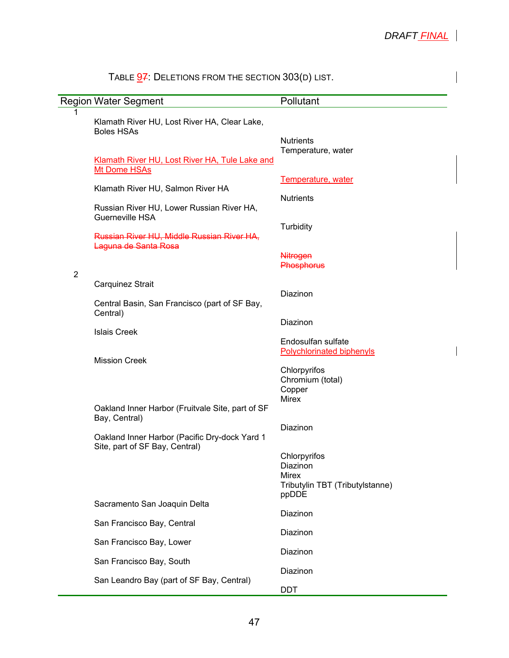TABLE  $\underline{9}$ . Deletions from the section 303(D) list.

|                | <b>Region Water Segment</b>                                                     | Pollutant                                                                     |
|----------------|---------------------------------------------------------------------------------|-------------------------------------------------------------------------------|
| 1              | Klamath River HU, Lost River HA, Clear Lake,<br><b>Boles HSAs</b>               |                                                                               |
|                |                                                                                 | <b>Nutrients</b><br>Temperature, water                                        |
|                | Klamath River HU, Lost River HA, Tule Lake and<br>Mt Dome HSAs                  | Temperature, water                                                            |
|                | Klamath River HU, Salmon River HA                                               | <b>Nutrients</b>                                                              |
|                | Russian River HU, Lower Russian River HA,<br>Guerneville HSA                    | Turbidity                                                                     |
|                | Russian River HU, Middle Russian River HA,<br>Laguna de Santa Rosa              |                                                                               |
|                |                                                                                 | <b>Nitrogen</b><br><b>Phosphorus</b>                                          |
| $\overline{2}$ | Carquinez Strait                                                                | Diazinon                                                                      |
|                | Central Basin, San Francisco (part of SF Bay,<br>Central)                       | Diazinon                                                                      |
|                | <b>Islais Creek</b>                                                             | Endosulfan sulfate                                                            |
|                | <b>Mission Creek</b>                                                            | <b>Polychlorinated biphenyls</b>                                              |
|                |                                                                                 | Chlorpyrifos<br>Chromium (total)<br>Copper<br><b>Mirex</b>                    |
|                | Oakland Inner Harbor (Fruitvale Site, part of SF<br>Bay, Central)               |                                                                               |
|                | Oakland Inner Harbor (Pacific Dry-dock Yard 1<br>Site, part of SF Bay, Central) | Diazinon                                                                      |
|                |                                                                                 | Chlorpyrifos<br>Diazinon<br>Mirex<br>Tributylin TBT (Tributylstanne)<br>ppDDE |
|                | Sacramento San Joaquin Delta                                                    | Diazinon                                                                      |
|                | San Francisco Bay, Central<br>San Francisco Bay, Lower                          | Diazinon                                                                      |
|                | San Francisco Bay, South                                                        | Diazinon                                                                      |
|                | San Leandro Bay (part of SF Bay, Central)                                       | Diazinon                                                                      |
|                |                                                                                 | <b>DDT</b>                                                                    |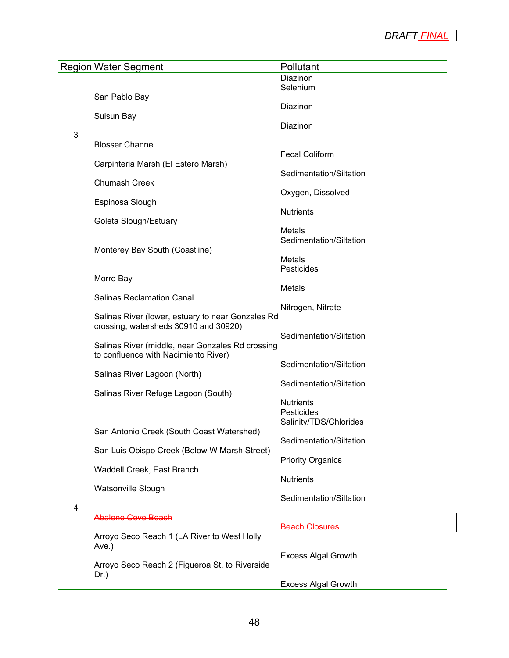|   | Region Water Segment                                   | Pollutant                            |
|---|--------------------------------------------------------|--------------------------------------|
|   |                                                        | Diazinon<br>Selenium                 |
|   | San Pablo Bay                                          | Diazinon                             |
|   | Suisun Bay                                             | Diazinon                             |
| 3 |                                                        |                                      |
|   | <b>Blosser Channel</b>                                 | <b>Fecal Coliform</b>                |
|   | Carpinteria Marsh (El Estero Marsh)                    | Sedimentation/Siltation              |
|   | <b>Chumash Creek</b>                                   | Oxygen, Dissolved                    |
|   | Espinosa Slough                                        | <b>Nutrients</b>                     |
|   | Goleta Slough/Estuary                                  |                                      |
|   |                                                        | Metals<br>Sedimentation/Siltation    |
|   | Monterey Bay South (Coastline)                         | Metals                               |
|   | Morro Bay                                              | Pesticides                           |
|   | <b>Salinas Reclamation Canal</b>                       | Metals                               |
|   | Salinas River (lower, estuary to near Gonzales Rd      | Nitrogen, Nitrate                    |
|   | crossing, watersheds 30910 and 30920)                  |                                      |
|   | Salinas River (middle, near Gonzales Rd crossing       | Sedimentation/Siltation              |
|   | to confluence with Nacimiento River)                   | Sedimentation/Siltation              |
|   | Salinas River Lagoon (North)                           | Sedimentation/Siltation              |
|   | Salinas River Refuge Lagoon (South)                    | <b>Nutrients</b>                     |
|   |                                                        | Pesticides<br>Salinity/TDS/Chlorides |
|   | San Antonio Creek (South Coast Watershed)              | Sedimentation/Siltation              |
|   | San Luis Obispo Creek (Below W Marsh Street)           |                                      |
|   | Waddell Creek, East Branch                             | <b>Priority Organics</b>             |
|   | Watsonville Slough                                     | <b>Nutrients</b>                     |
| 4 |                                                        | Sedimentation/Siltation              |
|   | <b>Abalone Cove Beach</b>                              | <b>Beach Closures</b>                |
|   | Arroyo Seco Reach 1 (LA River to West Holly<br>Ave.)   |                                      |
|   | Arroyo Seco Reach 2 (Figueroa St. to Riverside<br>Dr.) | <b>Excess Algal Growth</b>           |
|   |                                                        | <b>Excess Algal Growth</b>           |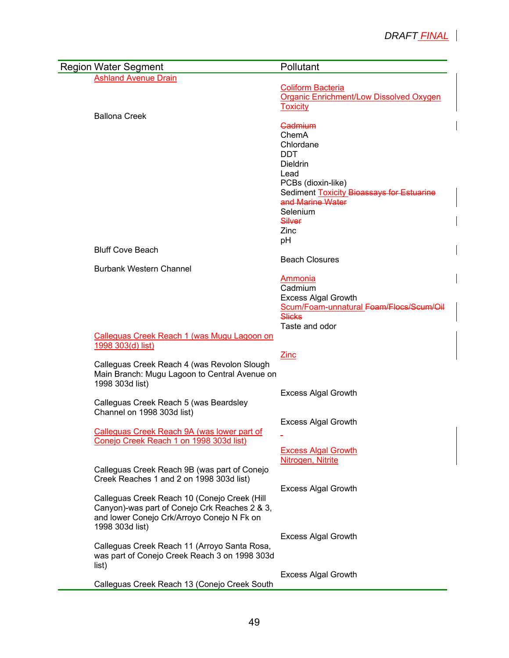| <b>Region Water Segment</b>                                                                                                                                    | Pollutant                                                                              |
|----------------------------------------------------------------------------------------------------------------------------------------------------------------|----------------------------------------------------------------------------------------|
| <b>Ashland Avenue Drain</b>                                                                                                                                    |                                                                                        |
|                                                                                                                                                                | <b>Coliform Bacteria</b><br>Organic Enrichment/Low Dissolved Oxygen<br><b>Toxicity</b> |
| <b>Ballona Creek</b>                                                                                                                                           |                                                                                        |
|                                                                                                                                                                | Cadmium                                                                                |
|                                                                                                                                                                | ChemA                                                                                  |
|                                                                                                                                                                | Chlordane                                                                              |
|                                                                                                                                                                | <b>DDT</b><br><b>Dieldrin</b>                                                          |
|                                                                                                                                                                | Lead                                                                                   |
|                                                                                                                                                                | PCBs (dioxin-like)                                                                     |
|                                                                                                                                                                | Sediment <b>Toxicity Bioassays for Estuarine</b>                                       |
|                                                                                                                                                                | and Marine Water                                                                       |
|                                                                                                                                                                | Selenium                                                                               |
|                                                                                                                                                                | Silver                                                                                 |
|                                                                                                                                                                | Zinc                                                                                   |
| <b>Bluff Cove Beach</b>                                                                                                                                        | pH                                                                                     |
|                                                                                                                                                                | <b>Beach Closures</b>                                                                  |
| <b>Burbank Western Channel</b>                                                                                                                                 |                                                                                        |
|                                                                                                                                                                | Ammonia                                                                                |
|                                                                                                                                                                | Cadmium                                                                                |
|                                                                                                                                                                | <b>Excess Algal Growth</b>                                                             |
|                                                                                                                                                                | Scum/Foam-unnatural Foam/Flocs/Scum/Oil                                                |
|                                                                                                                                                                | <b>Slicks</b>                                                                          |
|                                                                                                                                                                | Taste and odor                                                                         |
| Calleguas Creek Reach 1 (was Mugu Lagoon on                                                                                                                    |                                                                                        |
| 1998 303(d) list)                                                                                                                                              | Zinc                                                                                   |
| Calleguas Creek Reach 4 (was Revolon Slough                                                                                                                    |                                                                                        |
| Main Branch: Mugu Lagoon to Central Avenue on                                                                                                                  |                                                                                        |
| 1998 303d list)                                                                                                                                                |                                                                                        |
|                                                                                                                                                                | <b>Excess Algal Growth</b>                                                             |
| Calleguas Creek Reach 5 (was Beardsley                                                                                                                         |                                                                                        |
| Channel on 1998 303d list)                                                                                                                                     |                                                                                        |
|                                                                                                                                                                | <b>Excess Algal Growth</b>                                                             |
| Calleguas Creek Reach 9A (was lower part of<br>Conejo Creek Reach 1 on 1998 303d list)                                                                         |                                                                                        |
|                                                                                                                                                                | <b>Excess Algal Growth</b>                                                             |
|                                                                                                                                                                | Nitrogen, Nitrite                                                                      |
| Calleguas Creek Reach 9B (was part of Conejo                                                                                                                   |                                                                                        |
| Creek Reaches 1 and 2 on 1998 303d list)                                                                                                                       |                                                                                        |
|                                                                                                                                                                | <b>Excess Algal Growth</b>                                                             |
| Calleguas Creek Reach 10 (Conejo Creek (Hill<br>Canyon)-was part of Conejo Crk Reaches 2 & 3,<br>and lower Conejo Crk/Arroyo Conejo N Fk on<br>1998 303d list) |                                                                                        |
|                                                                                                                                                                | <b>Excess Algal Growth</b>                                                             |
| Calleguas Creek Reach 11 (Arroyo Santa Rosa,                                                                                                                   |                                                                                        |
| was part of Conejo Creek Reach 3 on 1998 303d                                                                                                                  |                                                                                        |
| list)                                                                                                                                                          | <b>Excess Algal Growth</b>                                                             |
| Calleguas Creek Reach 13 (Conejo Creek South                                                                                                                   |                                                                                        |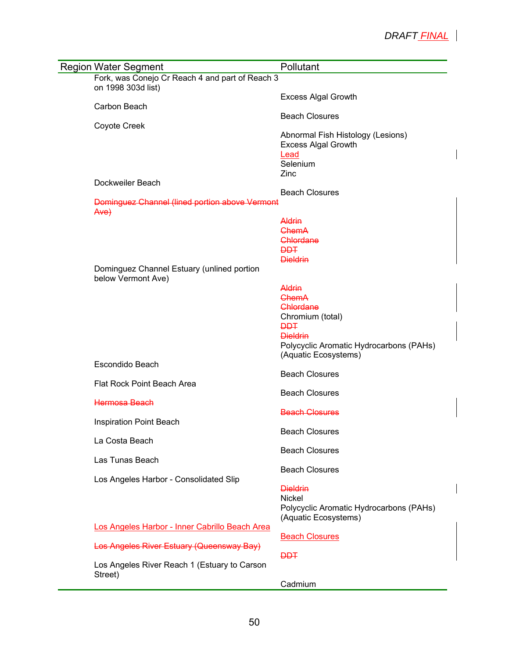| <b>Region Water Segment</b>                     | Pollutant                               |
|-------------------------------------------------|-----------------------------------------|
| Fork, was Conejo Cr Reach 4 and part of Reach 3 |                                         |
| on 1998 303d list)                              |                                         |
|                                                 | <b>Excess Algal Growth</b>              |
| Carbon Beach                                    |                                         |
|                                                 | <b>Beach Closures</b>                   |
| Coyote Creek                                    |                                         |
|                                                 | Abnormal Fish Histology (Lesions)       |
|                                                 | <b>Excess Algal Growth</b>              |
|                                                 | Lead                                    |
|                                                 | Selenium                                |
| Dockweiler Beach                                | Zinc                                    |
|                                                 | <b>Beach Closures</b>                   |
| Dominguez Channel (lined portion above Vermont  |                                         |
| Ave                                             |                                         |
|                                                 | <b>Aldrin</b>                           |
|                                                 | <b>ChemA</b>                            |
|                                                 | Chlordane                               |
|                                                 | <b>DDT</b>                              |
|                                                 | <b>Dieldrin</b>                         |
| Dominguez Channel Estuary (unlined portion      |                                         |
| below Vermont Ave)                              |                                         |
|                                                 | Aldrin                                  |
|                                                 | <b>ChemA</b>                            |
|                                                 | Chlordane                               |
|                                                 | Chromium (total)                        |
|                                                 | <b>DDT</b>                              |
|                                                 | <b>Dieldrin</b>                         |
|                                                 | Polycyclic Aromatic Hydrocarbons (PAHs) |
|                                                 | (Aquatic Ecosystems)                    |
| Escondido Beach                                 | <b>Beach Closures</b>                   |
| Flat Rock Point Beach Area                      |                                         |
|                                                 | <b>Beach Closures</b>                   |
| Hermosa Beach                                   |                                         |
|                                                 | <b>Beach Closures</b>                   |
| <b>Inspiration Point Beach</b>                  |                                         |
|                                                 | <b>Beach Closures</b>                   |
| La Costa Beach                                  |                                         |
|                                                 | <b>Beach Closures</b>                   |
| Las Tunas Beach                                 |                                         |
|                                                 | <b>Beach Closures</b>                   |
| Los Angeles Harbor - Consolidated Slip          |                                         |
|                                                 | <b>Dieldrin</b>                         |
|                                                 | <b>Nickel</b>                           |
|                                                 | Polycyclic Aromatic Hydrocarbons (PAHs) |
|                                                 | (Aquatic Ecosystems)                    |
| Los Angeles Harbor - Inner Cabrillo Beach Area  |                                         |
|                                                 | <b>Beach Closures</b>                   |
| Los Angeles River Estuary (Queensway Bay)       |                                         |
|                                                 | <b>DDT</b>                              |
| Los Angeles River Reach 1 (Estuary to Carson    |                                         |
| Street)                                         | Cadmium                                 |
|                                                 |                                         |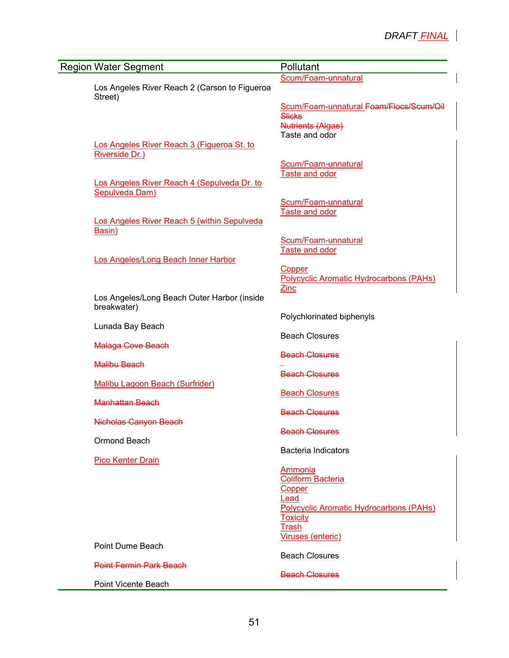| <b>Region Water Segment</b>                                   | Pollutant                                                                 |
|---------------------------------------------------------------|---------------------------------------------------------------------------|
| Los Angeles River Reach 2 (Carson to Figueroa<br>Street)      | Scum/Foam-unnatural                                                       |
|                                                               | Scum/Foam-unnatural Foam/Flocs/Scum/Oil<br><b>Slicks</b>                  |
|                                                               | <b>Nutrients (Algae)</b><br>Taste and odor                                |
| Los Angeles River Reach 3 (Figueroa St. to<br>Riverside Dr.)  |                                                                           |
|                                                               | Scum/Foam-unnatural<br>Taste and odor                                     |
| Los Angeles River Reach 4 (Sepulveda Dr. to<br>Sepulveda Dam) |                                                                           |
| Los Angeles River Reach 5 (within Sepulveda                   | Scum/Foam-unnatural<br>Taste and odor                                     |
| Basin)                                                        | Scum/Foam-unnatural                                                       |
| Los Angeles/Long Beach Inner Harbor                           | Taste and odor                                                            |
|                                                               | <b>Copper</b><br><b>Polycyclic Aromatic Hydrocarbons (PAHs)</b><br>Zinc   |
| Los Angeles/Long Beach Outer Harbor (inside<br>breakwater)    |                                                                           |
| Lunada Bay Beach                                              | Polychlorinated biphenyls                                                 |
| <b>Malaga Cove Beach</b>                                      | <b>Beach Closures</b>                                                     |
| <b>Malibu Beach</b>                                           | <b>Beach Closures</b>                                                     |
| Malibu Lagoon Beach (Surfrider)                               | <b>Beach Closures</b>                                                     |
| <b>Manhattan Beach</b>                                        | <b>Beach Closures</b>                                                     |
| Nicholas Canvon Beach                                         | <b>Beach Closures</b><br><b>Beach Closures</b>                            |
| Ormond Beach                                                  | <b>Bacteria Indicators</b>                                                |
| <b>Pico Kenter Drain</b>                                      |                                                                           |
|                                                               | <b>Ammonia</b><br><b>Coliform Bacteria</b><br>Copper                      |
|                                                               | Lead<br><b>Polycyclic Aromatic Hydrocarbons (PAHs)</b><br><b>Toxicity</b> |
|                                                               | <b>Trash</b><br>Viruses (enteric)                                         |
| Point Dume Beach<br>Point Fermin Park Beach                   | <b>Beach Closures</b>                                                     |
|                                                               | <b>Beach Closures</b>                                                     |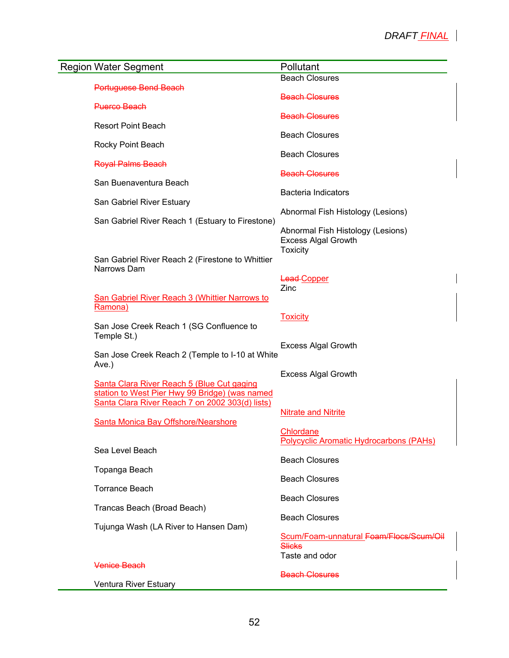| <b>Region Water Segment</b>                                                                  | Pollutant<br><b>Beach Closures</b>                       |
|----------------------------------------------------------------------------------------------|----------------------------------------------------------|
| <b>Portuguese Bend Beach</b>                                                                 |                                                          |
|                                                                                              | <b>Beach Closures</b>                                    |
| Puerco Beach                                                                                 |                                                          |
|                                                                                              | <b>Beach Closures</b>                                    |
| <b>Resort Point Beach</b>                                                                    |                                                          |
| Rocky Point Beach                                                                            | <b>Beach Closures</b>                                    |
|                                                                                              | <b>Beach Closures</b>                                    |
| <b>Royal Palms Beach</b>                                                                     |                                                          |
|                                                                                              | <b>Beach Closures</b>                                    |
| San Buenaventura Beach                                                                       | <b>Bacteria Indicators</b>                               |
| San Gabriel River Estuary                                                                    |                                                          |
|                                                                                              | Abnormal Fish Histology (Lesions)                        |
| San Gabriel River Reach 1 (Estuary to Firestone)                                             |                                                          |
|                                                                                              | Abnormal Fish Histology (Lesions)                        |
|                                                                                              | <b>Excess Algal Growth</b><br><b>Toxicity</b>            |
| San Gabriel River Reach 2 (Firestone to Whittier                                             |                                                          |
| Narrows Dam                                                                                  |                                                          |
|                                                                                              | Lead-Copper                                              |
| San Gabriel River Reach 3 (Whittier Narrows to                                               | Zinc                                                     |
| Ramona)                                                                                      |                                                          |
|                                                                                              | <b>Toxicity</b>                                          |
| San Jose Creek Reach 1 (SG Confluence to                                                     |                                                          |
| Temple St.)                                                                                  | <b>Excess Algal Growth</b>                               |
| San Jose Creek Reach 2 (Temple to I-10 at White                                              |                                                          |
| Ave.)                                                                                        |                                                          |
|                                                                                              | <b>Excess Algal Growth</b>                               |
| Santa Clara River Reach 5 (Blue Cut gaging<br>station to West Pier Hwy 99 Bridge) (was named |                                                          |
| Santa Clara River Reach 7 on 2002 303(d) lists)                                              |                                                          |
|                                                                                              | <b>Nitrate and Nitrite</b>                               |
| <b>Santa Monica Bay Offshore/Nearshore</b>                                                   |                                                          |
|                                                                                              | Chlordane                                                |
| Sea Level Beach                                                                              | <b>Polycyclic Aromatic Hydrocarbons (PAHs)</b>           |
|                                                                                              | <b>Beach Closures</b>                                    |
| Topanga Beach                                                                                |                                                          |
|                                                                                              | <b>Beach Closures</b>                                    |
| <b>Torrance Beach</b>                                                                        | <b>Beach Closures</b>                                    |
| Trancas Beach (Broad Beach)                                                                  |                                                          |
|                                                                                              | <b>Beach Closures</b>                                    |
| Tujunga Wash (LA River to Hansen Dam)                                                        |                                                          |
|                                                                                              | Scum/Foam-unnatural Foam/Flocs/Scum/Oil<br><b>Slicks</b> |
|                                                                                              | Taste and odor                                           |
| Venice Beach                                                                                 |                                                          |
|                                                                                              | <b>Beach Closures</b>                                    |
| Ventura River Estuary                                                                        |                                                          |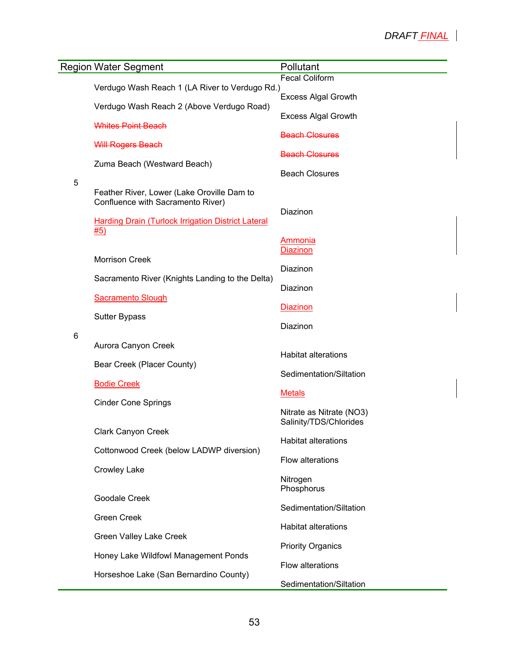|   | <b>Region Water Segment</b>                                                                               | Pollutant                                          |
|---|-----------------------------------------------------------------------------------------------------------|----------------------------------------------------|
|   | Verdugo Wash Reach 1 (LA River to Verdugo Rd.)                                                            | <b>Fecal Coliform</b>                              |
|   |                                                                                                           | <b>Excess Algal Growth</b>                         |
|   | Verdugo Wash Reach 2 (Above Verdugo Road)                                                                 | <b>Excess Algal Growth</b>                         |
|   | <b>Whites Point Beach</b>                                                                                 | <b>Beach Closures</b>                              |
|   | <b>Will Rogers Beach</b><br>Zuma Beach (Westward Beach)                                                   |                                                    |
|   |                                                                                                           | <b>Beach Closures</b>                              |
| 5 |                                                                                                           | <b>Beach Closures</b>                              |
|   | Feather River, Lower (Lake Oroville Dam to<br>Confluence with Sacramento River)                           |                                                    |
|   | <b>Harding Drain (Turlock Irrigation District Lateral</b>                                                 | Diazinon                                           |
|   | #5)                                                                                                       | Ammonia                                            |
|   |                                                                                                           | <b>Diazinon</b>                                    |
|   | <b>Morrison Creek</b><br>Sacramento River (Knights Landing to the Delta)<br><b>Sacramento Slough</b>      | Diazinon                                           |
|   |                                                                                                           | Diazinon                                           |
|   |                                                                                                           | <b>Diazinon</b>                                    |
|   | <b>Sutter Bypass</b>                                                                                      |                                                    |
| 6 |                                                                                                           | Diazinon                                           |
|   | Aurora Canyon Creek<br>Bear Creek (Placer County)<br><b>Bodie Creek</b>                                   | <b>Habitat alterations</b>                         |
|   |                                                                                                           | Sedimentation/Siltation                            |
|   |                                                                                                           |                                                    |
|   | <b>Cinder Cone Springs</b>                                                                                | <b>Metals</b>                                      |
|   |                                                                                                           | Nitrate as Nitrate (NO3)<br>Salinity/TDS/Chlorides |
|   | <b>Clark Canyon Creek</b>                                                                                 |                                                    |
|   | Cottonwood Creek (below LADWP diversion)                                                                  | <b>Habitat alterations</b>                         |
|   | <b>Crowley Lake</b>                                                                                       | Flow alterations                                   |
|   |                                                                                                           | Nitrogen                                           |
|   | Goodale Creek                                                                                             | Phosphorus                                         |
|   | <b>Green Creek</b>                                                                                        | Sedimentation/Siltation                            |
|   | Green Valley Lake Creek<br>Honey Lake Wildfowl Management Ponds<br>Horseshoe Lake (San Bernardino County) | <b>Habitat alterations</b>                         |
|   |                                                                                                           | <b>Priority Organics</b>                           |
|   |                                                                                                           | Flow alterations                                   |
|   |                                                                                                           | Sedimentation/Siltation                            |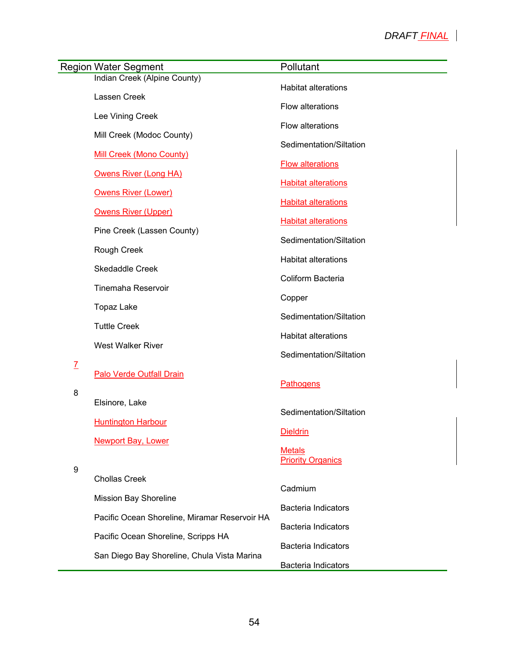|                                                                       | <b>Region Water Segment</b>                                                                                                         | Pollutant                                 |
|-----------------------------------------------------------------------|-------------------------------------------------------------------------------------------------------------------------------------|-------------------------------------------|
|                                                                       | Indian Creek (Alpine County)                                                                                                        |                                           |
|                                                                       | Lassen Creek                                                                                                                        | <b>Habitat alterations</b>                |
|                                                                       |                                                                                                                                     | Flow alterations                          |
|                                                                       | Lee Vining Creek                                                                                                                    | Flow alterations                          |
|                                                                       | Mill Creek (Modoc County)                                                                                                           |                                           |
|                                                                       |                                                                                                                                     | Sedimentation/Siltation                   |
|                                                                       | <b>Mill Creek (Mono County)</b>                                                                                                     | <b>Flow alterations</b>                   |
|                                                                       | Owens River (Long HA)                                                                                                               |                                           |
|                                                                       | <b>Owens River (Lower)</b>                                                                                                          | <b>Habitat alterations</b>                |
|                                                                       |                                                                                                                                     | <b>Habitat alterations</b>                |
|                                                                       | <b>Owens River (Upper)</b>                                                                                                          | <b>Habitat alterations</b>                |
|                                                                       | Pine Creek (Lassen County)                                                                                                          |                                           |
|                                                                       | Rough Creek                                                                                                                         | Sedimentation/Siltation                   |
|                                                                       |                                                                                                                                     | Habitat alterations                       |
|                                                                       | <b>Skedaddle Creek</b>                                                                                                              | Coliform Bacteria                         |
| <b>Tinemaha Reservoir</b><br><b>Topaz Lake</b><br><b>Tuttle Creek</b> |                                                                                                                                     |                                           |
|                                                                       |                                                                                                                                     | Copper                                    |
|                                                                       |                                                                                                                                     | Sedimentation/Siltation                   |
|                                                                       |                                                                                                                                     | <b>Habitat alterations</b>                |
|                                                                       | <b>West Walker River</b>                                                                                                            |                                           |
|                                                                       |                                                                                                                                     | Sedimentation/Siltation                   |
| $\overline{1}$                                                        | <b>Palo Verde Outfall Drain</b>                                                                                                     |                                           |
|                                                                       |                                                                                                                                     | <b>Pathogens</b>                          |
| 8                                                                     | Elsinore, Lake                                                                                                                      |                                           |
|                                                                       |                                                                                                                                     | Sedimentation/Siltation                   |
|                                                                       | <b>Huntington Harbour</b>                                                                                                           | <b>Dieldrin</b>                           |
|                                                                       | <b>Newport Bay, Lower</b>                                                                                                           |                                           |
|                                                                       |                                                                                                                                     | <b>Metals</b><br><b>Priority Organics</b> |
| 9                                                                     |                                                                                                                                     |                                           |
|                                                                       | <b>Chollas Creek</b>                                                                                                                | Cadmium                                   |
|                                                                       | <b>Mission Bay Shoreline</b>                                                                                                        |                                           |
|                                                                       | Pacific Ocean Shoreline, Miramar Reservoir HA<br>Pacific Ocean Shoreline, Scripps HA<br>San Diego Bay Shoreline, Chula Vista Marina | <b>Bacteria Indicators</b>                |
|                                                                       |                                                                                                                                     | <b>Bacteria Indicators</b>                |
|                                                                       |                                                                                                                                     | <b>Bacteria Indicators</b>                |
|                                                                       |                                                                                                                                     |                                           |
|                                                                       |                                                                                                                                     | Bacteria Indicators                       |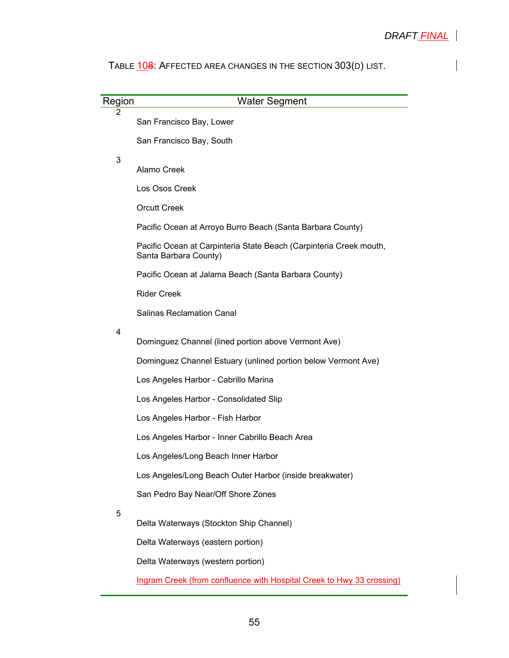Region Water Segment 2 San Francisco Bay, Lower San Francisco Bay, South 3 Alamo Creek Los Osos Creek Orcutt Creek Pacific Ocean at Arroyo Burro Beach (Santa Barbara County) Pacific Ocean at Carpinteria State Beach (Carpinteria Creek mouth, Santa Barbara County) Pacific Ocean at Jalama Beach (Santa Barbara County) Rider Creek Salinas Reclamation Canal 4 Dominguez Channel (lined portion above Vermont Ave) Dominguez Channel Estuary (unlined portion below Vermont Ave) Los Angeles Harbor - Cabrillo Marina Los Angeles Harbor - Consolidated Slip Los Angeles Harbor - Fish Harbor Los Angeles Harbor - Inner Cabrillo Beach Area Los Angeles/Long Beach Inner Harbor Los Angeles/Long Beach Outer Harbor (inside breakwater) San Pedro Bay Near/Off Shore Zones 5 Delta Waterways (Stockton Ship Channel) Delta Waterways (eastern portion) Delta Waterways (western portion) Ingram Creek (from confluence with Hospital Creek to Hwy 33 crossing)

TABLE 108: AFFECTED AREA CHANGES IN THE SECTION 303(D) LIST.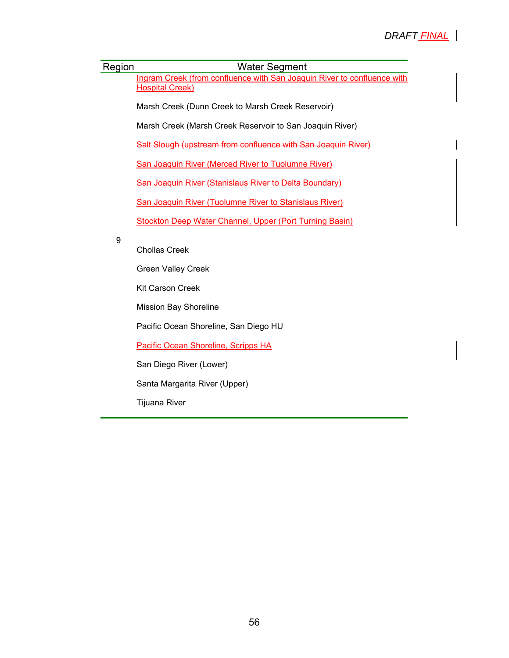| Region | <b>Water Segment</b>                                                                                          |  |  |  |  |  |
|--------|---------------------------------------------------------------------------------------------------------------|--|--|--|--|--|
|        | Ingram Creek (from confluence with San Joaquin River to confluence with<br><b>Hospital Creek)</b>             |  |  |  |  |  |
|        | Marsh Creek (Dunn Creek to Marsh Creek Reservoir)<br>Marsh Creek (Marsh Creek Reservoir to San Joaquin River) |  |  |  |  |  |
|        |                                                                                                               |  |  |  |  |  |
|        |                                                                                                               |  |  |  |  |  |
|        | Salt Slough (upstream from confluence with San Joaquin River)                                                 |  |  |  |  |  |
|        | San Joaquin River (Merced River to Tuolumne River)                                                            |  |  |  |  |  |
|        | <b>San Joaquin River (Stanislaus River to Delta Boundary)</b>                                                 |  |  |  |  |  |
|        | <b>San Joaquin River (Tuolumne River to Stanislaus River)</b>                                                 |  |  |  |  |  |
|        | Stockton Deep Water Channel, Upper (Port Turning Basin)                                                       |  |  |  |  |  |
| 9      |                                                                                                               |  |  |  |  |  |
|        | <b>Chollas Creek</b>                                                                                          |  |  |  |  |  |
|        | <b>Green Valley Creek</b>                                                                                     |  |  |  |  |  |
|        | <b>Kit Carson Creek</b>                                                                                       |  |  |  |  |  |
|        | <b>Mission Bay Shoreline</b>                                                                                  |  |  |  |  |  |
|        | Pacific Ocean Shoreline, San Diego HU                                                                         |  |  |  |  |  |
|        | Pacific Ocean Shoreline, Scripps HA                                                                           |  |  |  |  |  |
|        | San Diego River (Lower)                                                                                       |  |  |  |  |  |
|        | Santa Margarita River (Upper)                                                                                 |  |  |  |  |  |
|        | Tijuana River                                                                                                 |  |  |  |  |  |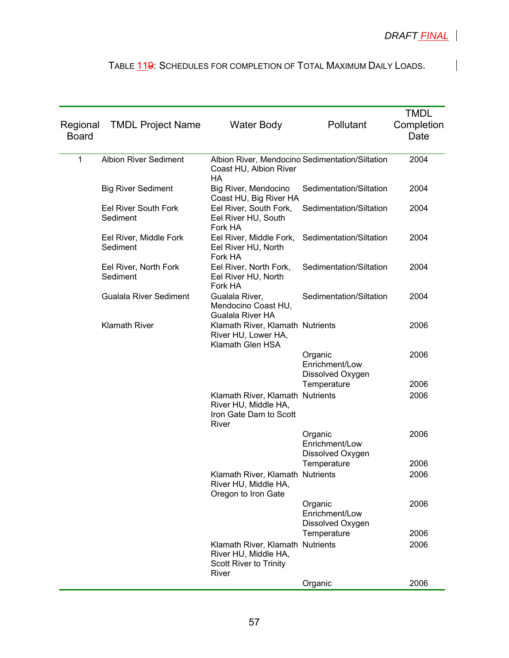## TABLE 119: SCHEDULES FOR COMPLETION OF TOTAL MAXIMUM DAILY LOADS.

|                          |                                         |                                                                                                    |                                               | <b>TMDL</b>        |
|--------------------------|-----------------------------------------|----------------------------------------------------------------------------------------------------|-----------------------------------------------|--------------------|
| Regional<br><b>Board</b> | <b>TMDL Project Name</b>                | <b>Water Body</b>                                                                                  | Pollutant                                     | Completion<br>Date |
| $\mathbf{1}$             | <b>Albion River Sediment</b>            | Albion River, Mendocino Sedimentation/Siltation<br>Coast HU, Albion River<br>НA                    |                                               | 2004               |
|                          | <b>Big River Sediment</b>               | Big River, Mendocino<br>Coast HU, Big River HA                                                     | Sedimentation/Siltation                       | 2004               |
|                          | <b>Eel River South Fork</b><br>Sediment | Eel River, South Fork,<br>Eel River HU, South<br>Fork HA                                           | Sedimentation/Siltation                       | 2004               |
|                          | Eel River, Middle Fork<br>Sediment      | Eel River, Middle Fork,<br>Eel River HU, North<br>Fork HA                                          | Sedimentation/Siltation                       | 2004               |
|                          | Eel River, North Fork<br>Sediment       | Eel River, North Fork,<br>Eel River HU, North<br>Fork HA                                           | Sedimentation/Siltation                       | 2004               |
|                          | <b>Gualala River Sediment</b>           | Gualala River,<br>Mendocino Coast HU,<br><b>Gualala River HA</b>                                   | Sedimentation/Siltation                       | 2004               |
|                          | <b>Klamath River</b>                    | Klamath River, Klamath Nutrients<br>River HU, Lower HA,<br>Klamath Glen HSA                        |                                               | 2006               |
|                          |                                         |                                                                                                    | Organic<br>Enrichment/Low<br>Dissolved Oxygen | 2006               |
|                          |                                         |                                                                                                    | Temperature                                   | 2006               |
|                          |                                         | Klamath River, Klamath Nutrients<br>River HU, Middle HA,<br>Iron Gate Dam to Scott<br>River        |                                               | 2006               |
|                          |                                         |                                                                                                    | Organic<br>Enrichment/Low<br>Dissolved Oxygen | 2006               |
|                          |                                         |                                                                                                    | Temperature                                   | 2006               |
|                          |                                         | Klamath River, Klamath Nutrients<br>River HU, Middle HA,<br>Oregon to Iron Gate                    |                                               | 2006               |
|                          |                                         |                                                                                                    | Organic<br>Enrichment/Low<br>Dissolved Oxygen | 2006               |
|                          |                                         |                                                                                                    | Temperature                                   | 2006               |
|                          |                                         | Klamath River, Klamath Nutrients<br>River HU, Middle HA,<br><b>Scott River to Trinity</b><br>River |                                               | 2006               |
|                          |                                         |                                                                                                    | Organic                                       | 2006               |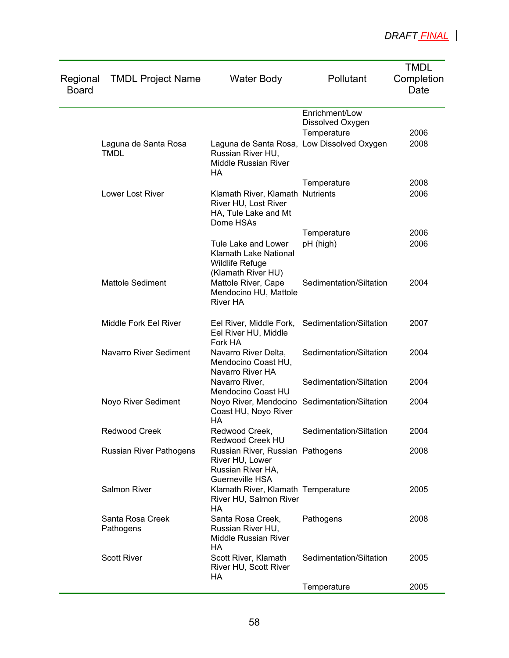| Regional<br><b>Board</b> | <b>TMDL Project Name</b>            | <b>Water Body</b>                                                                                    | Pollutant                                         | TMDL<br>Completion<br>Date |
|--------------------------|-------------------------------------|------------------------------------------------------------------------------------------------------|---------------------------------------------------|----------------------------|
|                          |                                     |                                                                                                      | Enrichment/Low<br>Dissolved Oxygen<br>Temperature | 2006                       |
|                          | Laguna de Santa Rosa<br><b>TMDL</b> | Laguna de Santa Rosa, Low Dissolved Oxygen<br>Russian River HU,<br><b>Middle Russian River</b><br>HA |                                                   | 2008                       |
|                          |                                     |                                                                                                      | Temperature                                       | 2008                       |
|                          | Lower Lost River                    | Klamath River, Klamath Nutrients<br>River HU, Lost River<br>HA, Tule Lake and Mt<br>Dome HSAs        |                                                   | 2006                       |
|                          |                                     |                                                                                                      | Temperature                                       | 2006                       |
|                          |                                     | Tule Lake and Lower<br>Klamath Lake National<br><b>Wildlife Refuge</b><br>(Klamath River HU)         | pH (high)                                         | 2006                       |
|                          | <b>Mattole Sediment</b>             | Mattole River, Cape<br>Mendocino HU, Mattole<br><b>River HA</b>                                      | Sedimentation/Siltation                           | 2004                       |
|                          | Middle Fork Eel River               | Eel River, Middle Fork,<br>Eel River HU, Middle<br>Fork HA                                           | Sedimentation/Siltation                           | 2007                       |
|                          | <b>Navarro River Sediment</b>       | Navarro River Delta,<br>Mendocino Coast HU,<br>Navarro River HA                                      | Sedimentation/Siltation                           | 2004                       |
|                          |                                     | Navarro River,<br>Mendocino Coast HU                                                                 | Sedimentation/Siltation                           | 2004                       |
|                          | Noyo River Sediment                 | Noyo River, Mendocino<br>Coast HU, Noyo River<br>HA                                                  | Sedimentation/Siltation                           | 2004                       |
|                          | <b>Redwood Creek</b>                | Redwood Creek,<br>Redwood Creek HU                                                                   | Sedimentation/Siltation                           | 2004                       |
|                          | <b>Russian River Pathogens</b>      | Russian River, Russian Pathogens<br>River HU, Lower<br>Russian River HA,<br><b>Guerneville HSA</b>   |                                                   | 2008                       |
|                          | Salmon River                        | Klamath River, Klamath Temperature<br>River HU, Salmon River<br>HА                                   |                                                   | 2005                       |
|                          | Santa Rosa Creek<br>Pathogens       | Santa Rosa Creek,<br>Russian River HU,<br><b>Middle Russian River</b><br>HA                          | Pathogens                                         | 2008                       |
|                          | <b>Scott River</b>                  | Scott River, Klamath<br>River HU, Scott River<br>HA                                                  | Sedimentation/Siltation                           | 2005                       |
|                          |                                     |                                                                                                      | Temperature                                       | 2005                       |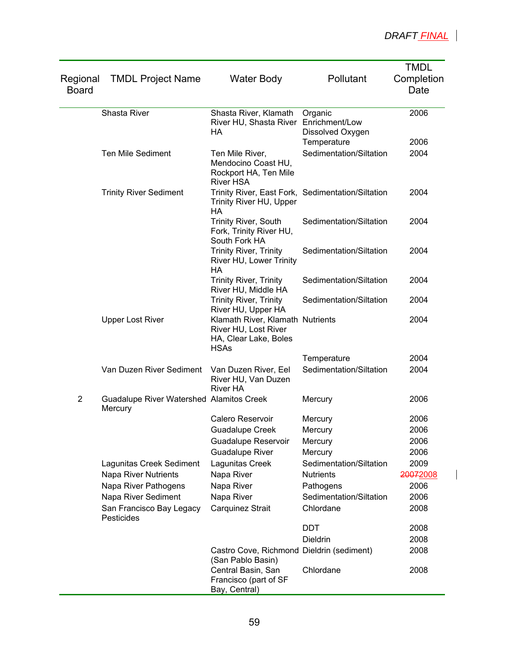$\begin{array}{c} \hline \end{array}$ 

|                |                                                            |                                                                                                  |                             | <b>TMDL</b> |
|----------------|------------------------------------------------------------|--------------------------------------------------------------------------------------------------|-----------------------------|-------------|
| Regional       | <b>TMDL Project Name</b>                                   | <b>Water Body</b>                                                                                | Pollutant                   | Completion  |
| <b>Board</b>   |                                                            |                                                                                                  |                             | Date        |
|                |                                                            |                                                                                                  |                             |             |
|                | Shasta River                                               | Shasta River, Klamath<br>River HU, Shasta River Enrichment/Low<br>HA                             | Organic<br>Dissolved Oxygen | 2006        |
|                |                                                            |                                                                                                  | Temperature                 | 2006        |
|                | <b>Ten Mile Sediment</b>                                   | Ten Mile River,<br>Mendocino Coast HU,<br>Rockport HA, Ten Mile<br><b>River HSA</b>              | Sedimentation/Siltation     | 2004        |
|                | <b>Trinity River Sediment</b>                              | Trinity River, East Fork, Sedimentation/Siltation<br>Trinity River HU, Upper<br>HA               |                             | 2004        |
|                |                                                            | Trinity River, South<br>Fork, Trinity River HU,<br>South Fork HA                                 | Sedimentation/Siltation     | 2004        |
|                |                                                            | <b>Trinity River, Trinity</b><br>River HU, Lower Trinity<br>HA                                   | Sedimentation/Siltation     | 2004        |
|                |                                                            | <b>Trinity River, Trinity</b><br>River HU, Middle HA                                             | Sedimentation/Siltation     | 2004        |
|                |                                                            | <b>Trinity River, Trinity</b><br>River HU, Upper HA                                              | Sedimentation/Siltation     | 2004        |
|                | <b>Upper Lost River</b>                                    | Klamath River, Klamath Nutrients<br>River HU, Lost River<br>HA, Clear Lake, Boles<br><b>HSAs</b> |                             | 2004        |
|                |                                                            |                                                                                                  | Temperature                 | 2004        |
|                | Van Duzen River Sediment                                   | Van Duzen River, Eel<br>River HU, Van Duzen<br><b>River HA</b>                                   | Sedimentation/Siltation     | 2004        |
| $\overline{2}$ | <b>Guadalupe River Watershed Alamitos Creek</b><br>Mercury |                                                                                                  | Mercury                     | 2006        |
|                |                                                            | Calero Reservoir                                                                                 | Mercury                     | 2006        |
|                |                                                            | <b>Guadalupe Creek</b>                                                                           | Mercury                     | 2006        |
|                |                                                            | <b>Guadalupe Reservoir</b>                                                                       | Mercury                     | 2006        |
|                |                                                            | <b>Guadalupe River</b>                                                                           | Mercury                     | 2006        |
|                | Lagunitas Creek Sediment                                   | Lagunitas Creek                                                                                  | Sedimentation/Siltation     | 2009        |
|                | <b>Napa River Nutrients</b>                                | Napa River                                                                                       | <b>Nutrients</b>            | 20072008    |
|                | Napa River Pathogens                                       | Napa River                                                                                       | Pathogens                   | 2006        |
|                | Napa River Sediment                                        | Napa River                                                                                       | Sedimentation/Siltation     | 2006        |
|                | San Francisco Bay Legacy<br>Pesticides                     | Carquinez Strait                                                                                 | Chlordane                   | 2008        |
|                |                                                            |                                                                                                  | <b>DDT</b>                  | 2008        |
|                |                                                            |                                                                                                  | Dieldrin                    | 2008        |
|                |                                                            | Castro Cove, Richmond Dieldrin (sediment)                                                        |                             | 2008        |
|                |                                                            | (San Pablo Basin)<br>Central Basin, San<br>Francisco (part of SF<br>Bay, Central)                | Chlordane                   | 2008        |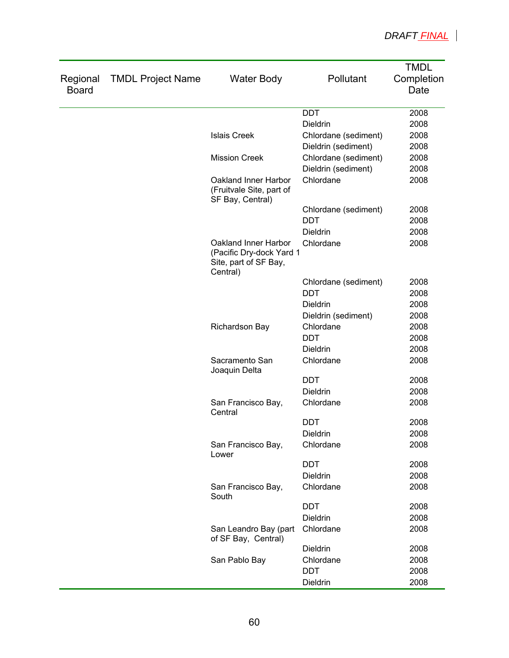*DRAFT FINAL*

|              |                          |                                                                           |                      | <b>TMDL</b> |
|--------------|--------------------------|---------------------------------------------------------------------------|----------------------|-------------|
| Regional     | <b>TMDL Project Name</b> | <b>Water Body</b>                                                         | Pollutant            | Completion  |
| <b>Board</b> |                          |                                                                           |                      | Date        |
|              |                          |                                                                           | <b>DDT</b>           | 2008        |
|              |                          |                                                                           | <b>Dieldrin</b>      | 2008        |
|              |                          | <b>Islais Creek</b>                                                       | Chlordane (sediment) | 2008        |
|              |                          |                                                                           | Dieldrin (sediment)  | 2008        |
|              |                          | <b>Mission Creek</b>                                                      | Chlordane (sediment) | 2008        |
|              |                          |                                                                           | Dieldrin (sediment)  | 2008        |
|              |                          | Oakland Inner Harbor<br>(Fruitvale Site, part of<br>SF Bay, Central)      | Chlordane            | 2008        |
|              |                          |                                                                           | Chlordane (sediment) | 2008        |
|              |                          |                                                                           | <b>DDT</b>           | 2008        |
|              |                          |                                                                           | <b>Dieldrin</b>      | 2008        |
|              |                          | Oakland Inner Harbor<br>(Pacific Dry-dock Yard 1<br>Site, part of SF Bay, | Chlordane            | 2008        |
|              |                          | Central)                                                                  |                      |             |
|              |                          |                                                                           | Chlordane (sediment) | 2008        |
|              |                          |                                                                           | <b>DDT</b>           | 2008        |
|              |                          |                                                                           | <b>Dieldrin</b>      | 2008        |
|              |                          |                                                                           | Dieldrin (sediment)  | 2008        |
|              |                          | Richardson Bay                                                            | Chlordane            | 2008        |
|              |                          |                                                                           | <b>DDT</b>           | 2008        |
|              |                          |                                                                           | <b>Dieldrin</b>      | 2008        |
|              |                          | Sacramento San<br>Joaquin Delta                                           | Chlordane            | 2008        |
|              |                          |                                                                           | <b>DDT</b>           | 2008        |
|              |                          |                                                                           | <b>Dieldrin</b>      | 2008        |
|              |                          | San Francisco Bay,<br>Central                                             | Chlordane            | 2008        |
|              |                          |                                                                           | <b>DDT</b>           | 2008        |
|              |                          |                                                                           | Dieldrin             | 2008        |
|              |                          | San Francisco Bay,<br>Lower                                               | Chlordane            | 2008        |
|              |                          |                                                                           | <b>DDT</b>           | 2008        |
|              |                          |                                                                           | Dieldrin             | 2008        |
|              |                          | San Francisco Bay,<br>South                                               | Chlordane            | 2008        |
|              |                          |                                                                           | <b>DDT</b>           | 2008        |
|              |                          |                                                                           | Dieldrin             | 2008        |
|              |                          | San Leandro Bay (part<br>of SF Bay, Central)                              | Chlordane            | 2008        |
|              |                          |                                                                           | Dieldrin             | 2008        |
|              |                          | San Pablo Bay                                                             | Chlordane            | 2008        |
|              |                          |                                                                           | <b>DDT</b>           | 2008        |
|              |                          |                                                                           | Dieldrin             | 2008        |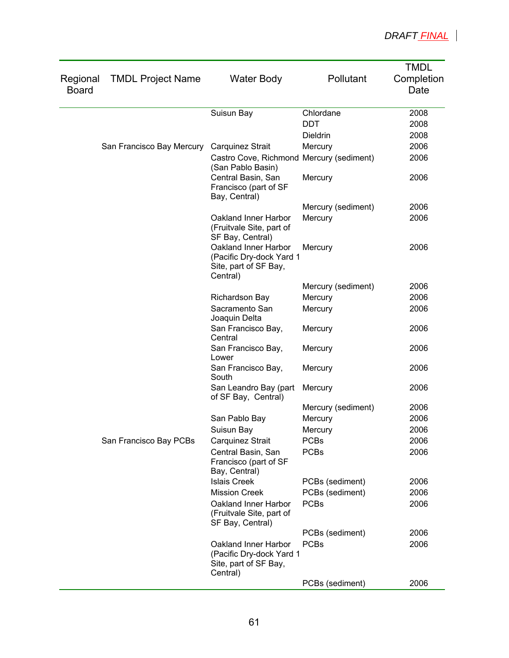|                          |                           |                                                                                       |                    | <b>TMDL</b>        |
|--------------------------|---------------------------|---------------------------------------------------------------------------------------|--------------------|--------------------|
| Regional<br><b>Board</b> | <b>TMDL Project Name</b>  | <b>Water Body</b>                                                                     | Pollutant          | Completion<br>Date |
|                          |                           | Suisun Bay                                                                            | Chlordane          | 2008               |
|                          |                           |                                                                                       | <b>DDT</b>         | 2008               |
|                          |                           |                                                                                       | <b>Dieldrin</b>    | 2008               |
|                          | San Francisco Bay Mercury | Carquinez Strait                                                                      | Mercury            | 2006               |
|                          |                           | Castro Cove, Richmond Mercury (sediment)<br>(San Pablo Basin)                         |                    | 2006               |
|                          |                           | Central Basin, San<br>Francisco (part of SF<br>Bay, Central)                          | Mercury            | 2006               |
|                          |                           |                                                                                       | Mercury (sediment) | 2006               |
|                          |                           | Oakland Inner Harbor<br>(Fruitvale Site, part of<br>SF Bay, Central)                  | Mercury            | 2006               |
|                          |                           | Oakland Inner Harbor<br>(Pacific Dry-dock Yard 1<br>Site, part of SF Bay,<br>Central) | Mercury            | 2006               |
|                          |                           |                                                                                       | Mercury (sediment) | 2006               |
|                          |                           | <b>Richardson Bay</b>                                                                 | Mercury            | 2006               |
|                          |                           | Sacramento San<br>Joaquin Delta                                                       | Mercury            | 2006               |
|                          |                           | San Francisco Bay,<br>Central                                                         | Mercury            | 2006               |
|                          |                           | San Francisco Bay,<br>Lower                                                           | Mercury            | 2006               |
|                          |                           | San Francisco Bay,<br>South                                                           | Mercury            | 2006               |
|                          |                           | San Leandro Bay (part<br>of SF Bay, Central)                                          | Mercury            | 2006               |
|                          |                           |                                                                                       | Mercury (sediment) | 2006               |
|                          |                           | San Pablo Bay                                                                         | Mercury            | 2006               |
|                          |                           | Suisun Bay                                                                            | Mercury            | 2006               |
|                          | San Francisco Bay PCBs    | Carquinez Strait                                                                      | <b>PCBs</b>        | 2006               |
|                          |                           | Central Basin, San<br>Francisco (part of SF<br>Bay, Central)                          | <b>PCBs</b>        | 2006               |
|                          |                           | <b>Islais Creek</b>                                                                   | PCBs (sediment)    | 2006               |
|                          |                           | <b>Mission Creek</b>                                                                  | PCBs (sediment)    | 2006               |
|                          |                           | Oakland Inner Harbor<br>(Fruitvale Site, part of<br>SF Bay, Central)                  | <b>PCBs</b>        | 2006               |
|                          |                           |                                                                                       | PCBs (sediment)    | 2006               |
|                          |                           | Oakland Inner Harbor<br>(Pacific Dry-dock Yard 1<br>Site, part of SF Bay,             | <b>PCBs</b>        | 2006               |
|                          |                           | Central)                                                                              | PCBs (sediment)    | 2006               |
|                          |                           |                                                                                       |                    |                    |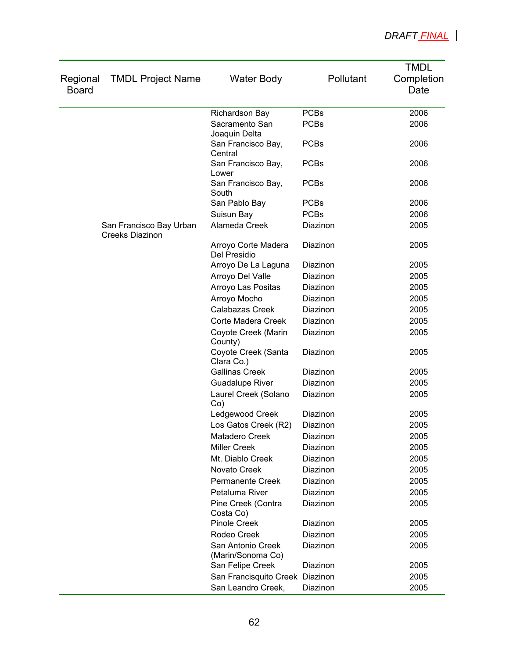|                          |                                                   |                                            |             | <b>TMDL</b>        |
|--------------------------|---------------------------------------------------|--------------------------------------------|-------------|--------------------|
| Regional<br><b>Board</b> | <b>TMDL Project Name</b>                          | <b>Water Body</b>                          | Pollutant   | Completion<br>Date |
|                          |                                                   |                                            | <b>PCBs</b> | 2006               |
|                          |                                                   | Richardson Bay<br>Sacramento San           | <b>PCBs</b> | 2006               |
|                          |                                                   | Joaquin Delta                              |             |                    |
|                          |                                                   | San Francisco Bay,<br>Central              | <b>PCBs</b> | 2006               |
|                          |                                                   | San Francisco Bay,<br>Lower                | <b>PCBs</b> | 2006               |
|                          |                                                   | San Francisco Bay,<br>South                | <b>PCBs</b> | 2006               |
|                          |                                                   | San Pablo Bay                              | <b>PCBs</b> | 2006               |
|                          |                                                   | Suisun Bay                                 | <b>PCBs</b> | 2006               |
|                          | San Francisco Bay Urban<br><b>Creeks Diazinon</b> | Alameda Creek                              | Diazinon    | 2005               |
|                          |                                                   | Arroyo Corte Madera<br><b>Del Presidio</b> | Diazinon    | 2005               |
|                          |                                                   | Arroyo De La Laguna                        | Diazinon    | 2005               |
|                          |                                                   | Arroyo Del Valle                           | Diazinon    | 2005               |
|                          |                                                   | Arroyo Las Positas                         | Diazinon    | 2005               |
|                          |                                                   | Arroyo Mocho                               | Diazinon    | 2005               |
|                          |                                                   | Calabazas Creek                            | Diazinon    | 2005               |
|                          |                                                   | Corte Madera Creek                         | Diazinon    | 2005               |
|                          |                                                   | Coyote Creek (Marin<br>County)             | Diazinon    | 2005               |
|                          |                                                   | Coyote Creek (Santa<br>Clara Co.)          | Diazinon    | 2005               |
|                          |                                                   | <b>Gallinas Creek</b>                      | Diazinon    | 2005               |
|                          |                                                   | <b>Guadalupe River</b>                     | Diazinon    | 2005               |
|                          |                                                   | Laurel Creek (Solano<br>$Co$ )             | Diazinon    | 2005               |
|                          |                                                   | Ledgewood Creek                            | Diazinon    | 2005               |
|                          |                                                   | Los Gatos Creek (R2)                       | Diazinon    | 2005               |
|                          |                                                   | Matadero Creek                             | Diazinon    | 2005               |
|                          |                                                   | <b>Miller Creek</b>                        | Diazinon    | 2005               |
|                          |                                                   | Mt. Diablo Creek                           | Diazinon    | 2005               |
|                          |                                                   | Novato Creek                               | Diazinon    | 2005               |
|                          |                                                   | <b>Permanente Creek</b>                    | Diazinon    | 2005               |
|                          |                                                   | Petaluma River                             | Diazinon    | 2005               |
|                          |                                                   | Pine Creek (Contra                         | Diazinon    | 2005               |
|                          |                                                   | Costa Co)                                  |             |                    |
|                          |                                                   | <b>Pinole Creek</b>                        | Diazinon    | 2005               |
|                          |                                                   | Rodeo Creek                                | Diazinon    | 2005               |
|                          |                                                   | San Antonio Creek                          | Diazinon    | 2005               |
|                          |                                                   | (Marin/Sonoma Co)                          |             |                    |
|                          |                                                   | San Felipe Creek                           | Diazinon    | 2005               |
|                          |                                                   | San Francisquito Creek                     | Diazinon    | 2005               |
|                          |                                                   | San Leandro Creek,                         | Diazinon    | 2005               |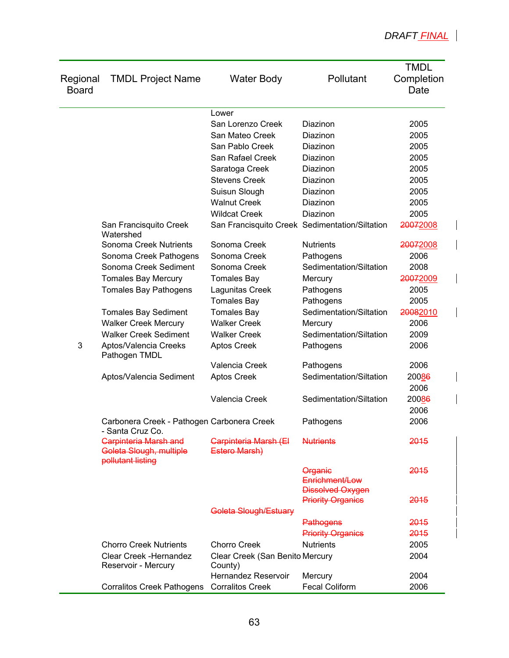$\overline{\phantom{a}}$ 

 $\mathbf{I}$ 

 $\overline{\phantom{a}}$ 

 $\overline{\phantom{a}}$ 

 $\overline{\phantom{a}}$ 

| Regional<br><b>Board</b> | <b>TMDL Project Name</b>                                                     | <b>Water Body</b>                              | Pollutant                                    | TMDL<br>Completion<br>Date |
|--------------------------|------------------------------------------------------------------------------|------------------------------------------------|----------------------------------------------|----------------------------|
|                          |                                                                              | Lower                                          |                                              |                            |
|                          |                                                                              | San Lorenzo Creek                              | Diazinon                                     | 2005                       |
|                          |                                                                              | San Mateo Creek                                | Diazinon                                     | 2005                       |
|                          |                                                                              | San Pablo Creek                                | Diazinon                                     | 2005                       |
|                          |                                                                              | San Rafael Creek                               | Diazinon                                     | 2005                       |
|                          |                                                                              | Saratoga Creek                                 | Diazinon                                     | 2005                       |
|                          |                                                                              | <b>Stevens Creek</b>                           | Diazinon                                     | 2005                       |
|                          |                                                                              | Suisun Slough                                  | Diazinon                                     | 2005                       |
|                          |                                                                              | <b>Walnut Creek</b>                            | Diazinon                                     | 2005                       |
|                          |                                                                              | <b>Wildcat Creek</b>                           | Diazinon                                     | 2005                       |
|                          | San Francisquito Creek<br>Watershed                                          | San Francisquito Creek Sedimentation/Siltation |                                              | 20072008                   |
|                          | Sonoma Creek Nutrients                                                       | Sonoma Creek                                   | <b>Nutrients</b>                             | 20072008                   |
|                          | Sonoma Creek Pathogens                                                       | Sonoma Creek                                   | Pathogens                                    | 2006                       |
|                          | Sonoma Creek Sediment                                                        | Sonoma Creek                                   | Sedimentation/Siltation                      | 2008                       |
|                          | <b>Tomales Bay Mercury</b>                                                   | <b>Tomales Bay</b>                             | Mercury                                      | 20072009                   |
|                          | <b>Tomales Bay Pathogens</b>                                                 | Lagunitas Creek                                | Pathogens                                    | 2005                       |
|                          |                                                                              | <b>Tomales Bay</b>                             | Pathogens                                    | 2005                       |
|                          | <b>Tomales Bay Sediment</b>                                                  | <b>Tomales Bay</b>                             | Sedimentation/Siltation                      | 20082010                   |
|                          | <b>Walker Creek Mercury</b>                                                  | <b>Walker Creek</b>                            | Mercury                                      | 2006                       |
|                          | <b>Walker Creek Sediment</b>                                                 | <b>Walker Creek</b>                            | Sedimentation/Siltation                      | 2009                       |
| 3                        | Aptos/Valencia Creeks<br>Pathogen TMDL                                       | Aptos Creek                                    | Pathogens                                    | 2006                       |
|                          |                                                                              | Valencia Creek                                 | Pathogens                                    | 2006                       |
|                          | Aptos/Valencia Sediment                                                      | <b>Aptos Creek</b>                             | Sedimentation/Siltation                      | 20086                      |
|                          |                                                                              |                                                |                                              | 2006                       |
|                          |                                                                              | Valencia Creek                                 | Sedimentation/Siltation                      | 20086                      |
|                          |                                                                              |                                                |                                              | 2006                       |
|                          | Carbonera Creek - Pathogen Carbonera Creek<br>- Santa Cruz Co.               |                                                | Pathogens                                    | 2006                       |
|                          | <b>Carpinteria Marsh and</b><br>Goleta Slough, multiple<br>pollutant listing | Carpinteria Marsh (El<br>Estero Marsh)         | <b>Nutrients</b>                             | 2015                       |
|                          |                                                                              |                                                | Organie                                      | 2015                       |
|                          |                                                                              |                                                | Enrichment/Low                               |                            |
|                          |                                                                              |                                                | <b>Dissolved Oxygen</b>                      |                            |
|                          |                                                                              |                                                | <b>Priority Organics</b>                     | 2015                       |
|                          |                                                                              | Goleta Slough/Estuary                          |                                              | 2015                       |
|                          |                                                                              |                                                | <b>Pathogens</b><br><b>Priority Organics</b> | 2015                       |
|                          |                                                                              |                                                |                                              |                            |
|                          | <b>Chorro Creek Nutrients</b>                                                | <b>Chorro Creek</b>                            | <b>Nutrients</b>                             | 2005                       |
|                          | Clear Creek - Hernandez<br>Reservoir - Mercury                               | Clear Creek (San Benito Mercury<br>County)     |                                              | 2004                       |
|                          |                                                                              | Hernandez Reservoir                            | Mercury                                      | 2004                       |
|                          | <b>Corralitos Creek Pathogens</b>                                            | <b>Corralitos Creek</b>                        | <b>Fecal Coliform</b>                        | 2006                       |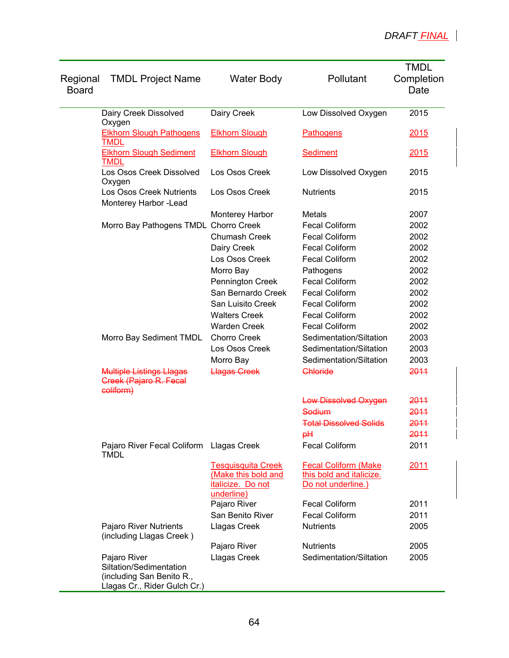| Regional<br><b>Board</b> | <b>TMDL Project Name</b>                                                                             | <b>Water Body</b>                                                                   | Pollutant                                                                     | <b>TMDL</b><br>Completion<br>Date |
|--------------------------|------------------------------------------------------------------------------------------------------|-------------------------------------------------------------------------------------|-------------------------------------------------------------------------------|-----------------------------------|
|                          | Dairy Creek Dissolved<br>Oxygen                                                                      | Dairy Creek                                                                         | Low Dissolved Oxygen                                                          | 2015                              |
|                          | <b>Elkhorn Slough Pathogens</b><br><b>TMDL</b>                                                       | <b>Elkhorn Slough</b>                                                               | <b>Pathogens</b>                                                              | 2015                              |
|                          | <b>Elkhorn Slough Sediment</b><br><b>TMDL</b>                                                        | <b>Elkhorn Slough</b>                                                               | Sediment                                                                      | 2015                              |
|                          | Los Osos Creek Dissolved<br>Oxygen                                                                   | Los Osos Creek                                                                      | Low Dissolved Oxygen                                                          | 2015                              |
|                          | Los Osos Creek Nutrients<br>Monterey Harbor -Lead                                                    | Los Osos Creek                                                                      | <b>Nutrients</b>                                                              | 2015                              |
|                          |                                                                                                      | Monterey Harbor                                                                     | Metals                                                                        | 2007                              |
|                          | Morro Bay Pathogens TMDL Chorro Creek                                                                |                                                                                     | <b>Fecal Coliform</b>                                                         | 2002                              |
|                          |                                                                                                      | <b>Chumash Creek</b>                                                                | <b>Fecal Coliform</b>                                                         | 2002                              |
|                          |                                                                                                      | Dairy Creek                                                                         | <b>Fecal Coliform</b>                                                         | 2002                              |
|                          |                                                                                                      | Los Osos Creek                                                                      | <b>Fecal Coliform</b>                                                         | 2002                              |
|                          |                                                                                                      | Morro Bay                                                                           | Pathogens                                                                     | 2002                              |
|                          |                                                                                                      | Pennington Creek                                                                    | <b>Fecal Coliform</b>                                                         | 2002                              |
|                          |                                                                                                      | San Bernardo Creek                                                                  | <b>Fecal Coliform</b>                                                         | 2002                              |
|                          |                                                                                                      | San Luisito Creek                                                                   | <b>Fecal Coliform</b>                                                         | 2002                              |
|                          |                                                                                                      | <b>Walters Creek</b>                                                                | <b>Fecal Coliform</b>                                                         | 2002                              |
|                          |                                                                                                      | <b>Warden Creek</b>                                                                 | <b>Fecal Coliform</b>                                                         | 2002                              |
|                          | Morro Bay Sediment TMDL                                                                              | <b>Chorro Creek</b>                                                                 | Sedimentation/Siltation                                                       | 2003                              |
|                          |                                                                                                      | Los Osos Creek                                                                      | Sedimentation/Siltation                                                       | 2003                              |
|                          |                                                                                                      | Morro Bay                                                                           | Sedimentation/Siltation                                                       | 2003                              |
|                          | <b>Multiple Listings Llagas</b><br>Creek (Pajaro R. Fecal<br>coliform)                               | <b>Llagas Creek</b>                                                                 | Chloride                                                                      | 2011                              |
|                          |                                                                                                      |                                                                                     | <b>Low Dissolved Oxygen</b>                                                   | 2011                              |
|                          |                                                                                                      |                                                                                     | Sodium                                                                        | 2011                              |
|                          |                                                                                                      |                                                                                     | <b>Total Dissolved Solids</b>                                                 | 2011                              |
|                          |                                                                                                      |                                                                                     | $H_{\text{H}}$                                                                | 2011                              |
|                          | Pajaro River Fecal Coliform Llagas Creek<br><b>TMDL</b>                                              |                                                                                     | <b>Fecal Coliform</b>                                                         | 2011                              |
|                          |                                                                                                      | <b>Tesquisquita Creek</b><br>(Make this bold and<br>italicize. Do not<br>underline) | <b>Fecal Coliform (Make</b><br>this bold and italicize.<br>Do not underline.) | 2011                              |
|                          |                                                                                                      | Pajaro River                                                                        | <b>Fecal Coliform</b>                                                         | 2011                              |
|                          |                                                                                                      | San Benito River                                                                    | <b>Fecal Coliform</b>                                                         | 2011                              |
|                          | Pajaro River Nutrients<br>(including Llagas Creek)                                                   | Llagas Creek                                                                        | <b>Nutrients</b>                                                              | 2005                              |
|                          |                                                                                                      | Pajaro River                                                                        | <b>Nutrients</b>                                                              | 2005                              |
|                          | Pajaro River<br>Siltation/Sedimentation<br>(including San Benito R.,<br>Llagas Cr., Rider Gulch Cr.) | Llagas Creek                                                                        | Sedimentation/Siltation                                                       | 2005                              |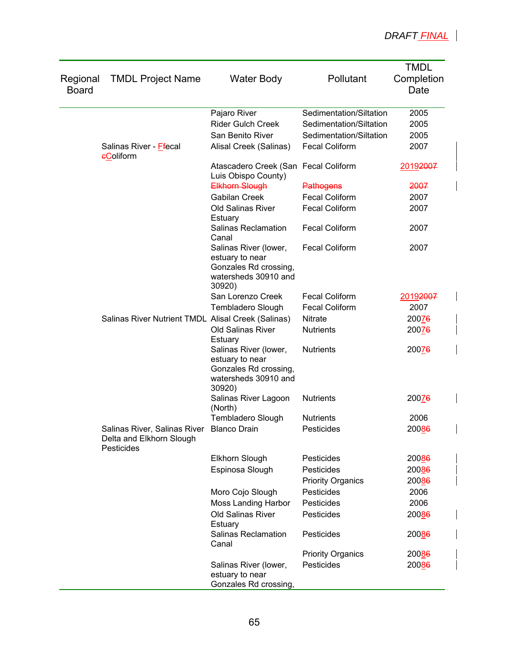|              |                                                                        |                                                                                                     |                          | <b>TMDL</b> |
|--------------|------------------------------------------------------------------------|-----------------------------------------------------------------------------------------------------|--------------------------|-------------|
| Regional     | <b>TMDL Project Name</b>                                               | <b>Water Body</b>                                                                                   | Pollutant                | Completion  |
| <b>Board</b> |                                                                        |                                                                                                     |                          | Date        |
|              |                                                                        |                                                                                                     |                          |             |
|              |                                                                        | Pajaro River                                                                                        | Sedimentation/Siltation  | 2005        |
|              |                                                                        | <b>Rider Gulch Creek</b>                                                                            | Sedimentation/Siltation  | 2005        |
|              |                                                                        | San Benito River                                                                                    | Sedimentation/Siltation  | 2005        |
|              | Salinas River - Ffecal<br>eColiform                                    | Alisal Creek (Salinas)                                                                              | <b>Fecal Coliform</b>    | 2007        |
|              |                                                                        | Atascadero Creek (San Fecal Coliform<br>Luis Obispo County)                                         |                          | 20192007    |
|              |                                                                        | <b>Elkhorn Slough</b>                                                                               | <b>Pathogens</b>         | 2007        |
|              |                                                                        | <b>Gabilan Creek</b>                                                                                | <b>Fecal Coliform</b>    | 2007        |
|              |                                                                        | Old Salinas River<br>Estuary                                                                        | <b>Fecal Coliform</b>    | 2007        |
|              |                                                                        | <b>Salinas Reclamation</b><br>Canal                                                                 | <b>Fecal Coliform</b>    | 2007        |
|              |                                                                        | Salinas River (lower,<br>estuary to near<br>Gonzales Rd crossing,<br>watersheds 30910 and<br>30920) | <b>Fecal Coliform</b>    | 2007        |
|              |                                                                        | San Lorenzo Creek                                                                                   | <b>Fecal Coliform</b>    | 20192007    |
|              |                                                                        | Tembladero Slough                                                                                   | <b>Fecal Coliform</b>    | 2007        |
|              |                                                                        |                                                                                                     | <b>Nitrate</b>           | 20076       |
|              | Salinas River Nutrient TMDL Alisal Creek (Salinas)                     |                                                                                                     |                          |             |
|              |                                                                        | Old Salinas River<br>Estuary                                                                        | <b>Nutrients</b>         | 20076       |
|              |                                                                        | Salinas River (lower,<br>estuary to near<br>Gonzales Rd crossing,<br>watersheds 30910 and<br>30920) | <b>Nutrients</b>         | 20076       |
|              |                                                                        | Salinas River Lagoon<br>(North)                                                                     | <b>Nutrients</b>         | 20076       |
|              |                                                                        | Tembladero Slough                                                                                   | <b>Nutrients</b>         | 2006        |
|              | Salinas River, Salinas River<br>Delta and Elkhorn Slough<br>Pesticides | <b>Blanco Drain</b>                                                                                 | Pesticides               | 20086       |
|              |                                                                        | Elkhorn Slough                                                                                      | Pesticides               | 20086       |
|              |                                                                        | Espinosa Slough                                                                                     | Pesticides               | 20086       |
|              |                                                                        |                                                                                                     | <b>Priority Organics</b> | 20086       |
|              |                                                                        | Moro Cojo Slough                                                                                    | Pesticides               | 2006        |
|              |                                                                        | <b>Moss Landing Harbor</b>                                                                          | Pesticides               | 2006        |
|              |                                                                        | Old Salinas River                                                                                   | Pesticides               | 20086       |
|              |                                                                        | Estuary                                                                                             |                          |             |
|              |                                                                        | <b>Salinas Reclamation</b><br>Canal                                                                 | Pesticides               | 20086       |
|              |                                                                        |                                                                                                     | <b>Priority Organics</b> | 20086       |
|              |                                                                        | Salinas River (lower,<br>estuary to near<br>Gonzales Rd crossing,                                   | Pesticides               | 20086       |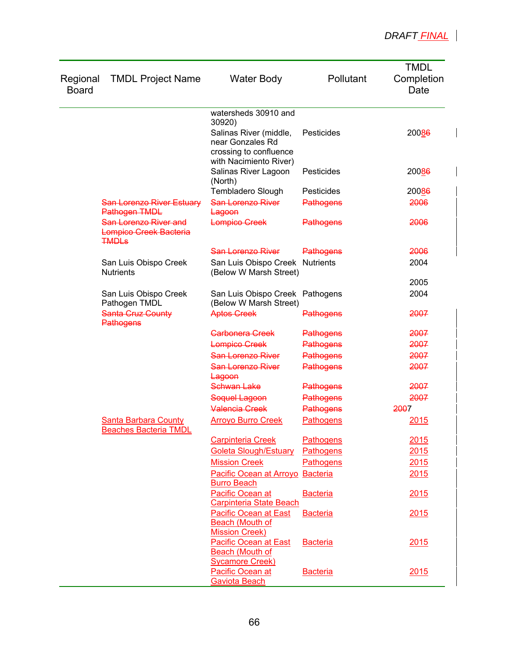$\overline{\phantom{a}}$ 

| Regional<br><b>Board</b> | <b>TMDL Project Name</b>                                        | <b>Water Body</b>                                                        | Pollutant        | <b>TMDL</b><br>Completion<br>Date |
|--------------------------|-----------------------------------------------------------------|--------------------------------------------------------------------------|------------------|-----------------------------------|
|                          |                                                                 | watersheds 30910 and                                                     |                  |                                   |
|                          |                                                                 | 30920)<br>Salinas River (middle,<br>near Gonzales Rd                     | Pesticides       | 20086                             |
|                          |                                                                 | crossing to confluence<br>with Nacimiento River)                         |                  |                                   |
|                          |                                                                 | Salinas River Lagoon<br>(North)                                          | Pesticides       | 20086                             |
|                          |                                                                 | Tembladero Slough                                                        | Pesticides       | 20086                             |
|                          | San Lorenzo River Estuary<br>Pathogen TMDL                      | San Lorenzo River<br>Lagoon                                              | <b>Pathogens</b> | 2006                              |
|                          | San Lorenzo River and<br>Lompico Creek Bacteria<br><b>TMDLs</b> | <b>Lompico Greek</b>                                                     | <b>Pathogens</b> | 2006                              |
|                          |                                                                 | San Lorenzo River                                                        | Pathogens        | 2006                              |
|                          | San Luis Obispo Creek<br><b>Nutrients</b>                       | San Luis Obispo Creek<br>(Below W Marsh Street)                          | <b>Nutrients</b> | 2004                              |
|                          |                                                                 |                                                                          |                  | 2005                              |
|                          | San Luis Obispo Creek<br>Pathogen TMDL                          | San Luis Obispo Creek<br>(Below W Marsh Street)                          | Pathogens        | 2004                              |
|                          | Santa Cruz County<br><b>Pathogens</b>                           | <b>Aptos Creek</b>                                                       | <b>Pathogens</b> | 2007                              |
|                          |                                                                 | Carbonera Creek                                                          | <b>Pathogens</b> | 2007                              |
|                          |                                                                 | <b>Lompico Creek</b>                                                     | <b>Pathogens</b> | 2007                              |
|                          |                                                                 | San Lorenzo River                                                        | <b>Pathogens</b> | 2007                              |
|                          |                                                                 | San Lorenzo River<br>Lagoon                                              | <b>Pathogens</b> | 2007                              |
|                          |                                                                 | Schwan Lake                                                              | <b>Pathogens</b> | 2007                              |
|                          |                                                                 | Soquel Lagoon                                                            | <b>Pathogens</b> | 2007                              |
|                          |                                                                 | <b>Valencia Creek</b>                                                    | Pathogens        | 2007                              |
|                          | <b>Santa Barbara County</b><br><b>Beaches Bacteria TMDL</b>     | <b>Arroyo Burro Creek</b>                                                | Pathogens        | 2015                              |
|                          |                                                                 | <b>Carpinteria Creek</b>                                                 | <b>Pathogens</b> | 2015                              |
|                          |                                                                 | <b>Goleta Slough/Estuary</b>                                             | <b>Pathogens</b> | 2015                              |
|                          |                                                                 | <b>Mission Creek</b>                                                     | Pathogens        | 2015                              |
|                          |                                                                 | Pacific Ocean at Arroyo<br><b>Burro Beach</b>                            | <b>Bacteria</b>  | 2015                              |
|                          |                                                                 | Pacific Ocean at<br><b>Carpinteria State Beach</b>                       | <b>Bacteria</b>  | 2015                              |
|                          |                                                                 | <b>Pacific Ocean at East</b><br>Beach (Mouth of<br><b>Mission Creek)</b> | <b>Bacteria</b>  | 2015                              |
|                          |                                                                 | <b>Pacific Ocean at East</b><br><b>Beach (Mouth of</b>                   | <b>Bacteria</b>  | 2015                              |
|                          |                                                                 | <b>Sycamore Creek)</b><br>Pacific Ocean at<br><b>Gaviota Beach</b>       | <b>Bacteria</b>  | 2015                              |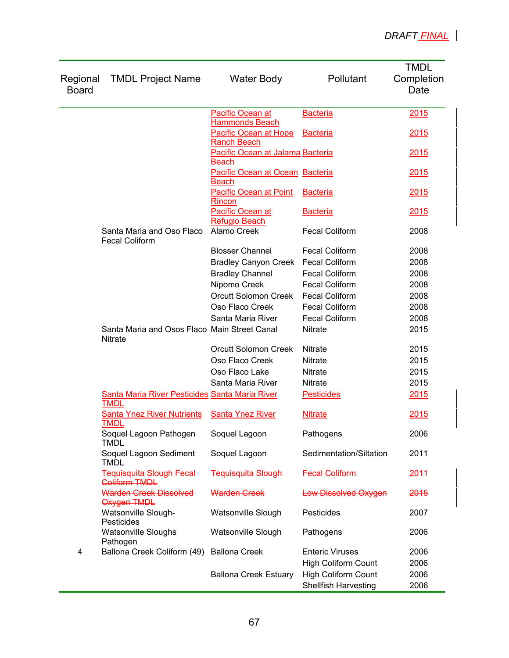| Regional<br><b>Board</b> | <b>TMDL Project Name</b>                                | <b>Water Body</b>                                                           | Pollutant                                                | <b>TMDL</b><br>Completion<br>Date |
|--------------------------|---------------------------------------------------------|-----------------------------------------------------------------------------|----------------------------------------------------------|-----------------------------------|
|                          |                                                         | Pacific Ocean at                                                            | <b>Bacteria</b>                                          | 2015                              |
|                          |                                                         | <b>Hammonds Beach</b><br><b>Pacific Ocean at Hope</b><br><b>Ranch Beach</b> | <b>Bacteria</b>                                          | 2015                              |
|                          |                                                         | Pacific Ocean at Jalama Bacteria<br><b>Beach</b>                            |                                                          | 2015                              |
|                          |                                                         | Pacific Ocean at Ocean Bacteria<br><b>Beach</b>                             |                                                          | 2015                              |
|                          |                                                         | <b>Pacific Ocean at Point</b><br>Rincon                                     | <b>Bacteria</b>                                          | 2015                              |
|                          |                                                         | Pacific Ocean at<br><b>Refugio Beach</b>                                    | <b>Bacteria</b>                                          | 2015                              |
|                          | Santa Maria and Oso Flaco<br><b>Fecal Coliform</b>      | Alamo Creek                                                                 | <b>Fecal Coliform</b>                                    | 2008                              |
|                          |                                                         | <b>Blosser Channel</b>                                                      | <b>Fecal Coliform</b>                                    | 2008                              |
|                          |                                                         | <b>Bradley Canyon Creek</b>                                                 | <b>Fecal Coliform</b>                                    | 2008                              |
|                          |                                                         | <b>Bradley Channel</b>                                                      | <b>Fecal Coliform</b>                                    | 2008                              |
|                          |                                                         | Nipomo Creek                                                                | <b>Fecal Coliform</b>                                    | 2008                              |
|                          |                                                         | <b>Orcutt Solomon Creek</b>                                                 | <b>Fecal Coliform</b>                                    | 2008                              |
|                          |                                                         | Oso Flaco Creek                                                             | <b>Fecal Coliform</b>                                    | 2008                              |
|                          |                                                         | Santa Maria River                                                           | <b>Fecal Coliform</b>                                    | 2008                              |
|                          | Santa Maria and Osos Flaco Main Street Canal<br>Nitrate |                                                                             | Nitrate                                                  | 2015                              |
|                          |                                                         | <b>Orcutt Solomon Creek</b>                                                 | <b>Nitrate</b>                                           | 2015                              |
|                          |                                                         | Oso Flaco Creek                                                             | <b>Nitrate</b>                                           | 2015                              |
|                          |                                                         | Oso Flaco Lake                                                              | <b>Nitrate</b>                                           | 2015                              |
|                          |                                                         | Santa Maria River                                                           | <b>Nitrate</b>                                           | 2015                              |
|                          | Santa Maria River Pesticides Santa Maria River          |                                                                             | <b>Pesticides</b>                                        | 2015                              |
|                          | <b>TMDL</b>                                             |                                                                             |                                                          |                                   |
|                          | <b>Santa Ynez River Nutrients</b><br>TMDL               | <b>Santa Ynez River</b>                                                     | <b>Nitrate</b>                                           | 2015                              |
|                          | Soquel Lagoon Pathogen<br><b>TMDL</b>                   | Soquel Lagoon                                                               | Pathogens                                                | 2006                              |
|                          | Soquel Lagoon Sediment<br>TMDL                          | Soquel Lagoon                                                               | Sedimentation/Siltation                                  | 2011                              |
|                          | <b>Tequisquita Slough Fecal</b><br><b>Coliform TMDL</b> | <b>Tequisquita Slough</b>                                                   | <b>Fecal Coliform</b>                                    | 2011                              |
|                          | <b>Warden Creek Dissolved</b><br>Oxygen TMDL            | <b>Warden Creek</b>                                                         | <b>Low Dissolved Oxygen</b>                              | 2015                              |
|                          | <b>Watsonville Slough-</b><br>Pesticides                | Watsonville Slough                                                          | Pesticides                                               | 2007                              |
|                          | <b>Watsonville Sloughs</b><br>Pathogen                  | Watsonville Slough                                                          | Pathogens                                                | 2006                              |
| 4                        | Ballona Creek Coliform (49)                             | <b>Ballona Creek</b>                                                        | <b>Enteric Viruses</b>                                   | 2006                              |
|                          |                                                         | <b>Ballona Creek Estuary</b>                                                | <b>High Coliform Count</b><br><b>High Coliform Count</b> | 2006<br>2006                      |
|                          |                                                         |                                                                             | <b>Shellfish Harvesting</b>                              | 2006                              |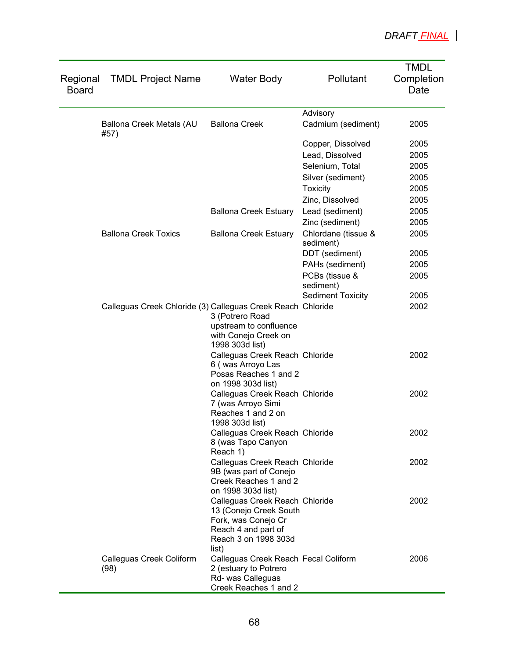| Regional<br><b>Board</b> | <b>TMDL Project Name</b>                                                                                | <b>Water Body</b>                                                                                                                       | Pollutant                        | TMDL<br>Completion<br>Date |
|--------------------------|---------------------------------------------------------------------------------------------------------|-----------------------------------------------------------------------------------------------------------------------------------------|----------------------------------|----------------------------|
|                          |                                                                                                         |                                                                                                                                         | Advisory                         |                            |
|                          | Ballona Creek Metals (AU<br>#57)                                                                        | <b>Ballona Creek</b>                                                                                                                    | Cadmium (sediment)               | 2005                       |
|                          |                                                                                                         |                                                                                                                                         | Copper, Dissolved                | 2005                       |
|                          |                                                                                                         |                                                                                                                                         | Lead, Dissolved                  | 2005                       |
|                          |                                                                                                         |                                                                                                                                         | Selenium, Total                  | 2005                       |
|                          |                                                                                                         |                                                                                                                                         | Silver (sediment)                | 2005                       |
|                          |                                                                                                         |                                                                                                                                         | <b>Toxicity</b>                  | 2005                       |
|                          |                                                                                                         |                                                                                                                                         | Zinc, Dissolved                  | 2005                       |
|                          |                                                                                                         | <b>Ballona Creek Estuary</b>                                                                                                            | Lead (sediment)                  | 2005                       |
|                          |                                                                                                         |                                                                                                                                         | Zinc (sediment)                  | 2005                       |
|                          | <b>Ballona Creek Toxics</b>                                                                             | <b>Ballona Creek Estuary</b>                                                                                                            | Chlordane (tissue &<br>sediment) | 2005                       |
|                          |                                                                                                         |                                                                                                                                         | DDT (sediment)                   | 2005                       |
|                          |                                                                                                         |                                                                                                                                         | PAHs (sediment)                  | 2005                       |
|                          |                                                                                                         |                                                                                                                                         | PCBs (tissue &<br>sediment)      | 2005                       |
|                          |                                                                                                         |                                                                                                                                         | <b>Sediment Toxicity</b>         | 2005                       |
|                          | Calleguas Creek Chloride (3) Calleguas Creek Reach Chloride                                             | 3 (Potrero Road<br>upstream to confluence<br>with Conejo Creek on<br>1998 303d list)                                                    |                                  | 2002                       |
|                          |                                                                                                         | Calleguas Creek Reach Chloride<br>6 (was Arroyo Las<br>Posas Reaches 1 and 2<br>on 1998 303d list)                                      |                                  | 2002                       |
|                          |                                                                                                         | Calleguas Creek Reach Chloride<br>7 (was Arroyo Simi<br>Reaches 1 and 2 on<br>1998 303d list)                                           |                                  | 2002                       |
|                          |                                                                                                         | Calleguas Creek Reach Chloride<br>8 (was Tapo Canyon<br>Reach 1)                                                                        |                                  | 2002                       |
|                          | Calleguas Creek Reach Chloride<br>9B (was part of Conejo<br>Creek Reaches 1 and 2<br>on 1998 303d list) |                                                                                                                                         | 2002                             |                            |
|                          |                                                                                                         | Calleguas Creek Reach Chloride<br>13 (Conejo Creek South<br>Fork, was Conejo Cr<br>Reach 4 and part of<br>Reach 3 on 1998 303d<br>list) |                                  | 2002                       |
|                          | Calleguas Creek Coliform<br>(98)                                                                        | Calleguas Creek Reach Fecal Coliform<br>2 (estuary to Potrero<br>Rd- was Calleguas<br>Creek Reaches 1 and 2                             |                                  | 2006                       |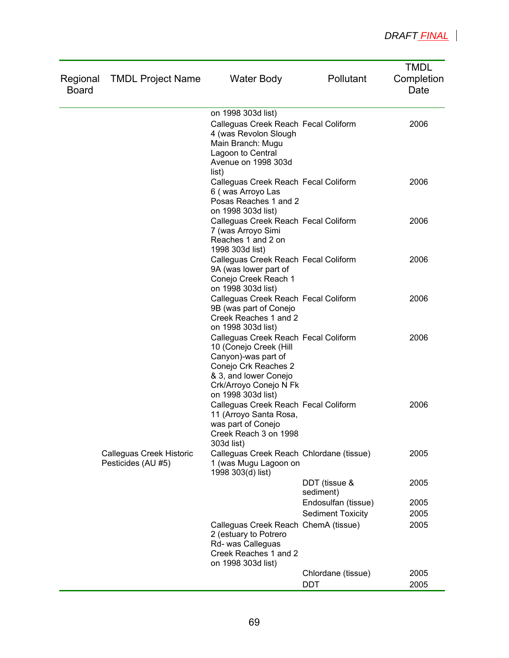| <b>Board</b> | Regional TMDL Project Name                            | <b>Water Body</b>                                                                                                                                                                      | Pollutant                  | TMDL<br>Completion<br>Date |
|--------------|-------------------------------------------------------|----------------------------------------------------------------------------------------------------------------------------------------------------------------------------------------|----------------------------|----------------------------|
|              |                                                       | on 1998 303d list)<br>Calleguas Creek Reach Fecal Coliform<br>4 (was Revolon Slough<br>Main Branch: Mugu<br>Lagoon to Central<br>Avenue on 1998 303d                                   |                            | 2006                       |
|              |                                                       | list)<br>Calleguas Creek Reach Fecal Coliform<br>6 (was Arroyo Las<br>Posas Reaches 1 and 2<br>on 1998 303d list)                                                                      |                            | 2006                       |
|              |                                                       | Calleguas Creek Reach Fecal Coliform<br>7 (was Arroyo Simi<br>Reaches 1 and 2 on<br>1998 303d list)                                                                                    |                            | 2006                       |
|              |                                                       | Calleguas Creek Reach Fecal Coliform<br>9A (was lower part of<br>Conejo Creek Reach 1<br>on 1998 303d list)                                                                            |                            | 2006                       |
|              |                                                       | Calleguas Creek Reach Fecal Coliform<br>9B (was part of Conejo<br>Creek Reaches 1 and 2<br>on 1998 303d list)                                                                          |                            | 2006                       |
|              |                                                       | Calleguas Creek Reach Fecal Coliform<br>10 (Conejo Creek (Hill<br>Canyon)-was part of<br>Conejo Crk Reaches 2<br>& 3, and lower Conejo<br>Crk/Arroyo Conejo N Fk<br>on 1998 303d list) |                            | 2006                       |
|              |                                                       | Calleguas Creek Reach Fecal Coliform<br>11 (Arroyo Santa Rosa,<br>was part of Conejo<br>Creek Reach 3 on 1998<br>303d list)                                                            |                            | 2006                       |
|              | <b>Calleguas Creek Historic</b><br>Pesticides (AU #5) | Calleguas Creek Reach Chlordane (tissue)<br>1 (was Mugu Lagoon on<br>1998 303(d) list)                                                                                                 |                            | 2005                       |
|              |                                                       |                                                                                                                                                                                        | DDT (tissue &<br>sediment) | 2005                       |
|              |                                                       |                                                                                                                                                                                        | Endosulfan (tissue)        | 2005                       |
|              |                                                       | Calleguas Creek Reach ChemA (tissue)<br>2 (estuary to Potrero                                                                                                                          | <b>Sediment Toxicity</b>   | 2005<br>2005               |
|              |                                                       | Rd- was Calleguas<br>Creek Reaches 1 and 2<br>on 1998 303d list)                                                                                                                       |                            |                            |
|              |                                                       |                                                                                                                                                                                        | Chlordane (tissue)         | 2005                       |
|              |                                                       |                                                                                                                                                                                        | <b>DDT</b>                 | 2005                       |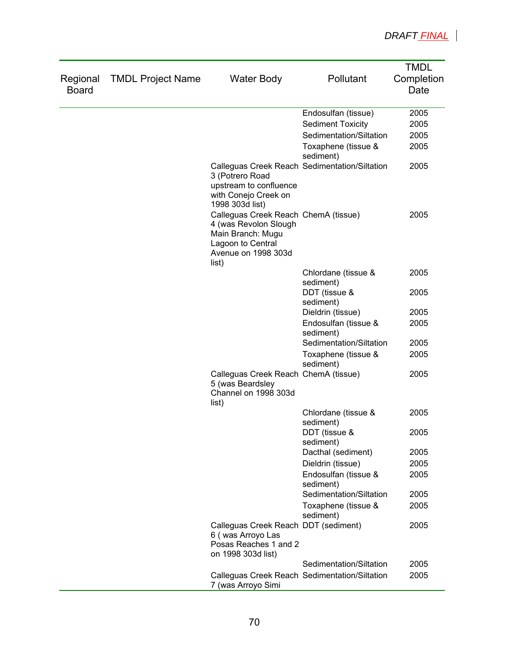|              |                          |                                                                                                                                                            |                                   | <b>TMDL</b> |
|--------------|--------------------------|------------------------------------------------------------------------------------------------------------------------------------------------------------|-----------------------------------|-------------|
| Regional     | <b>TMDL Project Name</b> | Water Body                                                                                                                                                 | Pollutant                         | Completion  |
| <b>Board</b> |                          |                                                                                                                                                            |                                   | Date        |
|              |                          |                                                                                                                                                            |                                   |             |
|              |                          |                                                                                                                                                            | Endosulfan (tissue)               | 2005        |
|              |                          |                                                                                                                                                            | <b>Sediment Toxicity</b>          | 2005        |
|              |                          |                                                                                                                                                            | Sedimentation/Siltation           | 2005        |
|              |                          |                                                                                                                                                            | Toxaphene (tissue &<br>sediment)  | 2005        |
|              |                          | Calleguas Creek Reach Sedimentation/Siltation<br>3 (Potrero Road<br>upstream to confluence<br>with Conejo Creek on                                         |                                   | 2005        |
|              |                          | 1998 303d list)<br>Calleguas Creek Reach ChemA (tissue)<br>4 (was Revolon Slough<br>Main Branch: Mugu<br>Lagoon to Central<br>Avenue on 1998 303d<br>list) |                                   | 2005        |
|              |                          |                                                                                                                                                            | Chlordane (tissue &<br>sediment)  | 2005        |
|              |                          |                                                                                                                                                            | DDT (tissue &<br>sediment)        | 2005        |
|              |                          |                                                                                                                                                            | Dieldrin (tissue)                 | 2005        |
|              |                          |                                                                                                                                                            | Endosulfan (tissue &<br>sediment) | 2005        |
|              |                          |                                                                                                                                                            | Sedimentation/Siltation           | 2005        |
|              |                          |                                                                                                                                                            | Toxaphene (tissue &<br>sediment)  | 2005        |
|              |                          | Calleguas Creek Reach ChemA (tissue)<br>5 (was Beardsley<br>Channel on 1998 303d<br>list)                                                                  |                                   | 2005        |
|              |                          |                                                                                                                                                            | Chlordane (tissue &<br>sediment)  | 2005        |
|              |                          |                                                                                                                                                            | DDT (tissue &<br>sediment)        | 2005        |
|              |                          |                                                                                                                                                            | Dacthal (sediment)                | 2005        |
|              |                          |                                                                                                                                                            | Dieldrin (tissue)                 | 2005        |
|              |                          |                                                                                                                                                            | Endosulfan (tissue &<br>sediment) | 2005        |
|              |                          |                                                                                                                                                            | Sedimentation/Siltation           | 2005        |
|              |                          |                                                                                                                                                            | Toxaphene (tissue &<br>sediment)  | 2005        |
|              |                          | Calleguas Creek Reach DDT (sediment)<br>6 (was Arroyo Las<br>Posas Reaches 1 and 2<br>on 1998 303d list)                                                   |                                   | 2005        |
|              |                          |                                                                                                                                                            | Sedimentation/Siltation           | 2005        |
|              |                          | Calleguas Creek Reach Sedimentation/Siltation<br>7 (was Arroyo Simi                                                                                        |                                   | 2005        |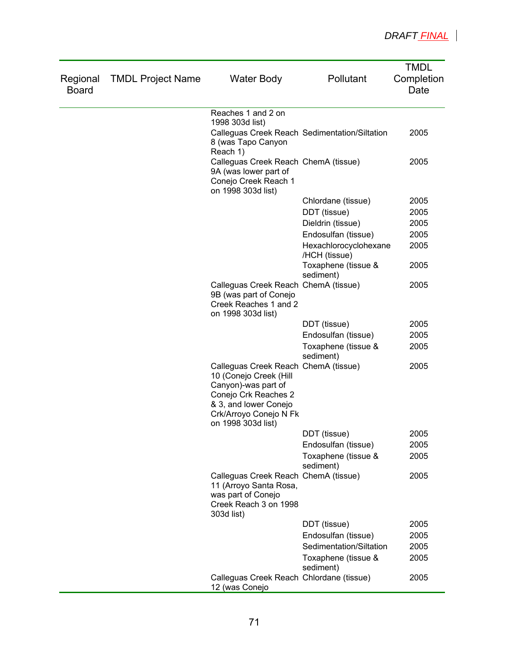|                          |                          |                                                                                                                                                                                        |                                        | TMDL               |
|--------------------------|--------------------------|----------------------------------------------------------------------------------------------------------------------------------------------------------------------------------------|----------------------------------------|--------------------|
| Regional<br><b>Board</b> | <b>TMDL Project Name</b> | <b>Water Body</b>                                                                                                                                                                      | Pollutant                              | Completion<br>Date |
|                          |                          | Reaches 1 and 2 on                                                                                                                                                                     |                                        |                    |
|                          |                          | 1998 303d list)                                                                                                                                                                        |                                        |                    |
|                          |                          | Calleguas Creek Reach Sedimentation/Siltation<br>8 (was Tapo Canyon<br>Reach 1)                                                                                                        |                                        | 2005               |
|                          |                          | Calleguas Creek Reach ChemA (tissue)<br>9A (was lower part of<br>Conejo Creek Reach 1<br>on 1998 303d list)                                                                            |                                        | 2005               |
|                          |                          |                                                                                                                                                                                        | Chlordane (tissue)                     | 2005               |
|                          |                          |                                                                                                                                                                                        | DDT (tissue)                           | 2005               |
|                          |                          |                                                                                                                                                                                        | Dieldrin (tissue)                      | 2005               |
|                          |                          |                                                                                                                                                                                        | Endosulfan (tissue)                    | 2005               |
|                          |                          |                                                                                                                                                                                        | Hexachlorocyclohexane<br>/HCH (tissue) | 2005               |
|                          |                          |                                                                                                                                                                                        | Toxaphene (tissue &<br>sediment)       | 2005               |
|                          |                          | Calleguas Creek Reach ChemA (tissue)<br>9B (was part of Conejo<br>Creek Reaches 1 and 2<br>on 1998 303d list)                                                                          |                                        | 2005               |
|                          |                          |                                                                                                                                                                                        | DDT (tissue)                           | 2005               |
|                          |                          |                                                                                                                                                                                        | Endosulfan (tissue)                    | 2005               |
|                          |                          |                                                                                                                                                                                        | Toxaphene (tissue &<br>sediment)       | 2005               |
|                          |                          | Calleguas Creek Reach ChemA (tissue)<br>10 (Conejo Creek (Hill<br>Canyon)-was part of<br>Conejo Crk Reaches 2<br>& 3, and lower Conejo<br>Crk/Arroyo Conejo N Fk<br>on 1998 303d list) |                                        | 2005               |
|                          |                          |                                                                                                                                                                                        | DDT (tissue)                           | 2005               |
|                          |                          |                                                                                                                                                                                        | Endosulfan (tissue)                    | 2005               |
|                          |                          |                                                                                                                                                                                        | Toxaphene (tissue &<br>sediment)       | 2005               |
|                          |                          | Calleguas Creek Reach ChemA (tissue)<br>11 (Arroyo Santa Rosa,<br>was part of Conejo<br>Creek Reach 3 on 1998<br>303d list)                                                            |                                        | 2005               |
|                          |                          |                                                                                                                                                                                        | DDT (tissue)                           | 2005               |
|                          |                          |                                                                                                                                                                                        | Endosulfan (tissue)                    | 2005               |
|                          |                          |                                                                                                                                                                                        | Sedimentation/Siltation                | 2005               |
|                          |                          |                                                                                                                                                                                        | Toxaphene (tissue &<br>sediment)       | 2005               |
|                          |                          | Calleguas Creek Reach Chlordane (tissue)<br>12 (was Conejo                                                                                                                             |                                        | 2005               |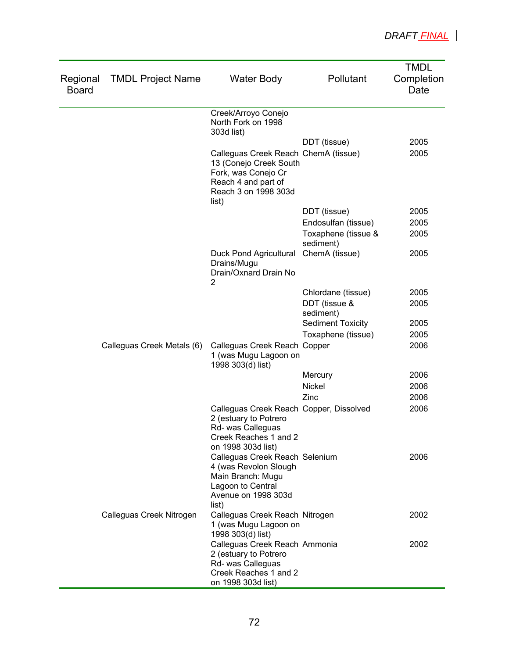| Regional<br><b>Board</b> | <b>TMDL Project Name</b>   | <b>Water Body</b>                                                                                                                             | Pollutant                        | TMDL<br>Completion<br>Date |
|--------------------------|----------------------------|-----------------------------------------------------------------------------------------------------------------------------------------------|----------------------------------|----------------------------|
|                          |                            | Creek/Arroyo Conejo<br>North Fork on 1998<br>303d list)                                                                                       |                                  |                            |
|                          |                            |                                                                                                                                               | DDT (tissue)                     | 2005                       |
|                          |                            | Calleguas Creek Reach ChemA (tissue)<br>13 (Conejo Creek South<br>Fork, was Conejo Cr<br>Reach 4 and part of<br>Reach 3 on 1998 303d<br>list) |                                  | 2005                       |
|                          |                            |                                                                                                                                               | DDT (tissue)                     | 2005                       |
|                          |                            |                                                                                                                                               | Endosulfan (tissue)              | 2005                       |
|                          |                            |                                                                                                                                               | Toxaphene (tissue &<br>sediment) | 2005                       |
|                          |                            | Duck Pond Agricultural<br>Drains/Mugu<br>Drain/Oxnard Drain No<br>$\overline{2}$                                                              | ChemA (tissue)                   | 2005                       |
|                          |                            |                                                                                                                                               | Chlordane (tissue)               | 2005                       |
|                          |                            |                                                                                                                                               | DDT (tissue &<br>sediment)       | 2005                       |
|                          |                            |                                                                                                                                               | <b>Sediment Toxicity</b>         | 2005                       |
|                          |                            |                                                                                                                                               | Toxaphene (tissue)               | 2005                       |
|                          | Calleguas Creek Metals (6) | Calleguas Creek Reach Copper<br>1 (was Mugu Lagoon on<br>1998 303(d) list)                                                                    |                                  | 2006                       |
|                          |                            |                                                                                                                                               | Mercury                          | 2006                       |
|                          |                            |                                                                                                                                               | <b>Nickel</b>                    | 2006                       |
|                          |                            |                                                                                                                                               | Zinc                             | 2006                       |
|                          |                            | Calleguas Creek Reach Copper, Dissolved<br>2 (estuary to Potrero<br>Rd- was Calleguas<br>Creek Reaches 1 and 2<br>on 1998 303d list)          |                                  | 2006                       |
|                          |                            | Calleguas Creek Reach Selenium<br>4 (was Revolon Slough<br>Main Branch: Mugu<br>Lagoon to Central<br>Avenue on 1998 303d<br>list)             |                                  | 2006                       |
|                          | Calleguas Creek Nitrogen   | Calleguas Creek Reach Nitrogen<br>1 (was Mugu Lagoon on<br>1998 303(d) list)                                                                  |                                  | 2002                       |
|                          |                            | Calleguas Creek Reach Ammonia<br>2 (estuary to Potrero<br>Rd- was Calleguas<br>Creek Reaches 1 and 2<br>on 1998 303d list)                    |                                  | 2002                       |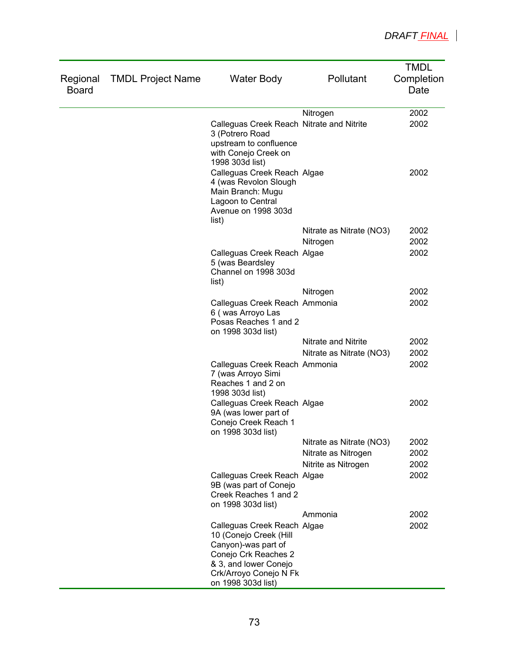|                          |                          |                                                                                                                                                                               |                          | <b>TMDL</b>        |
|--------------------------|--------------------------|-------------------------------------------------------------------------------------------------------------------------------------------------------------------------------|--------------------------|--------------------|
| Regional<br><b>Board</b> | <b>TMDL Project Name</b> | <b>Water Body</b>                                                                                                                                                             | Pollutant                | Completion<br>Date |
|                          |                          |                                                                                                                                                                               | Nitrogen                 | 2002               |
|                          |                          | Calleguas Creek Reach Nitrate and Nitrite<br>3 (Potrero Road<br>upstream to confluence<br>with Conejo Creek on<br>1998 303d list)                                             |                          | 2002               |
|                          |                          | Calleguas Creek Reach Algae<br>4 (was Revolon Slough<br>Main Branch: Mugu<br>Lagoon to Central<br>Avenue on 1998 303d<br>list)                                                |                          | 2002               |
|                          |                          |                                                                                                                                                                               | Nitrate as Nitrate (NO3) | 2002               |
|                          |                          |                                                                                                                                                                               | Nitrogen                 | 2002               |
|                          |                          | Calleguas Creek Reach Algae<br>5 (was Beardsley<br>Channel on 1998 303d<br>list)                                                                                              |                          | 2002               |
|                          |                          |                                                                                                                                                                               | Nitrogen                 | 2002               |
|                          |                          | Calleguas Creek Reach Ammonia<br>6 (was Arroyo Las<br>Posas Reaches 1 and 2<br>on 1998 303d list)                                                                             |                          | 2002               |
|                          |                          |                                                                                                                                                                               | Nitrate and Nitrite      | 2002               |
|                          |                          |                                                                                                                                                                               | Nitrate as Nitrate (NO3) | 2002               |
|                          |                          | Calleguas Creek Reach Ammonia<br>7 (was Arroyo Simi<br>Reaches 1 and 2 on<br>1998 303d list)                                                                                  |                          | 2002               |
|                          |                          | Calleguas Creek Reach Algae<br>9A (was lower part of<br>Conejo Creek Reach 1<br>on 1998 303d list)                                                                            |                          | 2002               |
|                          |                          |                                                                                                                                                                               | Nitrate as Nitrate (NO3) | 2002               |
|                          |                          |                                                                                                                                                                               | Nitrate as Nitrogen      | 2002               |
|                          |                          |                                                                                                                                                                               | Nitrite as Nitrogen      | 2002               |
|                          |                          | Calleguas Creek Reach Algae<br>9B (was part of Conejo<br>Creek Reaches 1 and 2<br>on 1998 303d list)                                                                          |                          | 2002               |
|                          |                          |                                                                                                                                                                               | Ammonia                  | 2002               |
|                          |                          | Calleguas Creek Reach Algae<br>10 (Conejo Creek (Hill<br>Canyon)-was part of<br>Conejo Crk Reaches 2<br>& 3, and lower Conejo<br>Crk/Arroyo Conejo N Fk<br>on 1998 303d list) |                          | 2002               |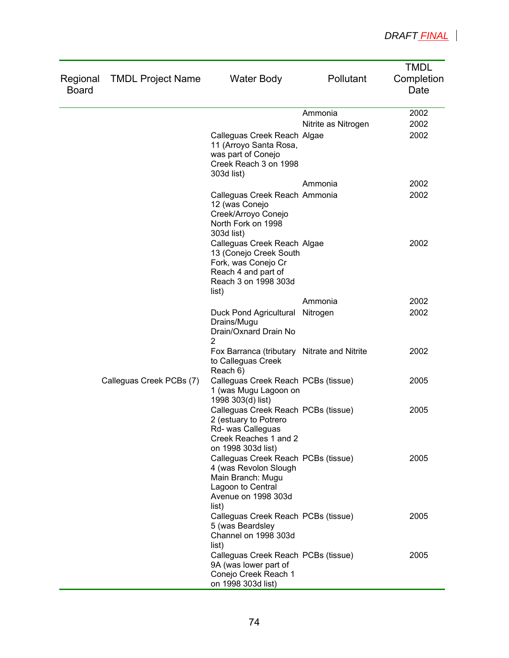| Regional                 | <b>TMDL Project Name</b>                                                                                                               | Water Body                                                                                                                           | Pollutant           | <b>TMDL</b><br>Completion |
|--------------------------|----------------------------------------------------------------------------------------------------------------------------------------|--------------------------------------------------------------------------------------------------------------------------------------|---------------------|---------------------------|
| <b>Board</b>             |                                                                                                                                        |                                                                                                                                      |                     | Date                      |
|                          |                                                                                                                                        |                                                                                                                                      | Ammonia             | 2002                      |
|                          |                                                                                                                                        |                                                                                                                                      | Nitrite as Nitrogen | 2002                      |
|                          |                                                                                                                                        | Calleguas Creek Reach Algae<br>11 (Arroyo Santa Rosa,<br>was part of Conejo<br>Creek Reach 3 on 1998<br>303d list)                   |                     | 2002                      |
|                          |                                                                                                                                        |                                                                                                                                      | Ammonia             | 2002                      |
|                          |                                                                                                                                        | Calleguas Creek Reach Ammonia<br>12 (was Conejo<br>Creek/Arroyo Conejo<br>North Fork on 1998<br>303d list)                           |                     | 2002                      |
|                          |                                                                                                                                        | Calleguas Creek Reach Algae<br>13 (Conejo Creek South<br>Fork, was Conejo Cr<br>Reach 4 and part of<br>Reach 3 on 1998 303d<br>list) |                     | 2002                      |
|                          |                                                                                                                                        |                                                                                                                                      | Ammonia             | 2002                      |
|                          |                                                                                                                                        | Duck Pond Agricultural<br>Drains/Mugu<br>Drain/Oxnard Drain No<br>$\overline{2}$                                                     | Nitrogen            | 2002                      |
|                          |                                                                                                                                        | Fox Barranca (tributary Nitrate and Nitrite<br>to Calleguas Creek<br>Reach 6)                                                        |                     | 2002                      |
| Calleguas Creek PCBs (7) | Calleguas Creek Reach PCBs (tissue)<br>1 (was Mugu Lagoon on<br>1998 303(d) list)                                                      |                                                                                                                                      | 2005                |                           |
|                          | Calleguas Creek Reach PCBs (tissue)<br>2 (estuary to Potrero<br>Rd- was Calleguas<br>Creek Reaches 1 and 2<br>on 1998 303d list)       |                                                                                                                                      | 2005                |                           |
|                          | Calleguas Creek Reach PCBs (tissue)<br>4 (was Revolon Slough<br>Main Branch: Mugu<br>Lagoon to Central<br>Avenue on 1998 303d<br>list) |                                                                                                                                      | 2005                |                           |
|                          | Calleguas Creek Reach PCBs (tissue)<br>5 (was Beardsley<br>Channel on 1998 303d<br>list)                                               |                                                                                                                                      | 2005                |                           |
|                          |                                                                                                                                        | Calleguas Creek Reach PCBs (tissue)<br>9A (was lower part of<br>Conejo Creek Reach 1<br>on 1998 303d list)                           |                     | 2005                      |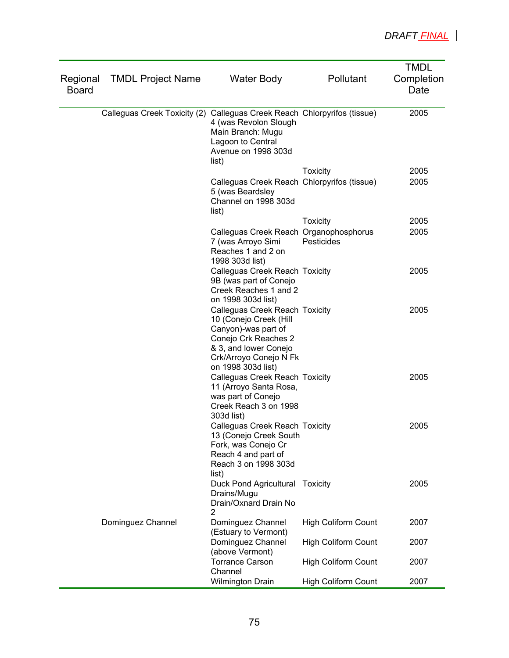| Regional<br><b>Board</b> | <b>TMDL Project Name</b>                                                                                                                       | <b>Water Body</b>                                                                                                                                                                | Pollutant                  | <b>TMDL</b><br>Completion<br>Date |
|--------------------------|------------------------------------------------------------------------------------------------------------------------------------------------|----------------------------------------------------------------------------------------------------------------------------------------------------------------------------------|----------------------------|-----------------------------------|
|                          | Calleguas Creek Toxicity (2)                                                                                                                   | Calleguas Creek Reach Chlorpyrifos (tissue)<br>4 (was Revolon Slough<br>Main Branch: Mugu<br>Lagoon to Central<br>Avenue on 1998 303d<br>list)                                   |                            | 2005                              |
|                          |                                                                                                                                                |                                                                                                                                                                                  | <b>Toxicity</b>            | 2005                              |
|                          |                                                                                                                                                | Calleguas Creek Reach Chlorpyrifos (tissue)<br>5 (was Beardsley<br>Channel on 1998 303d<br>list)                                                                                 |                            | 2005                              |
|                          |                                                                                                                                                |                                                                                                                                                                                  | <b>Toxicity</b>            | 2005                              |
|                          |                                                                                                                                                | Calleguas Creek Reach Organophosphorus<br>7 (was Arroyo Simi<br>Reaches 1 and 2 on<br>1998 303d list)                                                                            | Pesticides                 | 2005                              |
|                          | <b>Calleguas Creek Reach Toxicity</b><br>9B (was part of Conejo<br>Creek Reaches 1 and 2<br>on 1998 303d list)                                 |                                                                                                                                                                                  | 2005                       |                                   |
|                          |                                                                                                                                                | Calleguas Creek Reach Toxicity<br>10 (Conejo Creek (Hill<br>Canyon)-was part of<br>Conejo Crk Reaches 2<br>& 3, and lower Conejo<br>Crk/Arroyo Conejo N Fk<br>on 1998 303d list) |                            | 2005                              |
|                          | <b>Calleguas Creek Reach Toxicity</b><br>11 (Arroyo Santa Rosa,<br>was part of Conejo<br>Creek Reach 3 on 1998<br>303d list)                   |                                                                                                                                                                                  | 2005                       |                                   |
|                          | <b>Calleguas Creek Reach Toxicity</b><br>13 (Conejo Creek South<br>Fork, was Conejo Cr<br>Reach 4 and part of<br>Reach 3 on 1998 303d<br>list) |                                                                                                                                                                                  | 2005                       |                                   |
|                          |                                                                                                                                                | Duck Pond Agricultural<br>Drains/Mugu<br>Drain/Oxnard Drain No<br>$\overline{2}$                                                                                                 | Toxicity                   | 2005                              |
|                          | Dominguez Channel                                                                                                                              | Dominguez Channel<br>(Estuary to Vermont)                                                                                                                                        | <b>High Coliform Count</b> | 2007                              |
|                          |                                                                                                                                                | Dominguez Channel<br>(above Vermont)                                                                                                                                             | <b>High Coliform Count</b> | 2007                              |
|                          |                                                                                                                                                | <b>Torrance Carson</b><br>Channel                                                                                                                                                | <b>High Coliform Count</b> | 2007                              |
|                          |                                                                                                                                                | <b>Wilmington Drain</b>                                                                                                                                                          | <b>High Coliform Count</b> | 2007                              |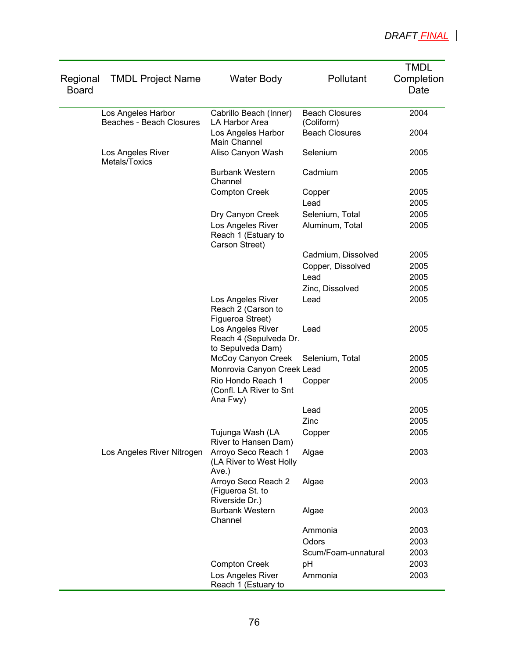|                          |                                    |                                                                  |                       | TMDL               |
|--------------------------|------------------------------------|------------------------------------------------------------------|-----------------------|--------------------|
| Regional<br><b>Board</b> | <b>TMDL Project Name</b>           | <b>Water Body</b>                                                | Pollutant             | Completion<br>Date |
|                          | Los Angeles Harbor                 | Cabrillo Beach (Inner)                                           | <b>Beach Closures</b> | 2004               |
|                          | Beaches - Beach Closures           | LA Harbor Area                                                   | (Coliform)            |                    |
|                          |                                    | Los Angeles Harbor<br>Main Channel                               | <b>Beach Closures</b> | 2004               |
|                          | Los Angeles River<br>Metals/Toxics | Aliso Canyon Wash                                                | Selenium              | 2005               |
|                          |                                    | <b>Burbank Western</b><br>Channel                                | Cadmium               | 2005               |
|                          |                                    | <b>Compton Creek</b>                                             | Copper                | 2005               |
|                          |                                    |                                                                  | Lead                  | 2005               |
|                          |                                    | Dry Canyon Creek                                                 | Selenium, Total       | 2005               |
|                          |                                    | Los Angeles River<br>Reach 1 (Estuary to<br>Carson Street)       | Aluminum, Total       | 2005               |
|                          |                                    |                                                                  | Cadmium, Dissolved    | 2005               |
|                          |                                    |                                                                  | Copper, Dissolved     | 2005               |
|                          |                                    |                                                                  | Lead                  | 2005               |
|                          |                                    |                                                                  | Zinc, Dissolved       | 2005               |
|                          |                                    | Los Angeles River<br>Reach 2 (Carson to<br>Figueroa Street)      | Lead                  | 2005               |
|                          |                                    | Los Angeles River<br>Reach 4 (Sepulveda Dr.<br>to Sepulveda Dam) | Lead                  | 2005               |
|                          |                                    | McCoy Canyon Creek                                               | Selenium, Total       | 2005               |
|                          |                                    | Monrovia Canyon Creek Lead                                       |                       | 2005               |
|                          |                                    | Rio Hondo Reach 1<br>(Confl. LA River to Snt<br>Ana Fwy)         | Copper                | 2005               |
|                          |                                    |                                                                  | Lead                  | 2005               |
|                          |                                    |                                                                  | Zinc                  | 2005               |
|                          |                                    | Tujunga Wash (LA<br>River to Hansen Dam)                         | Copper                | 2005               |
|                          | Los Angeles River Nitrogen         | Arroyo Seco Reach 1<br>(LA River to West Holly<br>Ave.)          | Algae                 | 2003               |
|                          |                                    | Arroyo Seco Reach 2<br>(Figueroa St. to<br>Riverside Dr.)        | Algae                 | 2003               |
|                          |                                    | <b>Burbank Western</b><br>Channel                                | Algae                 | 2003               |
|                          |                                    |                                                                  | Ammonia               | 2003               |
|                          |                                    |                                                                  | Odors                 | 2003               |
|                          |                                    |                                                                  | Scum/Foam-unnatural   | 2003               |
|                          |                                    | <b>Compton Creek</b>                                             | pH                    | 2003               |
|                          |                                    | Los Angeles River<br>Reach 1 (Estuary to                         | Ammonia               | 2003               |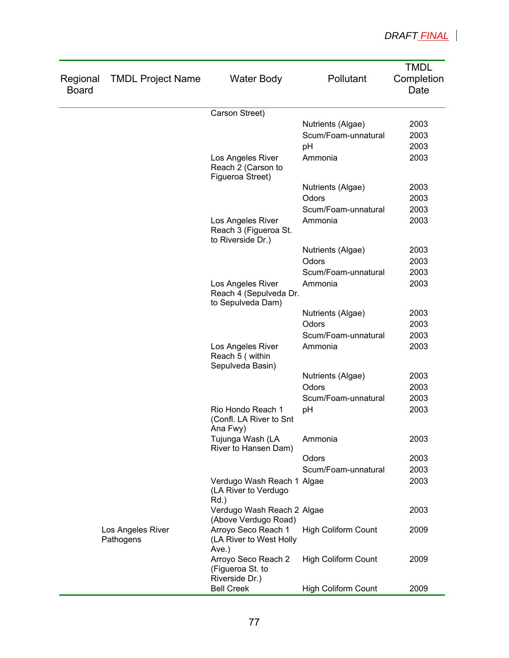| Regional<br><b>Board</b> | <b>TMDL Project Name</b>       | <b>Water Body</b>                                                | Pollutant                  | TMDL<br>Completion<br>Date |
|--------------------------|--------------------------------|------------------------------------------------------------------|----------------------------|----------------------------|
|                          |                                | Carson Street)                                                   |                            |                            |
|                          |                                |                                                                  | Nutrients (Algae)          | 2003                       |
|                          |                                |                                                                  | Scum/Foam-unnatural        | 2003                       |
|                          |                                |                                                                  | pH                         | 2003                       |
|                          |                                | Los Angeles River<br>Reach 2 (Carson to<br>Figueroa Street)      | Ammonia                    | 2003                       |
|                          |                                |                                                                  | Nutrients (Algae)          | 2003                       |
|                          |                                |                                                                  | Odors                      | 2003                       |
|                          |                                |                                                                  | Scum/Foam-unnatural        | 2003                       |
|                          |                                | Los Angeles River<br>Reach 3 (Figueroa St.<br>to Riverside Dr.)  | Ammonia                    | 2003                       |
|                          |                                |                                                                  | Nutrients (Algae)          | 2003                       |
|                          |                                |                                                                  | Odors                      | 2003                       |
|                          |                                |                                                                  | Scum/Foam-unnatural        | 2003                       |
|                          |                                | Los Angeles River<br>Reach 4 (Sepulveda Dr.<br>to Sepulveda Dam) | Ammonia                    | 2003                       |
|                          |                                |                                                                  | Nutrients (Algae)          | 2003                       |
|                          |                                |                                                                  | Odors                      | 2003                       |
|                          |                                |                                                                  | Scum/Foam-unnatural        | 2003                       |
|                          |                                | Los Angeles River<br>Reach 5 (within<br>Sepulveda Basin)         | Ammonia                    | 2003                       |
|                          |                                |                                                                  | Nutrients (Algae)          | 2003                       |
|                          |                                |                                                                  | Odors                      | 2003                       |
|                          |                                |                                                                  | Scum/Foam-unnatural        | 2003                       |
|                          |                                | Rio Hondo Reach 1<br>(Confl. LA River to Snt<br>Ana Fwy)         | pH                         | 2003                       |
|                          |                                | Tujunga Wash (LA<br>River to Hansen Dam)                         | Ammonia                    | 2003                       |
|                          |                                |                                                                  | Odors                      | 2003                       |
|                          |                                |                                                                  | Scum/Foam-unnatural        | 2003                       |
|                          |                                | Verdugo Wash Reach 1 Algae<br>(LA River to Verdugo<br>$Rd.$ )    |                            | 2003                       |
|                          |                                | Verdugo Wash Reach 2 Algae<br>(Above Verdugo Road)               |                            | 2003                       |
|                          | Los Angeles River<br>Pathogens | Arroyo Seco Reach 1<br>(LA River to West Holly<br>Ave.)          | <b>High Coliform Count</b> | 2009                       |
|                          |                                | Arroyo Seco Reach 2<br>(Figueroa St. to<br>Riverside Dr.)        | <b>High Coliform Count</b> | 2009                       |
|                          |                                | <b>Bell Creek</b>                                                | High Coliform Count        | 2009                       |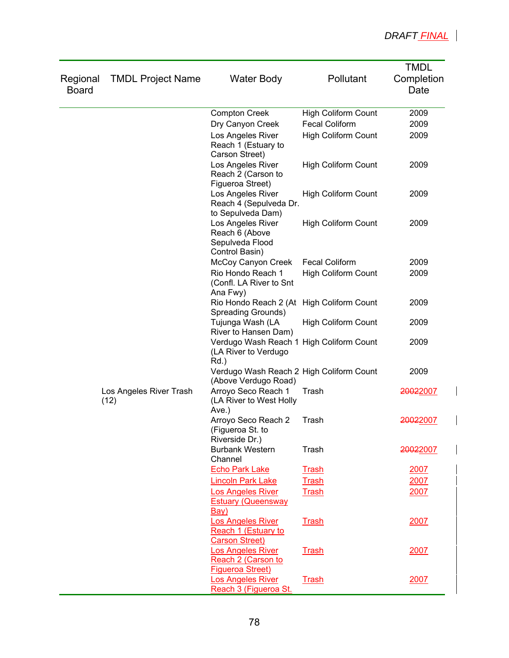$\overline{\phantom{a}}$ 

 $\mathsf{l}$ 

| Regional<br><b>Board</b> | <b>TMDL Project Name</b>        | Water Body                                                                  | Pollutant                  | <b>TMDL</b><br>Completion<br>Date |
|--------------------------|---------------------------------|-----------------------------------------------------------------------------|----------------------------|-----------------------------------|
|                          |                                 | <b>Compton Creek</b>                                                        | <b>High Coliform Count</b> | 2009                              |
|                          |                                 | Dry Canyon Creek                                                            | <b>Fecal Coliform</b>      | 2009                              |
|                          |                                 | Los Angeles River<br>Reach 1 (Estuary to<br>Carson Street)                  | <b>High Coliform Count</b> | 2009                              |
|                          |                                 | Los Angeles River<br>Reach 2 (Carson to<br>Figueroa Street)                 | <b>High Coliform Count</b> | 2009                              |
|                          |                                 | Los Angeles River<br>Reach 4 (Sepulveda Dr.<br>to Sepulveda Dam)            | <b>High Coliform Count</b> | 2009                              |
|                          |                                 | Los Angeles River<br>Reach 6 (Above<br>Sepulveda Flood<br>Control Basin)    | <b>High Coliform Count</b> | 2009                              |
|                          |                                 | McCoy Canyon Creek                                                          | <b>Fecal Coliform</b>      | 2009                              |
|                          |                                 | Rio Hondo Reach 1<br>(Confl. LA River to Snt<br>Ana Fwy)                    | <b>High Coliform Count</b> | 2009                              |
|                          |                                 | Rio Hondo Reach 2 (At High Coliform Count<br>Spreading Grounds)             |                            | 2009                              |
|                          |                                 | Tujunga Wash (LA<br>River to Hansen Dam)                                    | <b>High Coliform Count</b> | 2009                              |
|                          |                                 | Verdugo Wash Reach 1 High Coliform Count<br>(LA River to Verdugo<br>$Rd.$ ) |                            | 2009                              |
|                          |                                 | Verdugo Wash Reach 2 High Coliform Count<br>(Above Verdugo Road)            |                            | 2009                              |
|                          | Los Angeles River Trash<br>(12) | Arroyo Seco Reach 1<br>(LA River to West Holly<br>Ave.)                     | Trash                      | 20022007                          |
|                          |                                 | Arroyo Seco Reach 2<br>(Figueroa St. to<br>Riverside Dr.)                   | Trash                      | <del>2002</del> 2007              |
|                          |                                 | <b>Burbank Western</b><br>Channel                                           | Trash                      | 20022007                          |
|                          |                                 | <b>Echo Park Lake</b>                                                       | <b>Trash</b>               | 2007                              |
|                          |                                 | <b>Lincoln Park Lake</b>                                                    | <b>Trash</b>               | 2007                              |
|                          |                                 | <b>Los Angeles River</b><br><b>Estuary (Queensway</b><br>Bay)               | <b>Trash</b>               | 2007                              |
|                          |                                 | Los Angeles River<br>Reach 1 (Estuary to<br><b>Carson Street)</b>           | <b>Trash</b>               | 2007                              |
|                          |                                 | Los Angeles River<br>Reach 2 (Carson to<br><b>Figueroa Street)</b>          | <b>Trash</b>               | 2007                              |
|                          |                                 | <b>Los Angeles River</b><br>Reach 3 (Figueroa St.                           | <b>Trash</b>               | 2007                              |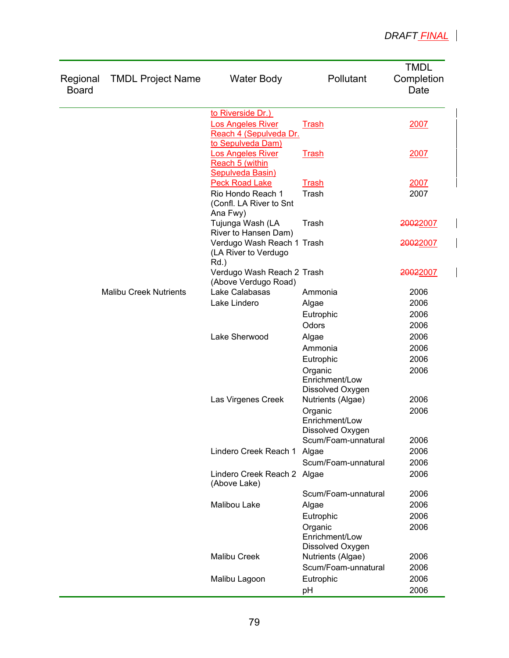| Regional<br><b>Board</b> | <b>TMDL Project Name</b>      | <b>Water Body</b>                                                                          | Pollutant                                     | <b>TMDL</b><br>Completion<br>Date |  |
|--------------------------|-------------------------------|--------------------------------------------------------------------------------------------|-----------------------------------------------|-----------------------------------|--|
|                          |                               | to Riverside Dr.)<br><b>Los Angeles River</b>                                              | <b>Trash</b>                                  | 2007                              |  |
|                          |                               | Reach 4 (Sepulveda Dr.<br>to Sepulveda Dam)<br><b>Los Angeles River</b><br>Reach 5 (within | <b>Trash</b>                                  | 2007                              |  |
|                          |                               | Sepulveda Basin)<br><b>Peck Road Lake</b>                                                  | <b>Trash</b>                                  | 2007                              |  |
|                          |                               | Rio Hondo Reach 1<br>(Confl. LA River to Snt<br>Ana Fwy)                                   | Trash                                         | 2007                              |  |
|                          |                               | Tujunga Wash (LA<br>River to Hansen Dam)                                                   | Trash                                         | 20022007                          |  |
|                          |                               | Verdugo Wash Reach 1 Trash<br>(LA River to Verdugo<br>$Rd.$ )                              |                                               | 20022007                          |  |
|                          |                               | Verdugo Wash Reach 2 Trash<br>(Above Verdugo Road)                                         |                                               | 20022007                          |  |
|                          | <b>Malibu Creek Nutrients</b> | Lake Calabasas                                                                             | Ammonia                                       | 2006                              |  |
|                          |                               | Lake Lindero                                                                               | Algae                                         | 2006                              |  |
|                          |                               |                                                                                            | Eutrophic                                     | 2006                              |  |
|                          |                               |                                                                                            | Odors                                         | 2006                              |  |
|                          |                               | Lake Sherwood                                                                              | Algae                                         | 2006                              |  |
|                          |                               |                                                                                            | Ammonia                                       | 2006                              |  |
|                          |                               |                                                                                            | Eutrophic                                     | 2006                              |  |
|                          |                               |                                                                                            | Organic<br>Enrichment/Low                     | 2006                              |  |
|                          |                               |                                                                                            | Dissolved Oxygen                              |                                   |  |
|                          |                               | Las Virgenes Creek                                                                         | Nutrients (Algae)                             | 2006                              |  |
|                          |                               |                                                                                            | Organic<br>Enrichment/Low                     | 2006                              |  |
|                          |                               |                                                                                            | Dissolved Oxygen                              |                                   |  |
|                          |                               |                                                                                            | Scum/Foam-unnatural                           | 2006                              |  |
|                          |                               | Lindero Creek Reach 1                                                                      | Algae                                         | 2006                              |  |
|                          |                               |                                                                                            | Scum/Foam-unnatural                           | 2006                              |  |
|                          |                               | Lindero Creek Reach 2 Algae<br>(Above Lake)                                                |                                               | 2006                              |  |
|                          |                               |                                                                                            | Scum/Foam-unnatural                           | 2006                              |  |
|                          |                               | Malibou Lake                                                                               | Algae                                         | 2006                              |  |
|                          |                               |                                                                                            | Eutrophic                                     | 2006                              |  |
|                          |                               |                                                                                            | Organic<br>Enrichment/Low<br>Dissolved Oxygen | 2006                              |  |
|                          |                               | <b>Malibu Creek</b>                                                                        | Nutrients (Algae)                             | 2006                              |  |
|                          |                               |                                                                                            | Scum/Foam-unnatural                           | 2006                              |  |
|                          |                               | Malibu Lagoon                                                                              | Eutrophic                                     | 2006                              |  |
|                          |                               |                                                                                            | рH                                            | 2006                              |  |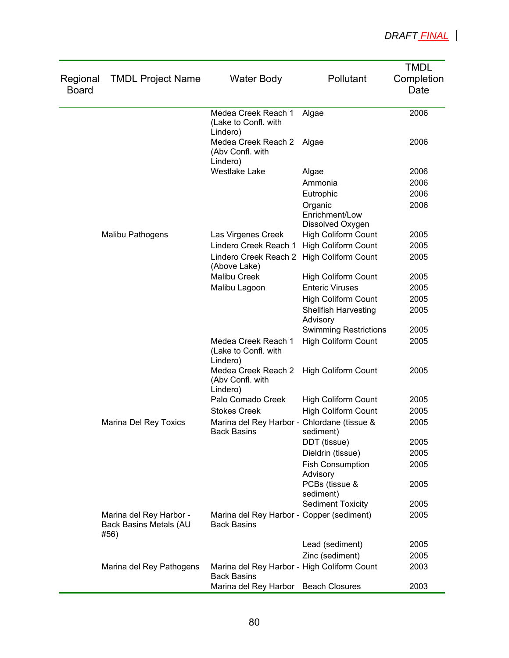|                          |                                                           |                                                                   |                                               | TMDL               |
|--------------------------|-----------------------------------------------------------|-------------------------------------------------------------------|-----------------------------------------------|--------------------|
| Regional<br><b>Board</b> | <b>TMDL Project Name</b>                                  | <b>Water Body</b>                                                 | Pollutant                                     | Completion<br>Date |
|                          |                                                           | Medea Creek Reach 1<br>(Lake to Confl. with<br>Lindero)           | Algae                                         | 2006               |
|                          |                                                           | Medea Creek Reach 2<br>(Abv Confl. with<br>Lindero)               | Algae                                         | 2006               |
|                          |                                                           | <b>Westlake Lake</b>                                              | Algae                                         | 2006               |
|                          |                                                           |                                                                   | Ammonia                                       | 2006               |
|                          |                                                           |                                                                   | Eutrophic                                     | 2006               |
|                          |                                                           |                                                                   | Organic<br>Enrichment/Low<br>Dissolved Oxygen | 2006               |
|                          | Malibu Pathogens                                          | Las Virgenes Creek                                                | <b>High Coliform Count</b>                    | 2005               |
|                          |                                                           | Lindero Creek Reach 1                                             | <b>High Coliform Count</b>                    | 2005               |
|                          |                                                           | Lindero Creek Reach 2<br>(Above Lake)                             | <b>High Coliform Count</b>                    | 2005               |
|                          |                                                           | Malibu Creek                                                      | <b>High Coliform Count</b>                    | 2005               |
|                          |                                                           | Malibu Lagoon                                                     | <b>Enteric Viruses</b>                        | 2005               |
|                          |                                                           |                                                                   | <b>High Coliform Count</b>                    | 2005               |
|                          |                                                           |                                                                   | <b>Shellfish Harvesting</b><br>Advisory       | 2005               |
|                          |                                                           |                                                                   | <b>Swimming Restrictions</b>                  | 2005               |
|                          |                                                           | Medea Creek Reach 1<br>(Lake to Confl. with<br>Lindero)           | <b>High Coliform Count</b>                    | 2005               |
|                          |                                                           | Medea Creek Reach 2<br>(Abv Confl. with<br>Lindero)               | <b>High Coliform Count</b>                    | 2005               |
|                          |                                                           | Palo Comado Creek                                                 | <b>High Coliform Count</b>                    | 2005               |
|                          |                                                           | <b>Stokes Creek</b>                                               | <b>High Coliform Count</b>                    | 2005               |
|                          | Marina Del Rey Toxics                                     | Marina del Rey Harbor - Chlordane (tissue &<br><b>Back Basins</b> | sediment)                                     | 2005               |
|                          |                                                           |                                                                   | DDT (tissue)                                  | 2005               |
|                          |                                                           |                                                                   | Dieldrin (tissue)                             | 2005               |
|                          |                                                           |                                                                   | <b>Fish Consumption</b><br>Advisory           | 2005               |
|                          |                                                           |                                                                   | PCBs (tissue &<br>sediment)                   | 2005               |
|                          |                                                           |                                                                   | <b>Sediment Toxicity</b>                      | 2005               |
|                          | Marina del Rey Harbor -<br>Back Basins Metals (AU<br>#56) | Marina del Rey Harbor - Copper (sediment)<br><b>Back Basins</b>   |                                               | 2005               |
|                          |                                                           |                                                                   | Lead (sediment)                               | 2005               |
|                          |                                                           |                                                                   | Zinc (sediment)                               | 2005               |
|                          | Marina del Rey Pathogens                                  | Marina del Rey Harbor - High Coliform Count<br><b>Back Basins</b> |                                               | 2003               |
|                          |                                                           | Marina del Rey Harbor                                             | <b>Beach Closures</b>                         | 2003               |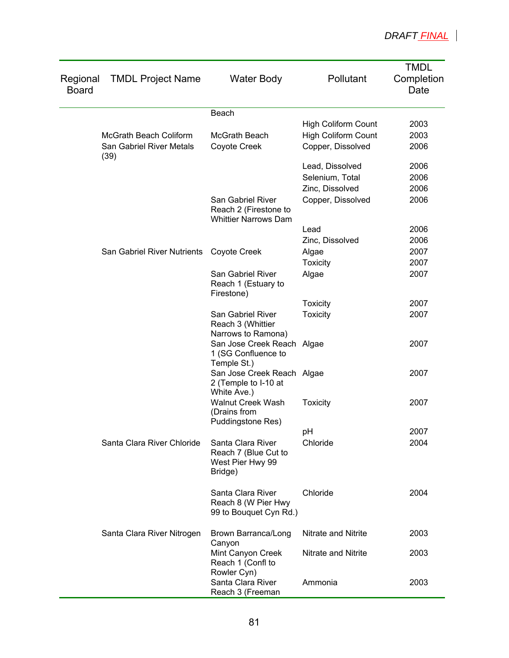| Regional<br><b>Board</b> | <b>TMDL Project Name</b>         | <b>Water Body</b>                                                         | Pollutant                  | TMDL<br>Completion<br>Date |
|--------------------------|----------------------------------|---------------------------------------------------------------------------|----------------------------|----------------------------|
|                          |                                  | Beach                                                                     |                            |                            |
|                          |                                  |                                                                           | <b>High Coliform Count</b> | 2003                       |
|                          | <b>McGrath Beach Coliform</b>    | McGrath Beach                                                             | <b>High Coliform Count</b> | 2003                       |
|                          | San Gabriel River Metals<br>(39) | Coyote Creek                                                              | Copper, Dissolved          | 2006                       |
|                          |                                  |                                                                           | Lead, Dissolved            | 2006                       |
|                          |                                  |                                                                           | Selenium, Total            | 2006                       |
|                          |                                  |                                                                           | Zinc, Dissolved            | 2006                       |
|                          |                                  | San Gabriel River<br>Reach 2 (Firestone to<br><b>Whittier Narrows Dam</b> | Copper, Dissolved          | 2006                       |
|                          |                                  |                                                                           | Lead                       | 2006                       |
|                          |                                  |                                                                           | Zinc, Dissolved            | 2006                       |
|                          | San Gabriel River Nutrients      | Coyote Creek                                                              | Algae                      | 2007                       |
|                          |                                  |                                                                           | <b>Toxicity</b>            | 2007                       |
|                          |                                  | San Gabriel River<br>Reach 1 (Estuary to<br>Firestone)                    | Algae                      | 2007                       |
|                          |                                  |                                                                           | <b>Toxicity</b>            | 2007                       |
|                          |                                  | San Gabriel River<br>Reach 3 (Whittier<br>Narrows to Ramona)              | <b>Toxicity</b>            | 2007                       |
|                          |                                  | San Jose Creek Reach Algae<br>1 (SG Confluence to<br>Temple St.)          |                            | 2007                       |
|                          |                                  | San Jose Creek Reach Algae<br>2 (Temple to I-10 at<br>White Ave.)         |                            | 2007                       |
|                          |                                  | <b>Walnut Creek Wash</b><br>(Drains from<br>Puddingstone Res)             | <b>Toxicity</b>            | 2007                       |
|                          |                                  |                                                                           | pH                         | 2007                       |
|                          | Santa Clara River Chloride       | Santa Clara River<br>Reach 7 (Blue Cut to<br>West Pier Hwy 99<br>Bridge)  | Chloride                   | 2004                       |
|                          |                                  | Santa Clara River<br>Reach 8 (W Pier Hwy<br>99 to Bouquet Cyn Rd.)        | Chloride                   | 2004                       |
|                          | Santa Clara River Nitrogen       | Brown Barranca/Long<br>Canyon                                             | Nitrate and Nitrite        | 2003                       |
|                          |                                  | Mint Canyon Creek<br>Reach 1 (Confl to<br>Rowler Cyn)                     | Nitrate and Nitrite        | 2003                       |
|                          |                                  | Santa Clara River<br>Reach 3 (Freeman                                     | Ammonia                    | 2003                       |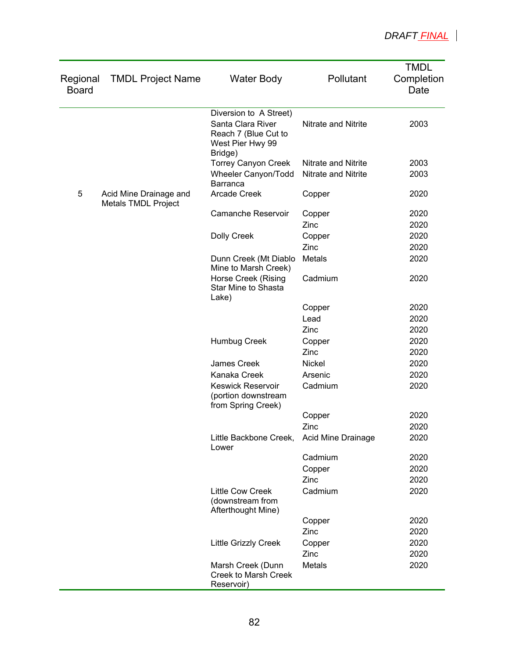| Regional<br><b>Board</b> | <b>TMDL Project Name</b>                             | <b>Water Body</b>                                                                                  | Pollutant           | TMDL<br>Completion<br>Date |
|--------------------------|------------------------------------------------------|----------------------------------------------------------------------------------------------------|---------------------|----------------------------|
|                          |                                                      | Diversion to A Street)<br>Santa Clara River<br>Reach 7 (Blue Cut to<br>West Pier Hwy 99<br>Bridge) | Nitrate and Nitrite | 2003                       |
|                          |                                                      | <b>Torrey Canyon Creek</b>                                                                         | Nitrate and Nitrite | 2003                       |
|                          |                                                      | Wheeler Canyon/Todd<br><b>Barranca</b>                                                             | Nitrate and Nitrite | 2003                       |
| 5                        | Acid Mine Drainage and<br><b>Metals TMDL Project</b> | Arcade Creek                                                                                       | Copper              | 2020                       |
|                          |                                                      | <b>Camanche Reservoir</b>                                                                          | Copper              | 2020                       |
|                          |                                                      |                                                                                                    | Zinc                | 2020                       |
|                          |                                                      | Dolly Creek                                                                                        | Copper              | 2020                       |
|                          |                                                      |                                                                                                    | Zinc                | 2020                       |
|                          |                                                      | Dunn Creek (Mt Diablo<br>Mine to Marsh Creek)                                                      | Metals              | 2020                       |
|                          |                                                      | Horse Creek (Rising<br>Star Mine to Shasta<br>Lake)                                                | Cadmium             | 2020                       |
|                          |                                                      |                                                                                                    | Copper              | 2020                       |
|                          |                                                      |                                                                                                    | Lead                | 2020                       |
|                          |                                                      |                                                                                                    | Zinc                | 2020                       |
|                          |                                                      | Humbug Creek                                                                                       | Copper              | 2020                       |
|                          |                                                      |                                                                                                    | Zinc                | 2020                       |
|                          |                                                      | James Creek                                                                                        | <b>Nickel</b>       | 2020                       |
|                          |                                                      | Kanaka Creek                                                                                       | Arsenic             | 2020                       |
|                          |                                                      | <b>Keswick Reservoir</b><br>(portion downstream<br>from Spring Creek)                              | Cadmium             | 2020                       |
|                          |                                                      |                                                                                                    | Copper              | 2020                       |
|                          |                                                      |                                                                                                    | Zinc                | 2020                       |
|                          |                                                      | Little Backbone Creek,<br>Lower                                                                    | Acid Mine Drainage  | 2020                       |
|                          |                                                      |                                                                                                    | Cadmium             | 2020                       |
|                          |                                                      |                                                                                                    | Copper              | 2020                       |
|                          |                                                      |                                                                                                    | Zinc                | 2020                       |
|                          |                                                      | <b>Little Cow Creek</b><br>(downstream from<br>Afterthought Mine)                                  | Cadmium             | 2020                       |
|                          |                                                      |                                                                                                    | Copper              | 2020                       |
|                          |                                                      |                                                                                                    | Zinc                | 2020                       |
|                          |                                                      | <b>Little Grizzly Creek</b>                                                                        | Copper              | 2020                       |
|                          |                                                      |                                                                                                    | Zinc                | 2020                       |
|                          |                                                      | Marsh Creek (Dunn<br><b>Creek to Marsh Creek</b>                                                   | Metals              | 2020                       |
|                          |                                                      | Reservoir)                                                                                         |                     |                            |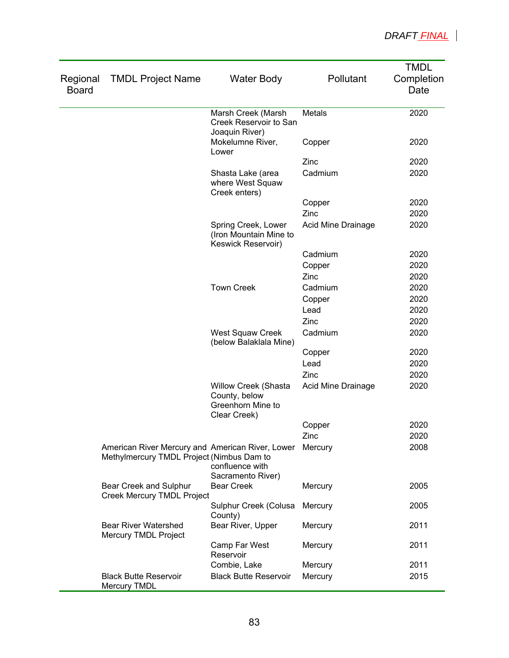|                          |                                                                                               |                                                                                   |                    | <b>TMDL</b>        |
|--------------------------|-----------------------------------------------------------------------------------------------|-----------------------------------------------------------------------------------|--------------------|--------------------|
| Regional<br><b>Board</b> | <b>TMDL Project Name</b>                                                                      | <b>Water Body</b>                                                                 | Pollutant          | Completion<br>Date |
|                          |                                                                                               | Marsh Creek (Marsh<br>Creek Reservoir to San<br>Joaquin River)                    | <b>Metals</b>      | 2020               |
|                          |                                                                                               | Mokelumne River,<br>Lower                                                         | Copper             | 2020               |
|                          |                                                                                               |                                                                                   | Zinc               | 2020               |
|                          |                                                                                               | Shasta Lake (area<br>where West Squaw<br>Creek enters)                            | Cadmium            | 2020               |
|                          |                                                                                               |                                                                                   | Copper             | 2020               |
|                          |                                                                                               |                                                                                   | Zinc               | 2020               |
|                          |                                                                                               | Spring Creek, Lower<br>(Iron Mountain Mine to<br>Keswick Reservoir)               | Acid Mine Drainage | 2020               |
|                          |                                                                                               |                                                                                   | Cadmium            | 2020               |
|                          |                                                                                               |                                                                                   | Copper             | 2020               |
|                          |                                                                                               |                                                                                   | Zinc               | 2020               |
|                          |                                                                                               | <b>Town Creek</b>                                                                 | Cadmium            | 2020               |
|                          |                                                                                               |                                                                                   | Copper             | 2020               |
|                          |                                                                                               |                                                                                   | Lead               | 2020               |
|                          |                                                                                               |                                                                                   | Zinc               | 2020               |
|                          |                                                                                               | West Squaw Creek<br>(below Balaklala Mine)                                        | Cadmium            | 2020               |
|                          |                                                                                               |                                                                                   | Copper             | 2020               |
|                          |                                                                                               |                                                                                   | Lead               | 2020               |
|                          |                                                                                               |                                                                                   | Zinc               | 2020               |
|                          |                                                                                               | <b>Willow Creek (Shasta</b><br>County, below<br>Greenhorn Mine to<br>Clear Creek) | Acid Mine Drainage | 2020               |
|                          |                                                                                               |                                                                                   | Copper             | 2020               |
|                          |                                                                                               |                                                                                   | Zinc               | 2020               |
|                          | American River Mercury and American River, Lower<br>Methylmercury TMDL Project (Nimbus Dam to | confluence with<br>Sacramento River)                                              | Mercury            | 2008               |
|                          | Bear Creek and Sulphur<br><b>Creek Mercury TMDL Project</b>                                   | <b>Bear Creek</b>                                                                 | Mercury            | 2005               |
|                          | Sulphur Creek (Colusa<br>County)                                                              | Mercury                                                                           | 2005               |                    |
|                          | <b>Bear River Watershed</b><br>Mercury TMDL Project                                           | Bear River, Upper                                                                 | Mercury            | 2011               |
|                          |                                                                                               | Camp Far West<br>Reservoir                                                        | Mercury            | 2011               |
|                          |                                                                                               | Combie, Lake                                                                      | Mercury            | 2011               |
|                          | <b>Black Butte Reservoir</b><br><b>Mercury TMDL</b>                                           | <b>Black Butte Reservoir</b>                                                      | Mercury            | 2015               |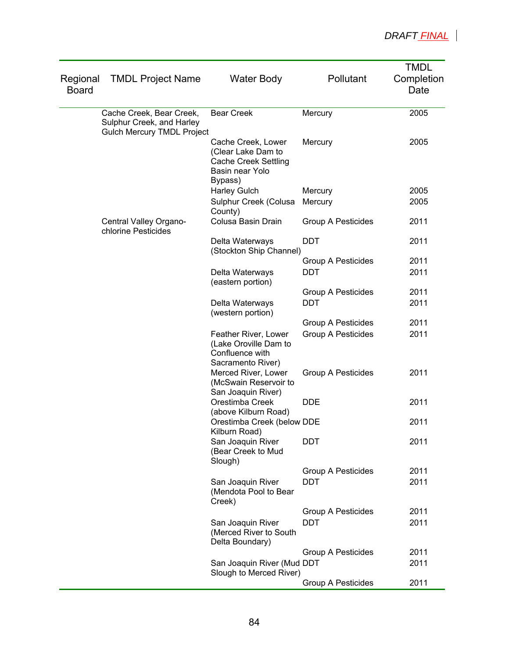| Regional<br><b>Board</b> | <b>TMDL Project Name</b>                                                                   | <b>Water Body</b>                                                                                     | Pollutant                 | TMDL<br>Completion<br>Date |
|--------------------------|--------------------------------------------------------------------------------------------|-------------------------------------------------------------------------------------------------------|---------------------------|----------------------------|
|                          | Cache Creek, Bear Creek,<br>Sulphur Creek, and Harley<br><b>Gulch Mercury TMDL Project</b> | Bear Creek                                                                                            | Mercury                   | 2005                       |
|                          |                                                                                            | Cache Creek, Lower<br>(Clear Lake Dam to<br><b>Cache Creek Settling</b><br>Basin near Yolo<br>Bypass) | Mercury                   | 2005                       |
|                          |                                                                                            | <b>Harley Gulch</b>                                                                                   | Mercury                   | 2005                       |
|                          |                                                                                            | Sulphur Creek (Colusa<br>County)                                                                      | Mercury                   | 2005                       |
|                          | Central Valley Organo-<br>chlorine Pesticides                                              | Colusa Basin Drain                                                                                    | <b>Group A Pesticides</b> | 2011                       |
|                          |                                                                                            | Delta Waterways<br>(Stockton Ship Channel)                                                            | <b>DDT</b>                | 2011                       |
|                          |                                                                                            |                                                                                                       | <b>Group A Pesticides</b> | 2011                       |
|                          |                                                                                            | Delta Waterways<br>(eastern portion)                                                                  | <b>DDT</b>                | 2011                       |
|                          |                                                                                            |                                                                                                       | <b>Group A Pesticides</b> | 2011                       |
|                          |                                                                                            | Delta Waterways<br>(western portion)                                                                  | <b>DDT</b>                | 2011                       |
|                          |                                                                                            |                                                                                                       | <b>Group A Pesticides</b> | 2011                       |
|                          |                                                                                            | Feather River, Lower<br>(Lake Oroville Dam to<br>Confluence with<br>Sacramento River)                 | <b>Group A Pesticides</b> | 2011                       |
|                          |                                                                                            | Merced River, Lower<br>(McSwain Reservoir to<br>San Joaquin River)                                    | <b>Group A Pesticides</b> | 2011                       |
|                          |                                                                                            | Orestimba Creek<br>(above Kilburn Road)                                                               | <b>DDE</b>                | 2011                       |
|                          |                                                                                            | Orestimba Creek (below DDE<br>Kilburn Road)                                                           |                           | 2011                       |
|                          |                                                                                            | San Joaquin River<br>(Bear Creek to Mud<br>Slough)                                                    | <b>DDT</b>                | 2011                       |
|                          |                                                                                            |                                                                                                       | Group A Pesticides        | 2011                       |
|                          |                                                                                            | San Joaquin River<br>(Mendota Pool to Bear<br>Creek)                                                  | <b>DDT</b>                | 2011                       |
|                          |                                                                                            |                                                                                                       | Group A Pesticides        | 2011                       |
|                          |                                                                                            | San Joaquin River<br>(Merced River to South<br>Delta Boundary)                                        | <b>DDT</b>                | 2011                       |
|                          |                                                                                            |                                                                                                       | Group A Pesticides        | 2011                       |
|                          |                                                                                            | San Joaquin River (Mud DDT<br>Slough to Merced River)                                                 |                           | 2011                       |
|                          |                                                                                            |                                                                                                       | <b>Group A Pesticides</b> | 2011                       |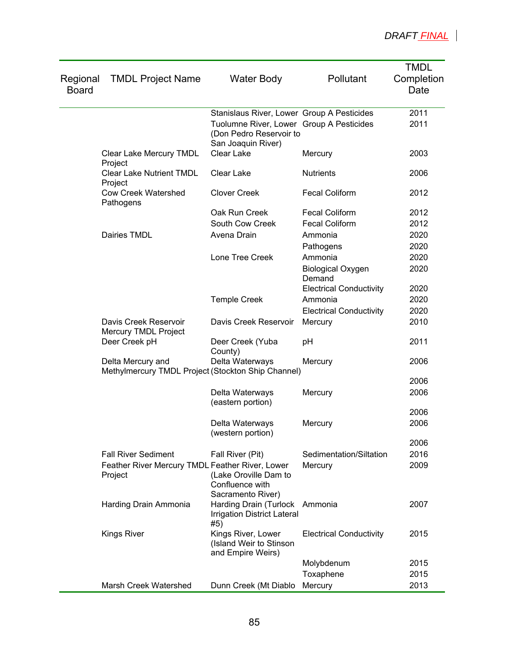|                          |                                                                         |                                                                                           |                                    | <b>TMDL</b>        |
|--------------------------|-------------------------------------------------------------------------|-------------------------------------------------------------------------------------------|------------------------------------|--------------------|
| Regional<br><b>Board</b> | <b>TMDL Project Name</b>                                                | Water Body                                                                                | Pollutant                          | Completion<br>Date |
|                          |                                                                         | Stanislaus River, Lower Group A Pesticides                                                |                                    | 2011               |
|                          |                                                                         | Tuolumne River, Lower Group A Pesticides<br>(Don Pedro Reservoir to<br>San Joaquin River) |                                    | 2011               |
|                          | Clear Lake Mercury TMDL<br>Project                                      | Clear Lake                                                                                | Mercury                            | 2003               |
|                          | <b>Clear Lake Nutrient TMDL</b><br>Project                              | Clear Lake                                                                                | <b>Nutrients</b>                   | 2006               |
|                          | <b>Cow Creek Watershed</b><br>Pathogens                                 | <b>Clover Creek</b>                                                                       | <b>Fecal Coliform</b>              | 2012               |
|                          |                                                                         | Oak Run Creek                                                                             | <b>Fecal Coliform</b>              | 2012               |
|                          |                                                                         | South Cow Creek                                                                           | <b>Fecal Coliform</b>              | 2012               |
|                          | Dairies TMDL                                                            | Avena Drain                                                                               | Ammonia                            | 2020               |
|                          |                                                                         |                                                                                           | Pathogens                          | 2020               |
|                          |                                                                         | Lone Tree Creek                                                                           | Ammonia                            | 2020               |
|                          |                                                                         |                                                                                           | <b>Biological Oxygen</b><br>Demand | 2020               |
|                          |                                                                         |                                                                                           | <b>Electrical Conductivity</b>     | 2020               |
|                          |                                                                         | <b>Temple Creek</b>                                                                       | Ammonia                            | 2020               |
|                          |                                                                         |                                                                                           | <b>Electrical Conductivity</b>     | 2020               |
|                          | Davis Creek Reservoir<br>Mercury TMDL Project                           | Davis Creek Reservoir                                                                     | Mercury                            | 2010               |
|                          | Deer Creek pH                                                           | Deer Creek (Yuba<br>County)                                                               | pH                                 | 2011               |
|                          | Delta Mercury and<br>Methylmercury TMDL Project (Stockton Ship Channel) | Delta Waterways                                                                           | Mercury                            | 2006               |
|                          |                                                                         |                                                                                           |                                    | 2006               |
|                          |                                                                         | Delta Waterways<br>(eastern portion)                                                      | Mercury                            | 2006               |
|                          |                                                                         |                                                                                           |                                    | 2006               |
|                          |                                                                         | Delta Waterways<br>(western portion)                                                      | Mercury                            | 2006               |
|                          |                                                                         |                                                                                           |                                    | 2006               |
|                          | <b>Fall River Sediment</b>                                              | Fall River (Pit)                                                                          | Sedimentation/Siltation            | 2016               |
|                          | Feather River Mercury TMDL Feather River, Lower<br>Project              | (Lake Oroville Dam to<br>Confluence with<br>Sacramento River)                             | Mercury                            | 2009               |
|                          | Harding Drain Ammonia                                                   | Harding Drain (Turlock Ammonia<br><b>Irrigation District Lateral</b><br>#5)               |                                    | 2007               |
|                          | <b>Kings River</b>                                                      | Kings River, Lower<br>(Island Weir to Stinson<br>and Empire Weirs)                        | <b>Electrical Conductivity</b>     | 2015               |
|                          |                                                                         |                                                                                           | Molybdenum                         | 2015               |
|                          |                                                                         |                                                                                           | Toxaphene                          | 2015               |
|                          | Marsh Creek Watershed                                                   | Dunn Creek (Mt Diablo                                                                     | Mercury                            | 2013               |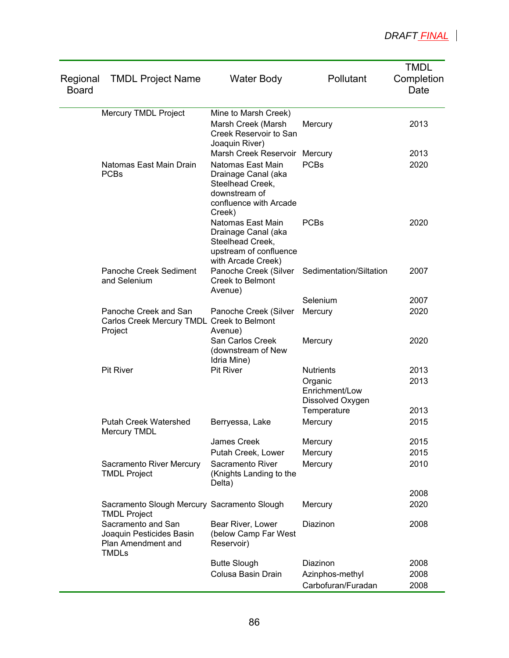| Regional<br><b>Board</b> | <b>TMDL Project Name</b>                                                             | <b>Water Body</b>                                                                                                 | Pollutant                                     | <b>TMDL</b><br>Completion<br>Date |
|--------------------------|--------------------------------------------------------------------------------------|-------------------------------------------------------------------------------------------------------------------|-----------------------------------------------|-----------------------------------|
|                          | <b>Mercury TMDL Project</b>                                                          | Mine to Marsh Creek)                                                                                              |                                               |                                   |
|                          |                                                                                      | Marsh Creek (Marsh<br>Creek Reservoir to San<br>Joaquin River)                                                    | Mercury                                       | 2013                              |
|                          |                                                                                      | Marsh Creek Reservoir                                                                                             | Mercury                                       | 2013                              |
|                          | Natomas East Main Drain<br><b>PCBs</b>                                               | Natomas East Main<br>Drainage Canal (aka<br>Steelhead Creek,<br>downstream of<br>confluence with Arcade<br>Creek) | <b>PCBs</b>                                   | 2020                              |
|                          |                                                                                      | Natomas East Main<br>Drainage Canal (aka<br>Steelhead Creek,<br>upstream of confluence<br>with Arcade Creek)      | <b>PCBs</b>                                   | 2020                              |
|                          | Panoche Creek Sediment<br>and Selenium                                               | Panoche Creek (Silver<br>Creek to Belmont<br>Avenue)                                                              | Sedimentation/Siltation                       | 2007                              |
|                          |                                                                                      |                                                                                                                   | Selenium                                      | 2007                              |
|                          | Panoche Creek and San<br>Carlos Creek Mercury TMDL Creek to Belmont<br>Project       | Panoche Creek (Silver<br>Avenue)                                                                                  | Mercury                                       | 2020                              |
|                          |                                                                                      | San Carlos Creek<br>(downstream of New<br>Idria Mine)                                                             | Mercury                                       | 2020                              |
|                          | <b>Pit River</b>                                                                     | <b>Pit River</b>                                                                                                  | <b>Nutrients</b>                              | 2013                              |
|                          |                                                                                      |                                                                                                                   | Organic<br>Enrichment/Low<br>Dissolved Oxygen | 2013                              |
|                          | <b>Putah Creek Watershed</b>                                                         |                                                                                                                   | Temperature                                   | 2013<br>2015                      |
|                          | Mercury TMDL                                                                         | Berryessa, Lake                                                                                                   | Mercury                                       |                                   |
|                          |                                                                                      | James Creek                                                                                                       | Mercury                                       | 2015                              |
|                          |                                                                                      | Putah Creek, Lower                                                                                                | Mercury                                       | 2015                              |
|                          | Sacramento River Mercury<br><b>TMDL Project</b>                                      | Sacramento River<br>(Knights Landing to the<br>Delta)                                                             | Mercury                                       | 2010                              |
|                          |                                                                                      |                                                                                                                   |                                               | 2008                              |
|                          | Sacramento Slough Mercury Sacramento Slough<br><b>TMDL Project</b>                   |                                                                                                                   | Mercury                                       | 2020                              |
|                          | Sacramento and San<br>Joaquin Pesticides Basin<br>Plan Amendment and<br><b>TMDLs</b> | Bear River, Lower<br>(below Camp Far West<br>Reservoir)                                                           | Diazinon                                      | 2008                              |
|                          |                                                                                      | <b>Butte Slough</b>                                                                                               | Diazinon                                      | 2008                              |
|                          |                                                                                      | Colusa Basin Drain                                                                                                | Azinphos-methyl<br>Carbofuran/Furadan         | 2008<br>2008                      |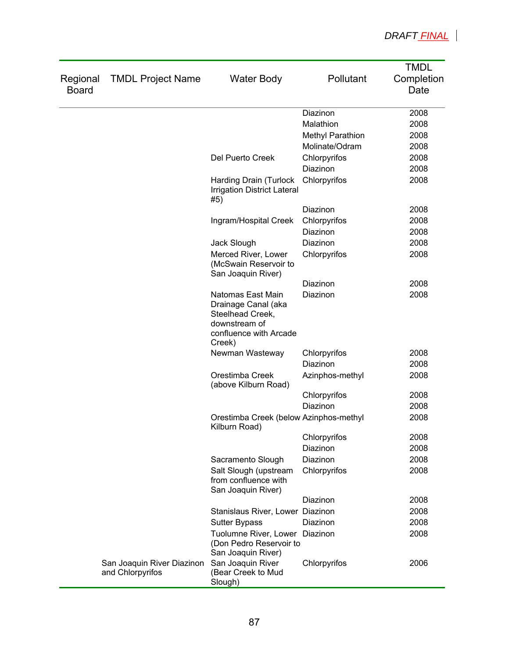| Regional<br><b>Board</b> | <b>TMDL Project Name</b>                       | <b>Water Body</b>                                                                                                 | Pollutant               | TMDL<br>Completion<br>Date |
|--------------------------|------------------------------------------------|-------------------------------------------------------------------------------------------------------------------|-------------------------|----------------------------|
|                          |                                                |                                                                                                                   | Diazinon                | 2008                       |
|                          |                                                |                                                                                                                   | Malathion               | 2008                       |
|                          |                                                |                                                                                                                   | <b>Methyl Parathion</b> | 2008                       |
|                          |                                                |                                                                                                                   | Molinate/Odram          | 2008                       |
|                          |                                                | Del Puerto Creek                                                                                                  | Chlorpyrifos            | 2008                       |
|                          |                                                |                                                                                                                   | Diazinon                | 2008                       |
|                          |                                                | Harding Drain (Turlock<br><b>Irrigation District Lateral</b><br>#5)                                               | Chlorpyrifos            | 2008                       |
|                          |                                                |                                                                                                                   | Diazinon                | 2008                       |
|                          |                                                | Ingram/Hospital Creek                                                                                             | Chlorpyrifos            | 2008                       |
|                          |                                                |                                                                                                                   | Diazinon                | 2008                       |
|                          |                                                | Jack Slough                                                                                                       | Diazinon                | 2008                       |
|                          |                                                | Merced River, Lower<br>(McSwain Reservoir to<br>San Joaquin River)                                                | Chlorpyrifos            | 2008                       |
|                          |                                                |                                                                                                                   | Diazinon                | 2008                       |
|                          |                                                | Natomas East Main<br>Drainage Canal (aka<br>Steelhead Creek,<br>downstream of<br>confluence with Arcade<br>Creek) | Diazinon                | 2008                       |
|                          |                                                | Newman Wasteway                                                                                                   | Chlorpyrifos            | 2008                       |
|                          |                                                |                                                                                                                   | Diazinon                | 2008                       |
|                          |                                                | Orestimba Creek<br>(above Kilburn Road)                                                                           | Azinphos-methyl         | 2008                       |
|                          |                                                |                                                                                                                   | Chlorpyrifos            | 2008                       |
|                          |                                                |                                                                                                                   | Diazinon                | 2008                       |
|                          |                                                | Orestimba Creek (below Azinphos-methyl<br>Kilburn Road)                                                           |                         | 2008                       |
|                          |                                                |                                                                                                                   | Chlorpyrifos            | 2008                       |
|                          |                                                |                                                                                                                   | Diazinon                | 2008                       |
|                          |                                                | Sacramento Slough                                                                                                 | Diazinon                | 2008                       |
|                          |                                                | Salt Slough (upstream<br>from confluence with<br>San Joaquin River)                                               | Chlorpyrifos            | 2008                       |
|                          |                                                |                                                                                                                   | Diazinon                | 2008                       |
|                          |                                                | Stanislaus River, Lower Diazinon                                                                                  |                         | 2008                       |
|                          |                                                | <b>Sutter Bypass</b>                                                                                              | Diazinon                | 2008                       |
|                          |                                                | Tuolumne River, Lower Diazinon<br>(Don Pedro Reservoir to<br>San Joaquin River)                                   |                         | 2008                       |
|                          | San Joaquin River Diazinon<br>and Chlorpyrifos | San Joaquin River<br>(Bear Creek to Mud<br>Slough)                                                                | Chlorpyrifos            | 2006                       |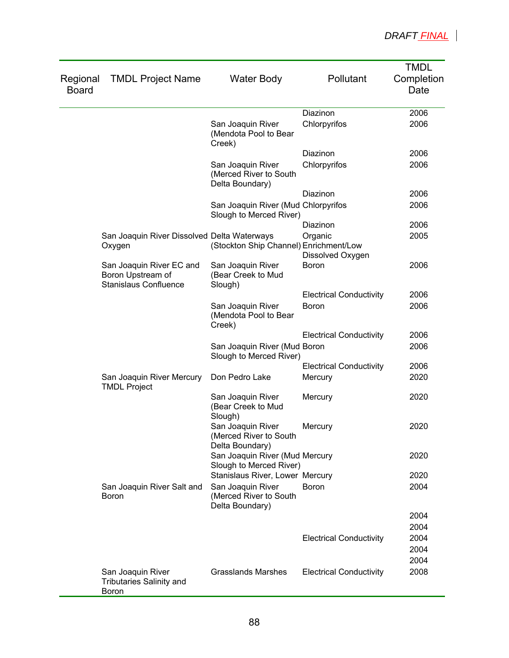|                          |                                                                               |                                                                |                                | TMDL               |
|--------------------------|-------------------------------------------------------------------------------|----------------------------------------------------------------|--------------------------------|--------------------|
| Regional<br><b>Board</b> | <b>TMDL Project Name</b>                                                      | <b>Water Body</b>                                              | Pollutant                      | Completion<br>Date |
|                          |                                                                               |                                                                | Diazinon                       | 2006               |
|                          |                                                                               | San Joaquin River<br>(Mendota Pool to Bear<br>Creek)           | Chlorpyrifos                   | 2006               |
|                          |                                                                               |                                                                | Diazinon                       | 2006               |
|                          |                                                                               | San Joaquin River<br>(Merced River to South<br>Delta Boundary) | Chlorpyrifos                   | 2006               |
|                          |                                                                               |                                                                | Diazinon                       | 2006               |
|                          |                                                                               | San Joaquin River (Mud Chlorpyrifos<br>Slough to Merced River) |                                | 2006               |
|                          |                                                                               |                                                                | Diazinon                       | 2006               |
|                          | San Joaquin River Dissolved Delta Waterways<br>Oxygen                         | (Stockton Ship Channel) Enrichment/Low                         | Organic<br>Dissolved Oxygen    | 2005               |
|                          | San Joaquin River EC and<br>Boron Upstream of<br><b>Stanislaus Confluence</b> | San Joaquin River<br>(Bear Creek to Mud<br>Slough)             | Boron                          | 2006               |
|                          |                                                                               |                                                                | <b>Electrical Conductivity</b> | 2006               |
|                          |                                                                               | San Joaquin River<br>(Mendota Pool to Bear<br>Creek)           | <b>Boron</b>                   | 2006               |
|                          |                                                                               |                                                                | <b>Electrical Conductivity</b> | 2006               |
|                          |                                                                               | San Joaquin River (Mud Boron<br>Slough to Merced River)        |                                | 2006               |
|                          |                                                                               |                                                                | <b>Electrical Conductivity</b> | 2006               |
|                          | San Joaquin River Mercury<br><b>TMDL Project</b>                              | Don Pedro Lake                                                 | Mercury                        | 2020               |
|                          |                                                                               | San Joaquin River<br>(Bear Creek to Mud<br>Slough)             | Mercury                        | 2020               |
|                          |                                                                               | San Joaquin River<br>(Merced River to South<br>Delta Boundary) | Mercury                        | 2020               |
|                          |                                                                               | San Joaquin River (Mud Mercury<br>Slough to Merced River)      |                                | 2020               |
|                          |                                                                               | Stanislaus River, Lower Mercury                                |                                | 2020               |
|                          | San Joaquin River Salt and<br><b>Boron</b>                                    | San Joaquin River<br>(Merced River to South<br>Delta Boundary) | <b>Boron</b>                   | 2004               |
|                          |                                                                               |                                                                |                                | 2004               |
|                          |                                                                               |                                                                |                                | 2004               |
|                          |                                                                               |                                                                | <b>Electrical Conductivity</b> | 2004               |
|                          |                                                                               |                                                                |                                | 2004               |
|                          |                                                                               |                                                                |                                | 2004               |
|                          | San Joaquin River<br><b>Tributaries Salinity and</b><br>Boron                 | <b>Grasslands Marshes</b>                                      | <b>Electrical Conductivity</b> | 2008               |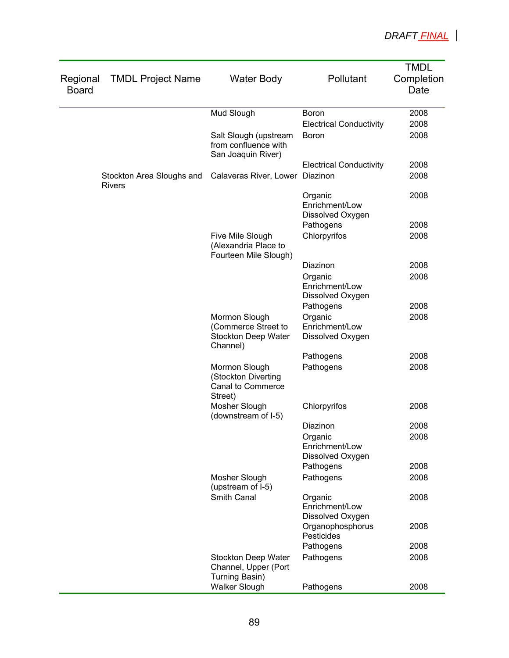|                          |                                            |                                                                                |                                               | <b>TMDL</b>        |
|--------------------------|--------------------------------------------|--------------------------------------------------------------------------------|-----------------------------------------------|--------------------|
| Regional<br><b>Board</b> | <b>TMDL Project Name</b>                   | <b>Water Body</b>                                                              | Pollutant                                     | Completion<br>Date |
|                          |                                            | Mud Slough                                                                     | Boron                                         | 2008               |
|                          |                                            |                                                                                | <b>Electrical Conductivity</b>                | 2008               |
|                          |                                            | Salt Slough (upstream<br>from confluence with<br>San Joaquin River)            | Boron                                         | 2008               |
|                          |                                            |                                                                                | <b>Electrical Conductivity</b>                | 2008               |
|                          | Stockton Area Sloughs and<br><b>Rivers</b> | Calaveras River, Lower                                                         | Diazinon                                      | 2008               |
|                          |                                            |                                                                                | Organic<br>Enrichment/Low<br>Dissolved Oxygen | 2008               |
|                          |                                            |                                                                                | Pathogens                                     | 2008               |
|                          |                                            | Five Mile Slough<br>(Alexandria Place to<br>Fourteen Mile Slough)              | Chlorpyrifos                                  | 2008               |
|                          |                                            |                                                                                | Diazinon                                      | 2008               |
|                          |                                            |                                                                                | Organic<br>Enrichment/Low<br>Dissolved Oxygen | 2008               |
|                          |                                            |                                                                                | Pathogens                                     | 2008               |
|                          |                                            | Mormon Slough<br>(Commerce Street to<br><b>Stockton Deep Water</b><br>Channel) | Organic<br>Enrichment/Low<br>Dissolved Oxygen | 2008               |
|                          |                                            |                                                                                | Pathogens                                     | 2008               |
|                          |                                            | Mormon Slough<br>(Stockton Diverting<br>Canal to Commerce<br>Street)           | Pathogens                                     | 2008               |
|                          |                                            | Mosher Slough<br>(downstream of I-5)                                           | Chlorpyrifos                                  | 2008               |
|                          |                                            |                                                                                | Diazinon                                      | 2008               |
|                          |                                            |                                                                                | Organic<br>Enrichment/Low<br>Dissolved Oxygen | 2008               |
|                          |                                            |                                                                                | Pathogens                                     | 2008               |
|                          |                                            | Mosher Slough<br>(upstream of I-5)                                             | Pathogens                                     | 2008               |
|                          |                                            | Smith Canal                                                                    | Organic<br>Enrichment/Low<br>Dissolved Oxygen | 2008               |
|                          |                                            |                                                                                | Organophosphorus<br>Pesticides                | 2008               |
|                          |                                            |                                                                                | Pathogens                                     | 2008               |
|                          |                                            | Stockton Deep Water<br>Channel, Upper (Port<br>Turning Basin)                  | Pathogens                                     | 2008               |
|                          |                                            | <b>Walker Slough</b>                                                           | Pathogens                                     | 2008               |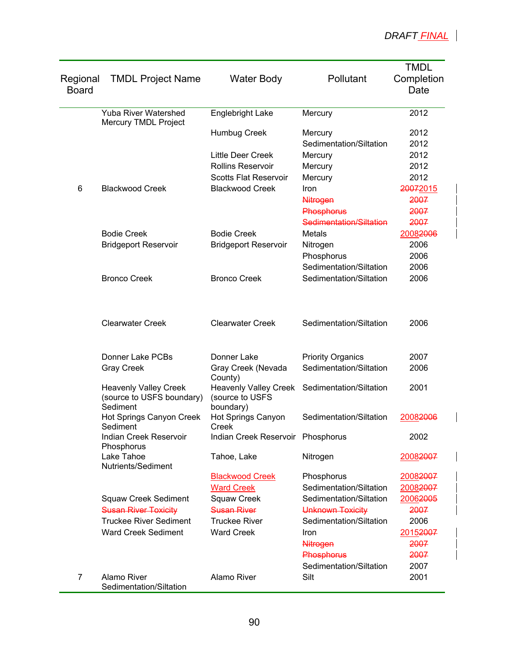$\overline{\phantom{a}}$ 

|              |                                                                       |                                                              |                          | <b>TMDL</b> |
|--------------|-----------------------------------------------------------------------|--------------------------------------------------------------|--------------------------|-------------|
| Regional     | <b>TMDL Project Name</b>                                              | <b>Water Body</b>                                            | Pollutant                | Completion  |
| <b>Board</b> |                                                                       |                                                              |                          | Date        |
|              |                                                                       |                                                              |                          |             |
|              | <b>Yuba River Watershed</b><br><b>Mercury TMDL Project</b>            | <b>Englebright Lake</b>                                      | Mercury                  | 2012        |
|              |                                                                       | <b>Humbug Creek</b>                                          | Mercury                  | 2012        |
|              |                                                                       |                                                              | Sedimentation/Siltation  | 2012        |
|              |                                                                       | <b>Little Deer Creek</b>                                     | Mercury                  | 2012        |
|              |                                                                       | <b>Rollins Reservoir</b>                                     | Mercury                  | 2012        |
|              |                                                                       | <b>Scotts Flat Reservoir</b>                                 | Mercury                  | 2012        |
| 6            | <b>Blackwood Creek</b>                                                | <b>Blackwood Creek</b>                                       | Iron                     | 20072015    |
|              |                                                                       |                                                              | Nitrogen                 | 2007        |
|              |                                                                       |                                                              | Phosphorus               | 2007        |
|              |                                                                       |                                                              | Sedimentation/Siltation  | 2007        |
|              | <b>Bodie Creek</b>                                                    | <b>Bodie Creek</b>                                           | Metals                   | 20082006    |
|              | <b>Bridgeport Reservoir</b>                                           | <b>Bridgeport Reservoir</b>                                  | Nitrogen                 | 2006        |
|              |                                                                       |                                                              | Phosphorus               | 2006        |
|              |                                                                       |                                                              | Sedimentation/Siltation  | 2006        |
|              | <b>Bronco Creek</b>                                                   | <b>Bronco Creek</b>                                          | Sedimentation/Siltation  | 2006        |
|              |                                                                       |                                                              |                          |             |
|              | <b>Clearwater Creek</b>                                               | <b>Clearwater Creek</b>                                      | Sedimentation/Siltation  | 2006        |
|              | Donner Lake PCBs                                                      | Donner Lake                                                  | <b>Priority Organics</b> | 2007        |
|              | <b>Gray Creek</b>                                                     | Gray Creek (Nevada<br>County)                                | Sedimentation/Siltation  | 2006        |
|              | <b>Heavenly Valley Creek</b><br>(source to USFS boundary)<br>Sediment | <b>Heavenly Valley Creek</b><br>(source to USFS<br>boundary) | Sedimentation/Siltation  | 2001        |
|              | Hot Springs Canyon Creek<br>Sediment                                  | Hot Springs Canyon<br>Creek                                  | Sedimentation/Siltation  | 20082006    |
|              | Indian Creek Reservoir<br>Phosphorus                                  | Indian Creek Reservoir Phosphorus                            |                          | 2002        |
|              | Lake Tahoe<br>Nutrients/Sediment                                      | Tahoe, Lake                                                  | Nitrogen                 | 20082007    |
|              |                                                                       | <b>Blackwood Creek</b>                                       | Phosphorus               | 20082007    |
|              |                                                                       | <b>Ward Creek</b>                                            | Sedimentation/Siltation  | 20082007    |
|              | <b>Squaw Creek Sediment</b>                                           | <b>Squaw Creek</b>                                           | Sedimentation/Siltation  | 20062005    |
|              | <b>Susan River Toxicity</b>                                           | <b>Susan River</b>                                           | Unknown Toxicity         | 2007        |
|              | <b>Truckee River Sediment</b>                                         | <b>Truckee River</b>                                         | Sedimentation/Siltation  | 2006        |
|              | <b>Ward Creek Sediment</b>                                            | <b>Ward Creek</b>                                            | Iron                     | 20152007    |
|              |                                                                       |                                                              | <b>Nitrogen</b>          | 2007        |
|              |                                                                       |                                                              | Phosphorus               | 2007        |
|              |                                                                       |                                                              | Sedimentation/Siltation  | 2007        |
| 7            | Alamo River<br>Sedimentation/Siltation                                | Alamo River                                                  | Silt                     | 2001        |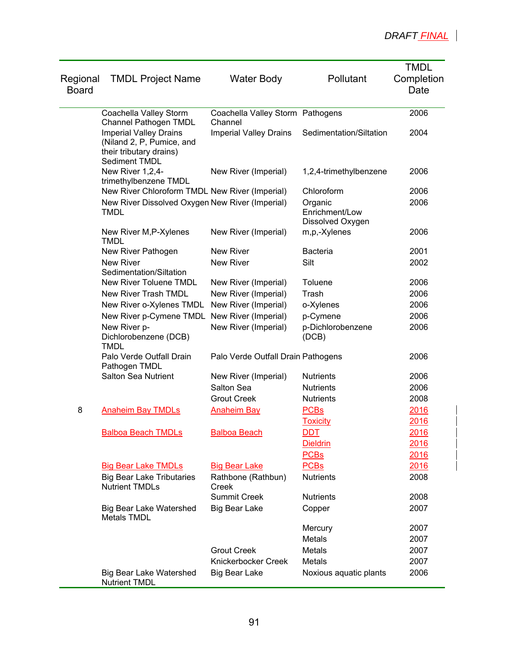|                          |                                                                                                        |                                             |                                               | TMDL               |
|--------------------------|--------------------------------------------------------------------------------------------------------|---------------------------------------------|-----------------------------------------------|--------------------|
| Regional<br><b>Board</b> | <b>TMDL Project Name</b>                                                                               | <b>Water Body</b>                           | Pollutant                                     | Completion<br>Date |
|                          |                                                                                                        |                                             |                                               |                    |
|                          | Coachella Valley Storm<br>Channel Pathogen TMDL                                                        | Coachella Valley Storm Pathogens<br>Channel |                                               | 2006               |
|                          | <b>Imperial Valley Drains</b><br>(Niland 2, P, Pumice, and<br>their tributary drains)<br>Sediment TMDL | <b>Imperial Valley Drains</b>               | Sedimentation/Siltation                       | 2004               |
|                          | New River 1,2,4-<br>trimethylbenzene TMDL                                                              | New River (Imperial)                        | 1,2,4-trimethylbenzene                        | 2006               |
|                          | New River Chloroform TMDL New River (Imperial)                                                         |                                             | Chloroform                                    | 2006               |
|                          | New River Dissolved Oxygen New River (Imperial)<br><b>TMDL</b>                                         |                                             | Organic<br>Enrichment/Low<br>Dissolved Oxygen | 2006               |
|                          | New River M,P-Xylenes<br><b>TMDL</b>                                                                   | New River (Imperial)                        | m,p,-Xylenes                                  | 2006               |
|                          | New River Pathogen                                                                                     | New River                                   | <b>Bacteria</b>                               | 2001               |
|                          | New River<br>Sedimentation/Siltation                                                                   | New River                                   | Silt                                          | 2002               |
|                          | New River Toluene TMDL                                                                                 | New River (Imperial)                        | Toluene                                       | 2006               |
|                          | New River Trash TMDL                                                                                   | New River (Imperial)                        | Trash                                         | 2006               |
|                          | New River o-Xylenes TMDL                                                                               | New River (Imperial)                        | o-Xylenes                                     | 2006               |
|                          | New River p-Cymene TMDL                                                                                | New River (Imperial)                        | p-Cymene                                      | 2006               |
|                          | New River p-<br>Dichlorobenzene (DCB)<br><b>TMDL</b>                                                   | New River (Imperial)                        | p-Dichlorobenzene<br>(DCB)                    | 2006               |
|                          | Palo Verde Outfall Drain<br>Pathogen TMDL                                                              | Palo Verde Outfall Drain Pathogens          |                                               | 2006               |
|                          | <b>Salton Sea Nutrient</b>                                                                             | New River (Imperial)                        | <b>Nutrients</b>                              | 2006               |
|                          |                                                                                                        | Salton Sea                                  | <b>Nutrients</b>                              | 2006               |
|                          |                                                                                                        | <b>Grout Creek</b>                          | <b>Nutrients</b>                              | 2008               |
| 8                        | <b>Anaheim Bay TMDLs</b>                                                                               | <b>Anaheim Bay</b>                          | <b>PCBs</b>                                   | 2016               |
|                          |                                                                                                        |                                             | <b>Toxicity</b>                               | 2016               |
|                          | <b>Balboa Beach TMDLs</b>                                                                              | <b>Balboa Beach</b>                         | <b>DDT</b>                                    | 2016               |
|                          |                                                                                                        |                                             | <b>Dieldrin</b>                               | 2016               |
|                          |                                                                                                        |                                             | <b>PCBs</b>                                   | 2016               |
|                          | <b>Big Bear Lake TMDLs</b>                                                                             | <b>Big Bear Lake</b>                        | <b>PCBs</b>                                   | 2016               |
|                          | <b>Big Bear Lake Tributaries</b><br><b>Nutrient TMDLs</b>                                              | Rathbone (Rathbun)<br>Creek                 | <b>Nutrients</b>                              | 2008               |
|                          |                                                                                                        | <b>Summit Creek</b>                         | <b>Nutrients</b>                              | 2008               |
|                          | Big Bear Lake Watershed<br><b>Metals TMDL</b>                                                          | <b>Big Bear Lake</b>                        | Copper                                        | 2007               |
|                          |                                                                                                        |                                             | Mercury                                       | 2007               |
|                          |                                                                                                        |                                             | Metals                                        | 2007               |
|                          |                                                                                                        | <b>Grout Creek</b>                          | <b>Metals</b>                                 | 2007               |
|                          |                                                                                                        | Knickerbocker Creek                         | <b>Metals</b>                                 | 2007               |
|                          | <b>Big Bear Lake Watershed</b><br><b>Nutrient TMDL</b>                                                 | <b>Big Bear Lake</b>                        | Noxious aquatic plants                        | 2006               |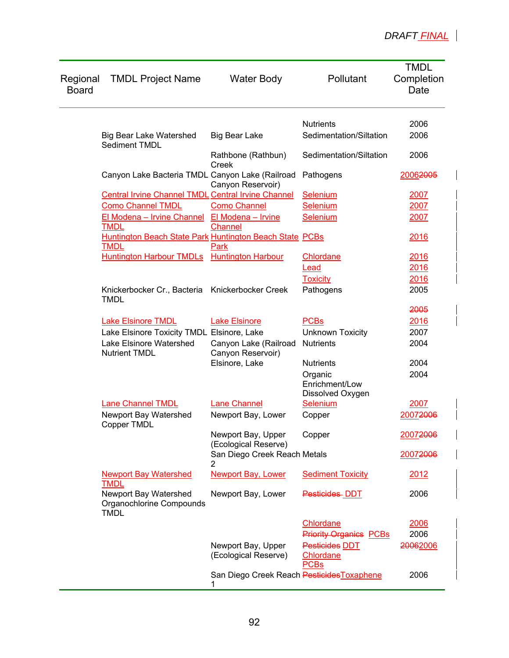| Regional<br><b>Board</b> | <b>TMDL Project Name</b>                                               | <b>Water Body</b>                               | Pollutant                                         | <b>TMDL</b><br>Completion<br>Date |
|--------------------------|------------------------------------------------------------------------|-------------------------------------------------|---------------------------------------------------|-----------------------------------|
|                          |                                                                        |                                                 | <b>Nutrients</b>                                  | 2006                              |
|                          | <b>Big Bear Lake Watershed</b><br>Sediment TMDL                        | <b>Big Bear Lake</b>                            | Sedimentation/Siltation                           | 2006                              |
|                          |                                                                        | Rathbone (Rathbun)<br>Creek                     | Sedimentation/Siltation                           | 2006                              |
|                          | Canyon Lake Bacteria TMDL Canyon Lake (Railroad                        | Canyon Reservoir)                               | Pathogens                                         | 20062005                          |
|                          | Central Irvine Channel TMDL Central Irvine Channel                     |                                                 | <b>Selenium</b>                                   | 2007                              |
|                          | <b>Como Channel TMDL</b>                                               | <b>Como Channel</b>                             | <b>Selenium</b>                                   | 2007                              |
|                          | El Modena - Irvine Channel<br><b>TMDL</b>                              | El Modena - Irvine<br>Channel                   | Selenium                                          | 2007                              |
|                          | Huntington Beach State Park Huntington Beach State PCBs<br><b>TMDL</b> | <b>Park</b>                                     |                                                   | 2016                              |
|                          | <b>Huntington Harbour TMDLs</b>                                        | <b>Huntington Harbour</b>                       | <b>Chlordane</b>                                  | 2016                              |
|                          |                                                                        |                                                 | Lead                                              | 2016                              |
|                          |                                                                        |                                                 | <b>Toxicity</b>                                   | 2016                              |
|                          | Knickerbocker Cr., Bacteria<br><b>TMDL</b>                             | Knickerbocker Creek                             | Pathogens                                         | 2005                              |
|                          |                                                                        |                                                 |                                                   | 2005                              |
|                          | <b>Lake Elsinore TMDL</b>                                              | <b>Lake Elsinore</b>                            | <b>PCBs</b>                                       | 2016                              |
|                          | Lake Elsinore Toxicity TMDL Elsinore, Lake                             |                                                 | <b>Unknown Toxicity</b>                           | 2007                              |
|                          | Lake Elsinore Watershed<br><b>Nutrient TMDL</b>                        | Canyon Lake (Railroad<br>Canyon Reservoir)      | <b>Nutrients</b>                                  | 2004                              |
|                          |                                                                        | Elsinore, Lake                                  | <b>Nutrients</b>                                  | 2004                              |
|                          |                                                                        |                                                 | Organic<br>Enrichment/Low<br>Dissolved Oxygen     | 2004                              |
|                          | <b>Lane Channel TMDL</b>                                               | <b>Lane Channel</b>                             | <b>Selenium</b>                                   | 2007                              |
|                          | Newport Bay Watershed<br>Copper TMDL                                   | Newport Bay, Lower                              | Copper                                            | 20072006                          |
|                          |                                                                        | Newport Bay, Upper<br>(Ecological Reserve)      | Copper                                            | 20072006                          |
|                          |                                                                        | San Diego Creek Reach Metals<br>2               |                                                   | 20072006                          |
|                          | <b>Newport Bay Watershed</b><br><b>TMDL</b>                            | <b>Newport Bay, Lower</b>                       | <b>Sediment Toxicity</b>                          | 2012                              |
|                          | Newport Bay Watershed<br>Organochlorine Compounds<br><b>TMDL</b>       | Newport Bay, Lower                              | Pesticides DDT                                    | 2006                              |
|                          |                                                                        |                                                 | <b>Chlordane</b>                                  | 2006                              |
|                          |                                                                        |                                                 | <b>Priority Organics PCBs</b>                     | 2006                              |
|                          |                                                                        | Newport Bay, Upper<br>(Ecological Reserve)      | <b>Pesticides DDT</b><br>Chlordane<br><b>PCBs</b> | 20062006                          |
|                          |                                                                        | San Diego Creek Reach Pesticides Toxaphene<br>1 |                                                   | 2006                              |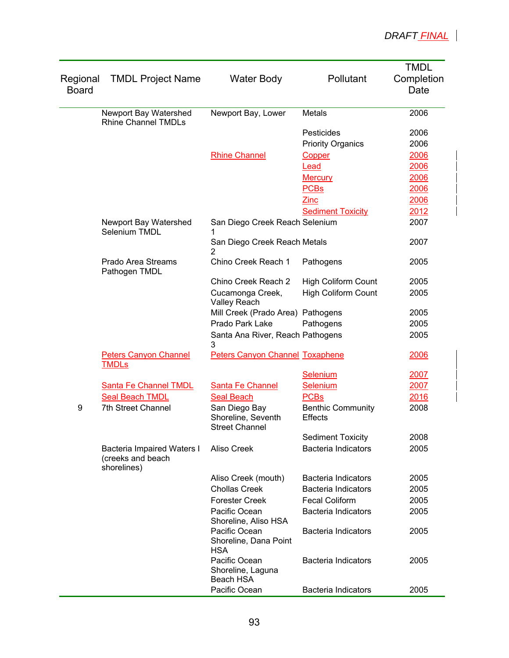|              |                                                                       |                                                              |                                            | <b>TMDL</b> |
|--------------|-----------------------------------------------------------------------|--------------------------------------------------------------|--------------------------------------------|-------------|
| Regional     | <b>TMDL Project Name</b>                                              | <b>Water Body</b>                                            | Pollutant                                  | Completion  |
| <b>Board</b> |                                                                       |                                                              |                                            | Date        |
|              |                                                                       |                                                              |                                            |             |
|              | Newport Bay Watershed<br><b>Rhine Channel TMDLs</b>                   | Newport Bay, Lower                                           | Metals                                     | 2006        |
|              |                                                                       |                                                              | Pesticides                                 | 2006        |
|              |                                                                       |                                                              | <b>Priority Organics</b>                   | 2006        |
|              |                                                                       | <b>Rhine Channel</b>                                         | Copper                                     | 2006        |
|              |                                                                       |                                                              | Lead                                       | 2006        |
|              |                                                                       |                                                              | <b>Mercury</b>                             | 2006        |
|              |                                                                       |                                                              | <b>PCBs</b>                                | 2006        |
|              |                                                                       |                                                              | Zinc                                       | 2006        |
|              |                                                                       |                                                              | <b>Sediment Toxicity</b>                   | 2012        |
|              | Newport Bay Watershed<br><b>Selenium TMDL</b>                         | San Diego Creek Reach Selenium<br>1                          |                                            | 2007        |
|              |                                                                       | San Diego Creek Reach Metals<br>2                            |                                            | 2007        |
|              | Prado Area Streams<br>Pathogen TMDL                                   | Chino Creek Reach 1                                          | Pathogens                                  | 2005        |
|              |                                                                       | Chino Creek Reach 2                                          | <b>High Coliform Count</b>                 | 2005        |
|              |                                                                       | Cucamonga Creek,<br><b>Valley Reach</b>                      | <b>High Coliform Count</b>                 | 2005        |
|              |                                                                       | Mill Creek (Prado Area) Pathogens                            |                                            | 2005        |
|              |                                                                       | Prado Park Lake                                              | Pathogens                                  | 2005        |
|              |                                                                       | Santa Ana River, Reach Pathogens<br>3                        |                                            | 2005        |
|              | <b>Peters Canyon Channel</b>                                          | <b>Peters Canyon Channel Toxaphene</b>                       |                                            | 2006        |
|              | <b>TMDLs</b>                                                          |                                                              | Selenium                                   | 2007        |
|              | <b>Santa Fe Channel TMDL</b>                                          | <b>Santa Fe Channel</b>                                      | <b>Selenium</b>                            | 2007        |
|              | <b>Seal Beach TMDL</b>                                                | <b>Seal Beach</b>                                            | <b>PCBs</b>                                | 2016        |
| 9            | 7th Street Channel                                                    | San Diego Bay<br>Shoreline, Seventh<br><b>Street Channel</b> | <b>Benthic Community</b><br><b>Effects</b> | 2008        |
|              |                                                                       |                                                              | <b>Sediment Toxicity</b>                   | 2008        |
|              | <b>Bacteria Impaired Waters I</b><br>(creeks and beach<br>shorelines) | <b>Aliso Creek</b>                                           | <b>Bacteria Indicators</b>                 | 2005        |
|              |                                                                       | Aliso Creek (mouth)                                          | <b>Bacteria Indicators</b>                 | 2005        |
|              |                                                                       | <b>Chollas Creek</b>                                         | <b>Bacteria Indicators</b>                 | 2005        |
|              |                                                                       | <b>Forester Creek</b>                                        | <b>Fecal Coliform</b>                      | 2005        |
|              |                                                                       | Pacific Ocean<br>Shoreline, Aliso HSA                        | <b>Bacteria Indicators</b>                 | 2005        |
|              |                                                                       | Pacific Ocean<br>Shoreline, Dana Point<br><b>HSA</b>         | <b>Bacteria Indicators</b>                 | 2005        |
|              |                                                                       | Pacific Ocean<br>Shoreline, Laguna<br>Beach HSA              | <b>Bacteria Indicators</b>                 | 2005        |
|              |                                                                       | Pacific Ocean                                                | <b>Bacteria Indicators</b>                 | 2005        |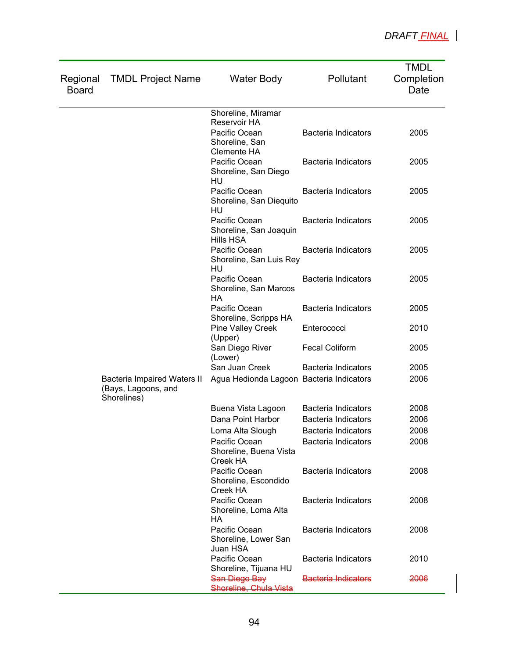| Regional<br><b>Board</b> | <b>TMDL Project Name</b>                                                 | <b>Water Body</b>                                          | Pollutant                  | TMDL<br>Completion<br>Date |
|--------------------------|--------------------------------------------------------------------------|------------------------------------------------------------|----------------------------|----------------------------|
|                          |                                                                          | Shoreline, Miramar                                         |                            |                            |
|                          |                                                                          | Reservoir HA<br>Pacific Ocean<br>Shoreline, San            | <b>Bacteria Indicators</b> | 2005                       |
|                          |                                                                          | Clemente HA<br>Pacific Ocean<br>Shoreline, San Diego<br>HU | <b>Bacteria Indicators</b> | 2005                       |
|                          |                                                                          | Pacific Ocean<br>Shoreline, San Diequito<br>HU             | <b>Bacteria Indicators</b> | 2005                       |
|                          |                                                                          | Pacific Ocean<br>Shoreline, San Joaquin<br>Hills HSA       | <b>Bacteria Indicators</b> | 2005                       |
|                          |                                                                          | Pacific Ocean<br>Shoreline, San Luis Rey<br>HU             | <b>Bacteria Indicators</b> | 2005                       |
|                          |                                                                          | Pacific Ocean<br>Shoreline, San Marcos<br>НA               | <b>Bacteria Indicators</b> | 2005                       |
|                          |                                                                          | Pacific Ocean<br>Shoreline, Scripps HA                     | <b>Bacteria Indicators</b> | 2005                       |
|                          |                                                                          | Pine Valley Creek<br>(Upper)                               | Enterococci                | 2010                       |
|                          |                                                                          | San Diego River<br>(Lower)                                 | <b>Fecal Coliform</b>      | 2005                       |
|                          |                                                                          | San Juan Creek                                             | <b>Bacteria Indicators</b> | 2005                       |
|                          | <b>Bacteria Impaired Waters II</b><br>(Bays, Lagoons, and<br>Shorelines) | Agua Hedionda Lagoon Bacteria Indicators                   |                            | 2006                       |
|                          |                                                                          | Buena Vista Lagoon                                         | Bacteria Indicators        | 2008                       |
|                          |                                                                          | Dana Point Harbor                                          | <b>Bacteria Indicators</b> | 2006                       |
|                          |                                                                          | Loma Alta Slough                                           | Bacteria Indicators        | 2008                       |
|                          |                                                                          | Pacific Ocean<br>Shoreline, Buena Vista<br>Creek HA        | <b>Bacteria Indicators</b> | 2008                       |
|                          |                                                                          | Pacific Ocean<br>Shoreline, Escondido<br>Creek HA          | <b>Bacteria Indicators</b> | 2008                       |
|                          |                                                                          | Pacific Ocean<br>Shoreline, Loma Alta<br>HA                | <b>Bacteria Indicators</b> | 2008                       |
|                          |                                                                          | Pacific Ocean<br>Shoreline, Lower San<br>Juan HSA          | <b>Bacteria Indicators</b> | 2008                       |
|                          |                                                                          | Pacific Ocean<br>Shoreline, Tijuana HU                     | <b>Bacteria Indicators</b> | 2010                       |
|                          |                                                                          | San Diego Bay<br>Shoreline, Chula Vista                    | Bacteria Indicators        | 2006                       |